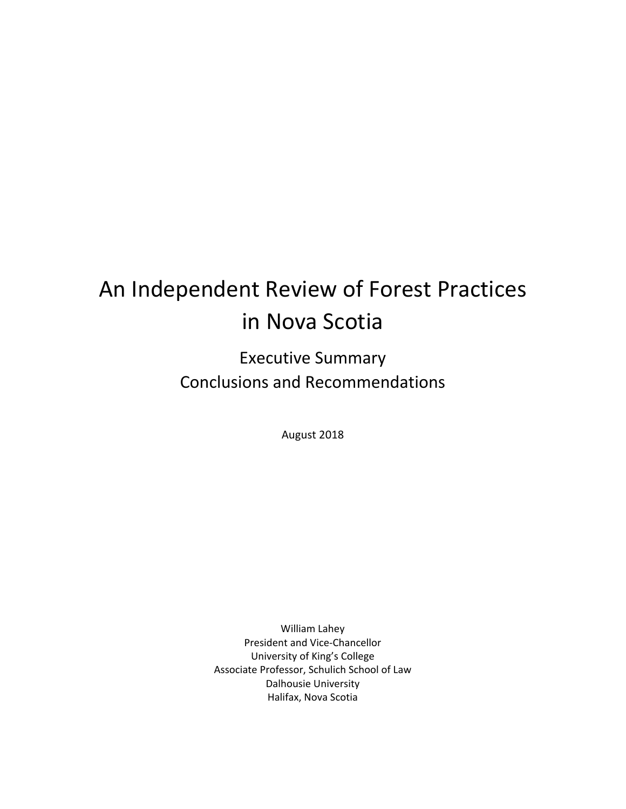# An Independent Review of Forest Practices in Nova Scotia

Executive Summary Conclusions and Recommendations

August 2018

William Lahey President and Vice‐Chancellor University of King's College Associate Professor, Schulich School of Law Dalhousie University Halifax, Nova Scotia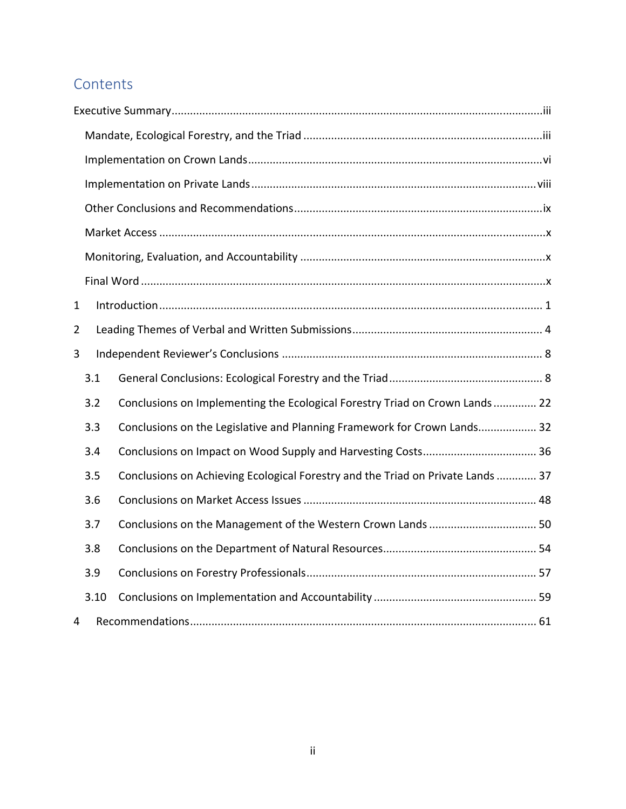# **Contents**

| $\mathbf{1}$   |      |                                                                                 |
|----------------|------|---------------------------------------------------------------------------------|
| $\overline{2}$ |      |                                                                                 |
| 3              |      |                                                                                 |
|                | 3.1  |                                                                                 |
|                | 3.2  | Conclusions on Implementing the Ecological Forestry Triad on Crown Lands 22     |
|                | 3.3  | Conclusions on the Legislative and Planning Framework for Crown Lands 32        |
|                | 3.4  |                                                                                 |
|                | 3.5  | Conclusions on Achieving Ecological Forestry and the Triad on Private Lands  37 |
|                | 3.6  |                                                                                 |
|                | 3.7  | Conclusions on the Management of the Western Crown Lands  50                    |
|                | 3.8  |                                                                                 |
|                | 3.9  |                                                                                 |
|                | 3.10 |                                                                                 |
| 4              |      |                                                                                 |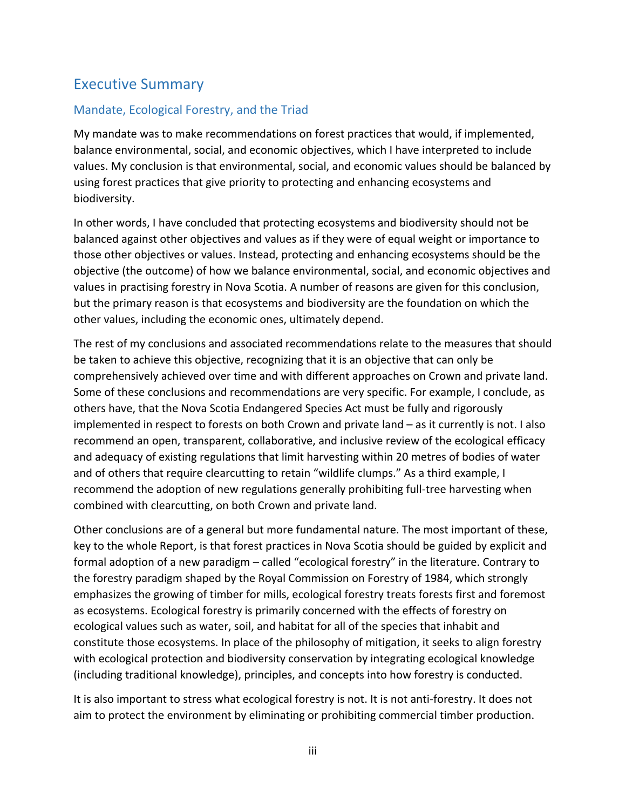## Executive Summary

## Mandate, Ecological Forestry, and the Triad

My mandate was to make recommendations on forest practices that would, if implemented, balance environmental, social, and economic objectives, which I have interpreted to include values. My conclusion is that environmental, social, and economic values should be balanced by using forest practices that give priority to protecting and enhancing ecosystems and biodiversity.

In other words, I have concluded that protecting ecosystems and biodiversity should not be balanced against other objectives and values as if they were of equal weight or importance to those other objectives or values. Instead, protecting and enhancing ecosystems should be the objective (the outcome) of how we balance environmental, social, and economic objectives and values in practising forestry in Nova Scotia. A number of reasons are given for this conclusion, but the primary reason is that ecosystems and biodiversity are the foundation on which the other values, including the economic ones, ultimately depend.

The rest of my conclusions and associated recommendations relate to the measures that should be taken to achieve this objective, recognizing that it is an objective that can only be comprehensively achieved over time and with different approaches on Crown and private land. Some of these conclusions and recommendations are very specific. For example, I conclude, as others have, that the Nova Scotia Endangered Species Act must be fully and rigorously implemented in respect to forests on both Crown and private land – as it currently is not. I also recommend an open, transparent, collaborative, and inclusive review of the ecological efficacy and adequacy of existing regulations that limit harvesting within 20 metres of bodies of water and of others that require clearcutting to retain "wildlife clumps." As a third example, I recommend the adoption of new regulations generally prohibiting full‐tree harvesting when combined with clearcutting, on both Crown and private land.

Other conclusions are of a general but more fundamental nature. The most important of these, key to the whole Report, is that forest practices in Nova Scotia should be guided by explicit and formal adoption of a new paradigm – called "ecological forestry" in the literature. Contrary to the forestry paradigm shaped by the Royal Commission on Forestry of 1984, which strongly emphasizes the growing of timber for mills, ecological forestry treats forests first and foremost as ecosystems. Ecological forestry is primarily concerned with the effects of forestry on ecological values such as water, soil, and habitat for all of the species that inhabit and constitute those ecosystems. In place of the philosophy of mitigation, it seeks to align forestry with ecological protection and biodiversity conservation by integrating ecological knowledge (including traditional knowledge), principles, and concepts into how forestry is conducted.

It is also important to stress what ecological forestry is not. It is not anti-forestry. It does not aim to protect the environment by eliminating or prohibiting commercial timber production.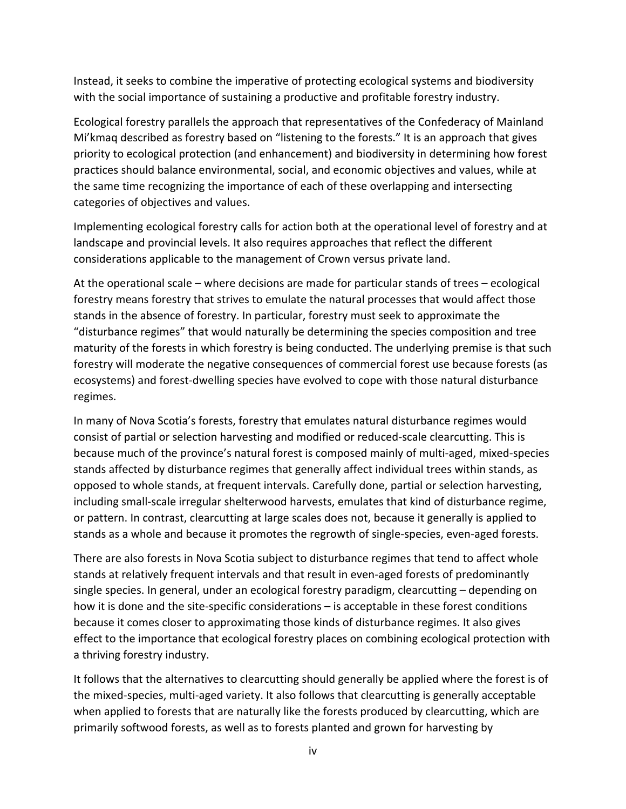Instead, it seeks to combine the imperative of protecting ecological systems and biodiversity with the social importance of sustaining a productive and profitable forestry industry.

Ecological forestry parallels the approach that representatives of the Confederacy of Mainland Mi'kmaq described as forestry based on "listening to the forests." It is an approach that gives priority to ecological protection (and enhancement) and biodiversity in determining how forest practices should balance environmental, social, and economic objectives and values, while at the same time recognizing the importance of each of these overlapping and intersecting categories of objectives and values.

Implementing ecological forestry calls for action both at the operational level of forestry and at landscape and provincial levels. It also requires approaches that reflect the different considerations applicable to the management of Crown versus private land.

At the operational scale – where decisions are made for particular stands of trees – ecological forestry means forestry that strives to emulate the natural processes that would affect those stands in the absence of forestry. In particular, forestry must seek to approximate the "disturbance regimes" that would naturally be determining the species composition and tree maturity of the forests in which forestry is being conducted. The underlying premise is that such forestry will moderate the negative consequences of commercial forest use because forests (as ecosystems) and forest-dwelling species have evolved to cope with those natural disturbance regimes.

In many of Nova Scotia's forests, forestry that emulates natural disturbance regimes would consist of partial or selection harvesting and modified or reduced‐scale clearcutting. This is because much of the province's natural forest is composed mainly of multi-aged, mixed-species stands affected by disturbance regimes that generally affect individual trees within stands, as opposed to whole stands, at frequent intervals. Carefully done, partial or selection harvesting, including small‐scale irregular shelterwood harvests, emulates that kind of disturbance regime, or pattern. In contrast, clearcutting at large scales does not, because it generally is applied to stands as a whole and because it promotes the regrowth of single‐species, even‐aged forests.

There are also forests in Nova Scotia subject to disturbance regimes that tend to affect whole stands at relatively frequent intervals and that result in even‐aged forests of predominantly single species. In general, under an ecological forestry paradigm, clearcutting – depending on how it is done and the site-specific considerations – is acceptable in these forest conditions because it comes closer to approximating those kinds of disturbance regimes. It also gives effect to the importance that ecological forestry places on combining ecological protection with a thriving forestry industry.

It follows that the alternatives to clearcutting should generally be applied where the forest is of the mixed‐species, multi‐aged variety. It also follows that clearcutting is generally acceptable when applied to forests that are naturally like the forests produced by clearcutting, which are primarily softwood forests, as well as to forests planted and grown for harvesting by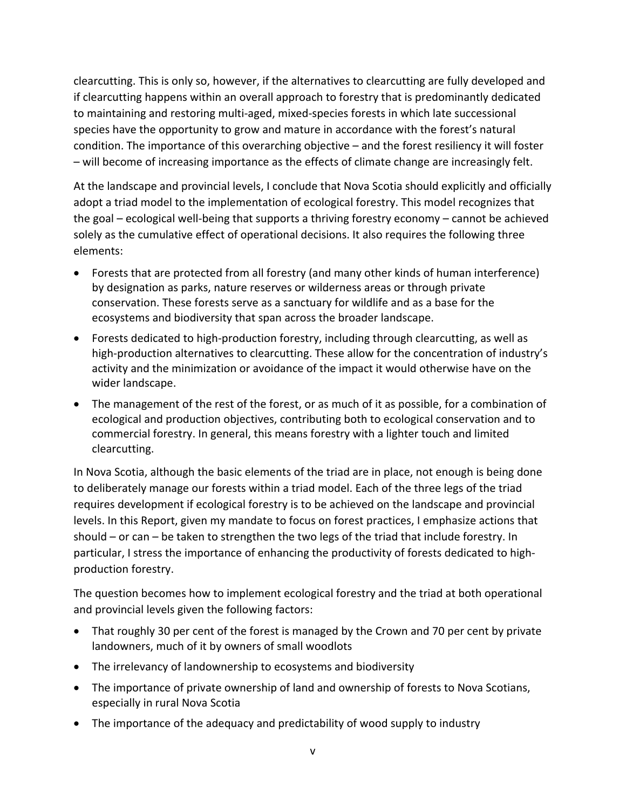clearcutting. This is only so, however, if the alternatives to clearcutting are fully developed and if clearcutting happens within an overall approach to forestry that is predominantly dedicated to maintaining and restoring multi‐aged, mixed‐species forests in which late successional species have the opportunity to grow and mature in accordance with the forest's natural condition. The importance of this overarching objective – and the forest resiliency it will foster – will become of increasing importance as the effects of climate change are increasingly felt.

At the landscape and provincial levels, I conclude that Nova Scotia should explicitly and officially adopt a triad model to the implementation of ecological forestry. This model recognizes that the goal – ecological well‐being that supports a thriving forestry economy – cannot be achieved solely as the cumulative effect of operational decisions. It also requires the following three elements:

- Forests that are protected from all forestry (and many other kinds of human interference) by designation as parks, nature reserves or wilderness areas or through private conservation. These forests serve as a sanctuary for wildlife and as a base for the ecosystems and biodiversity that span across the broader landscape.
- Forests dedicated to high‐production forestry, including through clearcutting, as well as high-production alternatives to clearcutting. These allow for the concentration of industry's activity and the minimization or avoidance of the impact it would otherwise have on the wider landscape.
- The management of the rest of the forest, or as much of it as possible, for a combination of ecological and production objectives, contributing both to ecological conservation and to commercial forestry. In general, this means forestry with a lighter touch and limited clearcutting.

In Nova Scotia, although the basic elements of the triad are in place, not enough is being done to deliberately manage our forests within a triad model. Each of the three legs of the triad requires development if ecological forestry is to be achieved on the landscape and provincial levels. In this Report, given my mandate to focus on forest practices, I emphasize actions that should – or can – be taken to strengthen the two legs of the triad that include forestry. In particular, I stress the importance of enhancing the productivity of forests dedicated to high‐ production forestry.

The question becomes how to implement ecological forestry and the triad at both operational and provincial levels given the following factors:

- That roughly 30 per cent of the forest is managed by the Crown and 70 per cent by private landowners, much of it by owners of small woodlots
- The irrelevancy of landownership to ecosystems and biodiversity
- The importance of private ownership of land and ownership of forests to Nova Scotians, especially in rural Nova Scotia
- The importance of the adequacy and predictability of wood supply to industry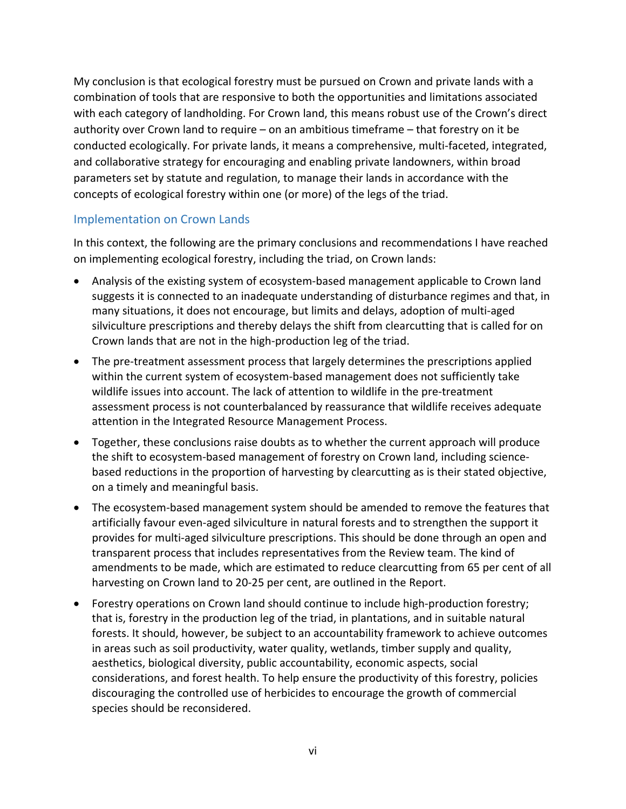My conclusion is that ecological forestry must be pursued on Crown and private lands with a combination of tools that are responsive to both the opportunities and limitations associated with each category of landholding. For Crown land, this means robust use of the Crown's direct authority over Crown land to require – on an ambitious timeframe – that forestry on it be conducted ecologically. For private lands, it means a comprehensive, multi-faceted, integrated, and collaborative strategy for encouraging and enabling private landowners, within broad parameters set by statute and regulation, to manage their lands in accordance with the concepts of ecological forestry within one (or more) of the legs of the triad.

#### Implementation on Crown Lands

In this context, the following are the primary conclusions and recommendations I have reached on implementing ecological forestry, including the triad, on Crown lands:

- Analysis of the existing system of ecosystem-based management applicable to Crown land suggests it is connected to an inadequate understanding of disturbance regimes and that, in many situations, it does not encourage, but limits and delays, adoption of multi‐aged silviculture prescriptions and thereby delays the shift from clearcutting that is called for on Crown lands that are not in the high‐production leg of the triad.
- The pre-treatment assessment process that largely determines the prescriptions applied within the current system of ecosystem-based management does not sufficiently take wildlife issues into account. The lack of attention to wildlife in the pre‐treatment assessment process is not counterbalanced by reassurance that wildlife receives adequate attention in the Integrated Resource Management Process.
- Together, these conclusions raise doubts as to whether the current approach will produce the shift to ecosystem‐based management of forestry on Crown land, including science‐ based reductions in the proportion of harvesting by clearcutting as is their stated objective, on a timely and meaningful basis.
- The ecosystem-based management system should be amended to remove the features that artificially favour even‐aged silviculture in natural forests and to strengthen the support it provides for multi‐aged silviculture prescriptions. This should be done through an open and transparent process that includes representatives from the Review team. The kind of amendments to be made, which are estimated to reduce clearcutting from 65 per cent of all harvesting on Crown land to 20‐25 per cent, are outlined in the Report.
- Forestry operations on Crown land should continue to include high-production forestry; that is, forestry in the production leg of the triad, in plantations, and in suitable natural forests. It should, however, be subject to an accountability framework to achieve outcomes in areas such as soil productivity, water quality, wetlands, timber supply and quality, aesthetics, biological diversity, public accountability, economic aspects, social considerations, and forest health. To help ensure the productivity of this forestry, policies discouraging the controlled use of herbicides to encourage the growth of commercial species should be reconsidered.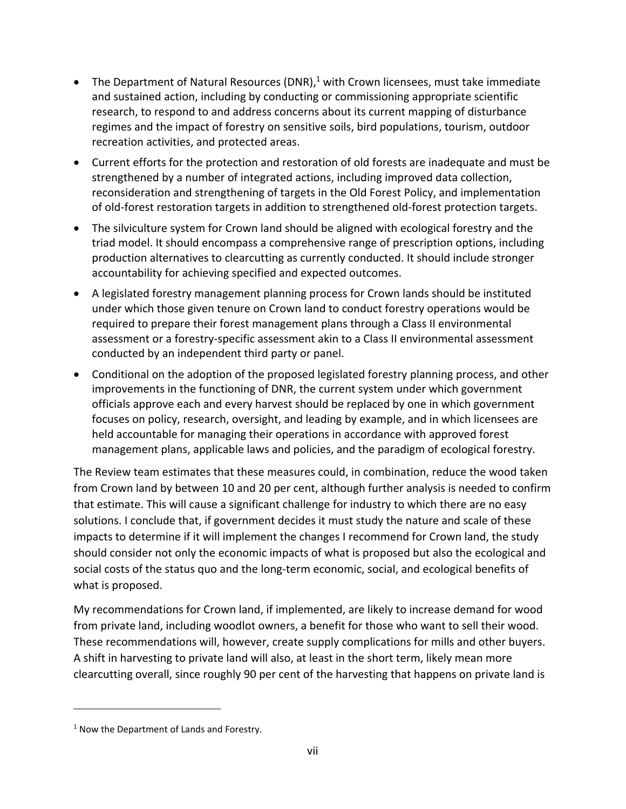- The Department of Natural Resources (DNR),<sup>1</sup> with Crown licensees, must take immediate and sustained action, including by conducting or commissioning appropriate scientific research, to respond to and address concerns about its current mapping of disturbance regimes and the impact of forestry on sensitive soils, bird populations, tourism, outdoor recreation activities, and protected areas.
- Current efforts for the protection and restoration of old forests are inadequate and must be strengthened by a number of integrated actions, including improved data collection, reconsideration and strengthening of targets in the Old Forest Policy, and implementation of old-forest restoration targets in addition to strengthened old-forest protection targets.
- The silviculture system for Crown land should be aligned with ecological forestry and the triad model. It should encompass a comprehensive range of prescription options, including production alternatives to clearcutting as currently conducted. It should include stronger accountability for achieving specified and expected outcomes.
- A legislated forestry management planning process for Crown lands should be instituted under which those given tenure on Crown land to conduct forestry operations would be required to prepare their forest management plans through a Class II environmental assessment or a forestry‐specific assessment akin to a Class II environmental assessment conducted by an independent third party or panel.
- Conditional on the adoption of the proposed legislated forestry planning process, and other improvements in the functioning of DNR, the current system under which government officials approve each and every harvest should be replaced by one in which government focuses on policy, research, oversight, and leading by example, and in which licensees are held accountable for managing their operations in accordance with approved forest management plans, applicable laws and policies, and the paradigm of ecological forestry.

The Review team estimates that these measures could, in combination, reduce the wood taken from Crown land by between 10 and 20 per cent, although further analysis is needed to confirm that estimate. This will cause a significant challenge for industry to which there are no easy solutions. I conclude that, if government decides it must study the nature and scale of these impacts to determine if it will implement the changes I recommend for Crown land, the study should consider not only the economic impacts of what is proposed but also the ecological and social costs of the status quo and the long-term economic, social, and ecological benefits of what is proposed.

My recommendations for Crown land, if implemented, are likely to increase demand for wood from private land, including woodlot owners, a benefit for those who want to sell their wood. These recommendations will, however, create supply complications for mills and other buyers. A shift in harvesting to private land will also, at least in the short term, likely mean more clearcutting overall, since roughly 90 per cent of the harvesting that happens on private land is

<sup>&</sup>lt;sup>1</sup> Now the Department of Lands and Forestry.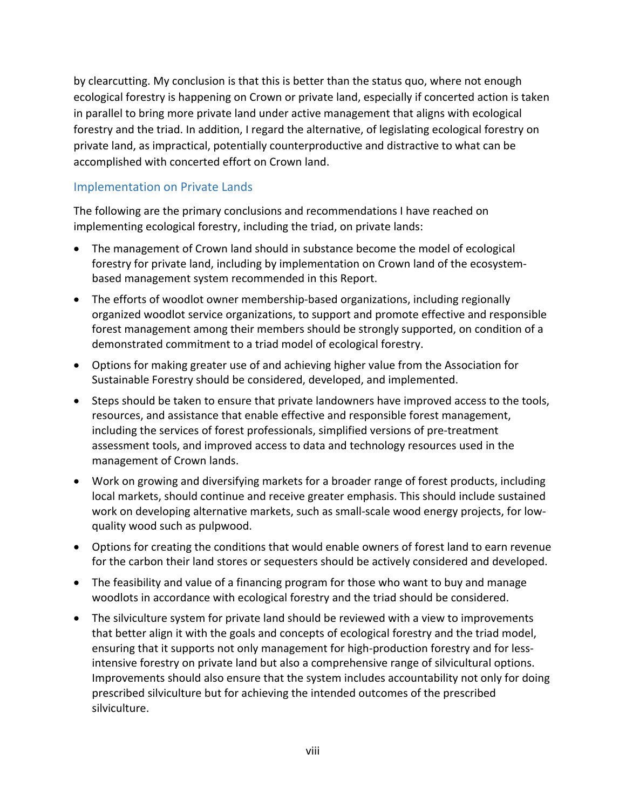by clearcutting. My conclusion is that this is better than the status quo, where not enough ecological forestry is happening on Crown or private land, especially if concerted action is taken in parallel to bring more private land under active management that aligns with ecological forestry and the triad. In addition, I regard the alternative, of legislating ecological forestry on private land, as impractical, potentially counterproductive and distractive to what can be accomplished with concerted effort on Crown land.

#### Implementation on Private Lands

The following are the primary conclusions and recommendations I have reached on implementing ecological forestry, including the triad, on private lands:

- The management of Crown land should in substance become the model of ecological forestry for private land, including by implementation on Crown land of the ecosystem‐ based management system recommended in this Report.
- The efforts of woodlot owner membership‐based organizations, including regionally organized woodlot service organizations, to support and promote effective and responsible forest management among their members should be strongly supported, on condition of a demonstrated commitment to a triad model of ecological forestry.
- Options for making greater use of and achieving higher value from the Association for Sustainable Forestry should be considered, developed, and implemented.
- Steps should be taken to ensure that private landowners have improved access to the tools, resources, and assistance that enable effective and responsible forest management, including the services of forest professionals, simplified versions of pre‐treatment assessment tools, and improved access to data and technology resources used in the management of Crown lands.
- Work on growing and diversifying markets for a broader range of forest products, including local markets, should continue and receive greater emphasis. This should include sustained work on developing alternative markets, such as small‐scale wood energy projects, for low‐ quality wood such as pulpwood.
- Options for creating the conditions that would enable owners of forest land to earn revenue for the carbon their land stores or sequesters should be actively considered and developed.
- The feasibility and value of a financing program for those who want to buy and manage woodlots in accordance with ecological forestry and the triad should be considered.
- The silviculture system for private land should be reviewed with a view to improvements that better align it with the goals and concepts of ecological forestry and the triad model, ensuring that it supports not only management for high‐production forestry and for less‐ intensive forestry on private land but also a comprehensive range of silvicultural options. Improvements should also ensure that the system includes accountability not only for doing prescribed silviculture but for achieving the intended outcomes of the prescribed silviculture.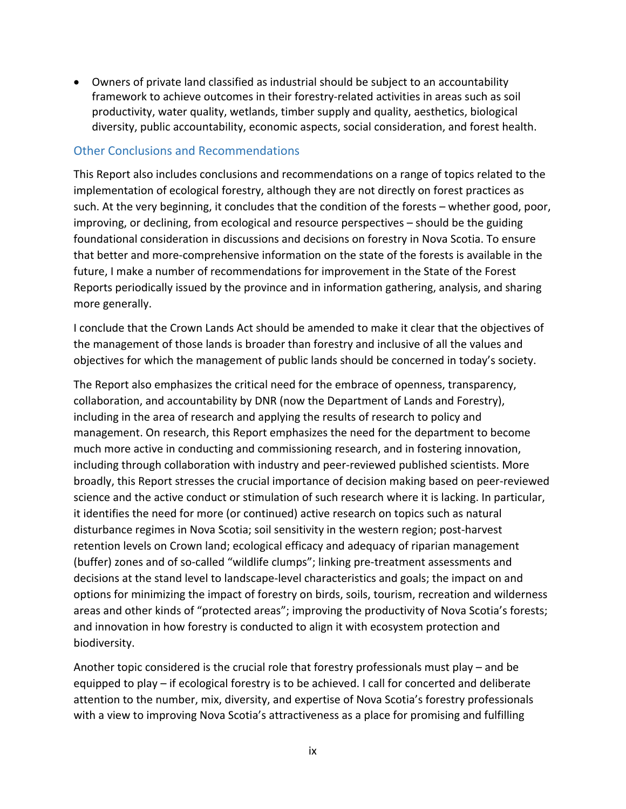Owners of private land classified as industrial should be subject to an accountability framework to achieve outcomes in their forestry-related activities in areas such as soil productivity, water quality, wetlands, timber supply and quality, aesthetics, biological diversity, public accountability, economic aspects, social consideration, and forest health.

#### Other Conclusions and Recommendations

This Report also includes conclusions and recommendations on a range of topics related to the implementation of ecological forestry, although they are not directly on forest practices as such. At the very beginning, it concludes that the condition of the forests – whether good, poor, improving, or declining, from ecological and resource perspectives – should be the guiding foundational consideration in discussions and decisions on forestry in Nova Scotia. To ensure that better and more‐comprehensive information on the state of the forests is available in the future, I make a number of recommendations for improvement in the State of the Forest Reports periodically issued by the province and in information gathering, analysis, and sharing more generally.

I conclude that the Crown Lands Act should be amended to make it clear that the objectives of the management of those lands is broader than forestry and inclusive of all the values and objectives for which the management of public lands should be concerned in today's society.

The Report also emphasizes the critical need for the embrace of openness, transparency, collaboration, and accountability by DNR (now the Department of Lands and Forestry), including in the area of research and applying the results of research to policy and management. On research, this Report emphasizes the need for the department to become much more active in conducting and commissioning research, and in fostering innovation, including through collaboration with industry and peer‐reviewed published scientists. More broadly, this Report stresses the crucial importance of decision making based on peer‐reviewed science and the active conduct or stimulation of such research where it is lacking. In particular, it identifies the need for more (or continued) active research on topics such as natural disturbance regimes in Nova Scotia; soil sensitivity in the western region; post‐harvest retention levels on Crown land; ecological efficacy and adequacy of riparian management (buffer) zones and of so‐called "wildlife clumps"; linking pre‐treatment assessments and decisions at the stand level to landscape‐level characteristics and goals; the impact on and options for minimizing the impact of forestry on birds, soils, tourism, recreation and wilderness areas and other kinds of "protected areas"; improving the productivity of Nova Scotia's forests; and innovation in how forestry is conducted to align it with ecosystem protection and biodiversity.

Another topic considered is the crucial role that forestry professionals must play – and be equipped to play – if ecological forestry is to be achieved. I call for concerted and deliberate attention to the number, mix, diversity, and expertise of Nova Scotia's forestry professionals with a view to improving Nova Scotia's attractiveness as a place for promising and fulfilling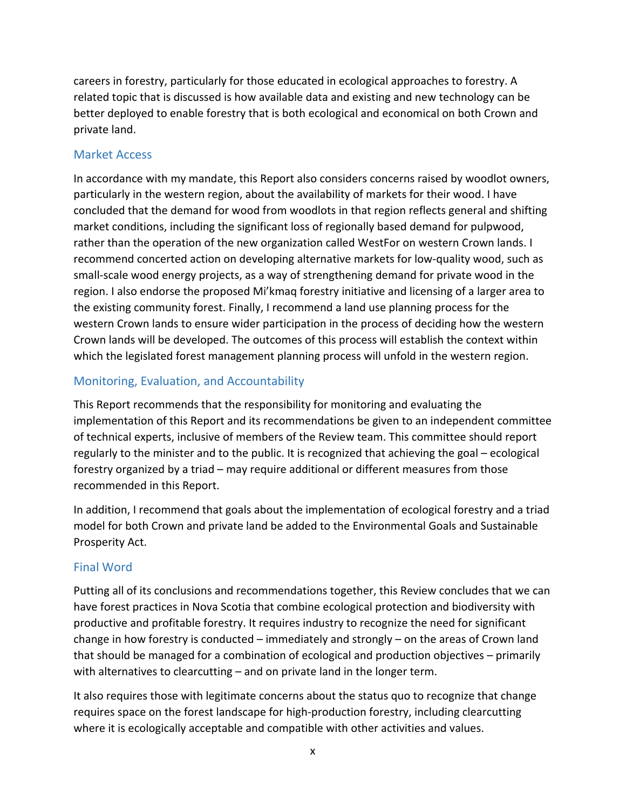careers in forestry, particularly for those educated in ecological approaches to forestry. A related topic that is discussed is how available data and existing and new technology can be better deployed to enable forestry that is both ecological and economical on both Crown and private land.

#### Market Access

In accordance with my mandate, this Report also considers concerns raised by woodlot owners, particularly in the western region, about the availability of markets for their wood. I have concluded that the demand for wood from woodlots in that region reflects general and shifting market conditions, including the significant loss of regionally based demand for pulpwood, rather than the operation of the new organization called WestFor on western Crown lands. I recommend concerted action on developing alternative markets for low‐quality wood, such as small‐scale wood energy projects, as a way of strengthening demand for private wood in the region. I also endorse the proposed Mi'kmaq forestry initiative and licensing of a larger area to the existing community forest. Finally, I recommend a land use planning process for the western Crown lands to ensure wider participation in the process of deciding how the western Crown lands will be developed. The outcomes of this process will establish the context within which the legislated forest management planning process will unfold in the western region.

## Monitoring, Evaluation, and Accountability

This Report recommends that the responsibility for monitoring and evaluating the implementation of this Report and its recommendations be given to an independent committee of technical experts, inclusive of members of the Review team. This committee should report regularly to the minister and to the public. It is recognized that achieving the goal – ecological forestry organized by a triad – may require additional or different measures from those recommended in this Report.

In addition, I recommend that goals about the implementation of ecological forestry and a triad model for both Crown and private land be added to the Environmental Goals and Sustainable Prosperity Act.

## Final Word

Putting all of its conclusions and recommendations together, this Review concludes that we can have forest practices in Nova Scotia that combine ecological protection and biodiversity with productive and profitable forestry. It requires industry to recognize the need for significant change in how forestry is conducted – immediately and strongly – on the areas of Crown land that should be managed for a combination of ecological and production objectives – primarily with alternatives to clearcutting – and on private land in the longer term.

It also requires those with legitimate concerns about the status quo to recognize that change requires space on the forest landscape for high‐production forestry, including clearcutting where it is ecologically acceptable and compatible with other activities and values.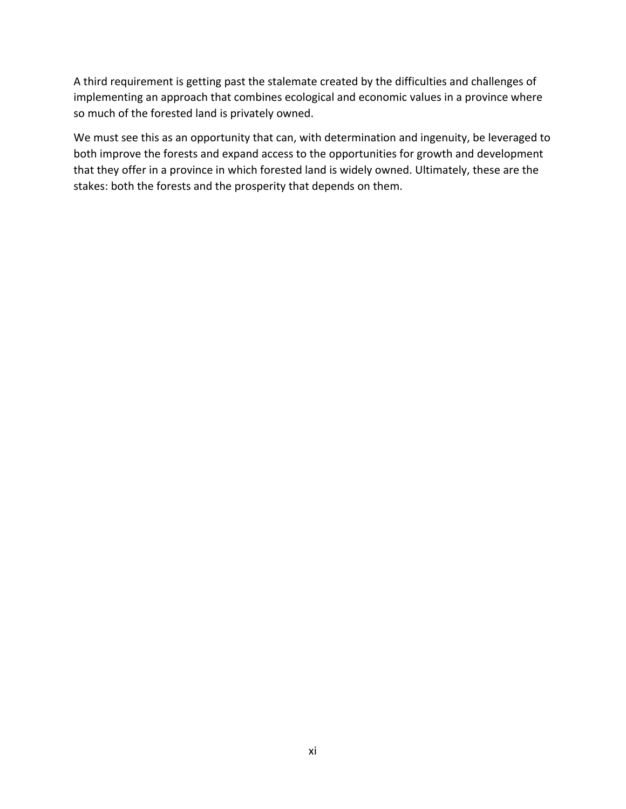A third requirement is getting past the stalemate created by the difficulties and challenges of implementing an approach that combines ecological and economic values in a province where so much of the forested land is privately owned.

We must see this as an opportunity that can, with determination and ingenuity, be leveraged to both improve the forests and expand access to the opportunities for growth and development that they offer in a province in which forested land is widely owned. Ultimately, these are the stakes: both the forests and the prosperity that depends on them.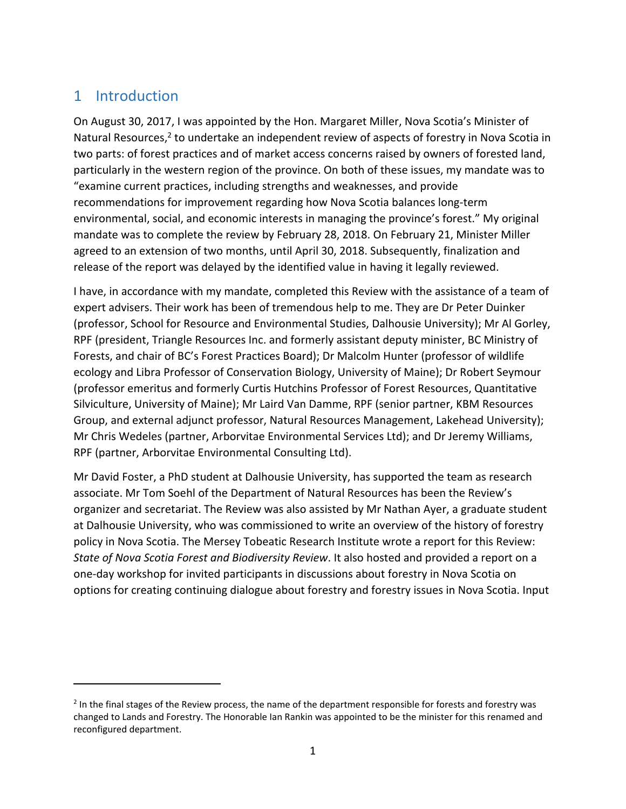## 1 Introduction

On August 30, 2017, I was appointed by the Hon. Margaret Miller, Nova Scotia's Minister of Natural Resources, $2$  to undertake an independent review of aspects of forestry in Nova Scotia in two parts: of forest practices and of market access concerns raised by owners of forested land, particularly in the western region of the province. On both of these issues, my mandate was to "examine current practices, including strengths and weaknesses, and provide recommendations for improvement regarding how Nova Scotia balances long‐term environmental, social, and economic interests in managing the province's forest." My original mandate was to complete the review by February 28, 2018. On February 21, Minister Miller agreed to an extension of two months, until April 30, 2018. Subsequently, finalization and release of the report was delayed by the identified value in having it legally reviewed.

I have, in accordance with my mandate, completed this Review with the assistance of a team of expert advisers. Their work has been of tremendous help to me. They are Dr Peter Duinker (professor, School for Resource and Environmental Studies, Dalhousie University); Mr Al Gorley, RPF (president, Triangle Resources Inc. and formerly assistant deputy minister, BC Ministry of Forests, and chair of BC's Forest Practices Board); Dr Malcolm Hunter (professor of wildlife ecology and Libra Professor of Conservation Biology, University of Maine); Dr Robert Seymour (professor emeritus and formerly Curtis Hutchins Professor of Forest Resources, Quantitative Silviculture, University of Maine); Mr Laird Van Damme, RPF (senior partner, KBM Resources Group, and external adjunct professor, Natural Resources Management, Lakehead University); Mr Chris Wedeles (partner, Arborvitae Environmental Services Ltd); and Dr Jeremy Williams, RPF (partner, Arborvitae Environmental Consulting Ltd).

Mr David Foster, a PhD student at Dalhousie University, has supported the team as research associate. Mr Tom Soehl of the Department of Natural Resources has been the Review's organizer and secretariat. The Review was also assisted by Mr Nathan Ayer, a graduate student at Dalhousie University, who was commissioned to write an overview of the history of forestry policy in Nova Scotia. The Mersey Tobeatic Research Institute wrote a report for this Review: *State of Nova Scotia Forest and Biodiversity Review*. It also hosted and provided a report on a one‐day workshop for invited participants in discussions about forestry in Nova Scotia on options for creating continuing dialogue about forestry and forestry issues in Nova Scotia. Input

 $2$  In the final stages of the Review process, the name of the department responsible for forests and forestry was changed to Lands and Forestry. The Honorable Ian Rankin was appointed to be the minister for this renamed and reconfigured department.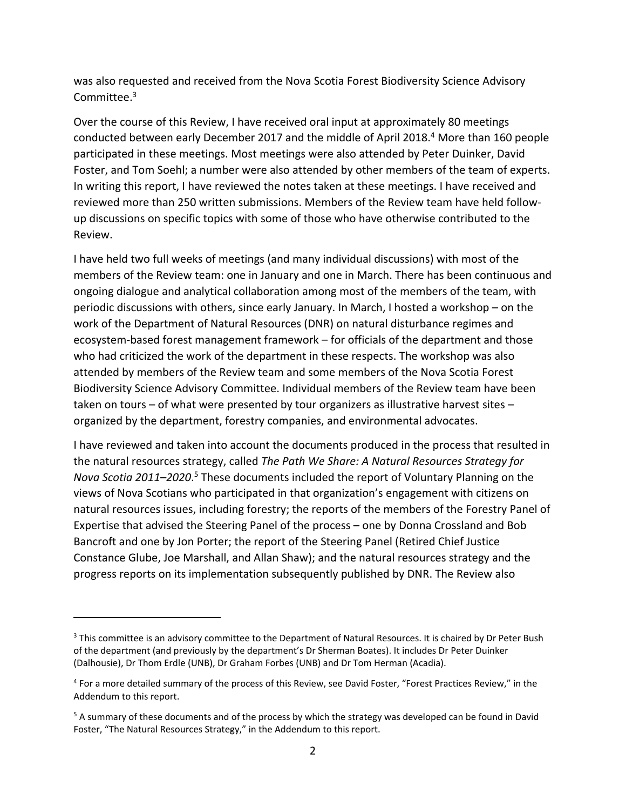was also requested and received from the Nova Scotia Forest Biodiversity Science Advisory Committee.3

Over the course of this Review, I have received oral input at approximately 80 meetings conducted between early December 2017 and the middle of April 2018.<sup>4</sup> More than 160 people participated in these meetings. Most meetings were also attended by Peter Duinker, David Foster, and Tom Soehl; a number were also attended by other members of the team of experts. In writing this report, I have reviewed the notes taken at these meetings. I have received and reviewed more than 250 written submissions. Members of the Review team have held follow‐ up discussions on specific topics with some of those who have otherwise contributed to the Review.

I have held two full weeks of meetings (and many individual discussions) with most of the members of the Review team: one in January and one in March. There has been continuous and ongoing dialogue and analytical collaboration among most of the members of the team, with periodic discussions with others, since early January. In March, I hosted a workshop – on the work of the Department of Natural Resources (DNR) on natural disturbance regimes and ecosystem‐based forest management framework – for officials of the department and those who had criticized the work of the department in these respects. The workshop was also attended by members of the Review team and some members of the Nova Scotia Forest Biodiversity Science Advisory Committee. Individual members of the Review team have been taken on tours – of what were presented by tour organizers as illustrative harvest sites – organized by the department, forestry companies, and environmental advocates.

I have reviewed and taken into account the documents produced in the process that resulted in the natural resources strategy, called *The Path We Share: A Natural Resources Strategy for*  Nova Scotia 2011–2020.<sup>5</sup> These documents included the report of Voluntary Planning on the views of Nova Scotians who participated in that organization's engagement with citizens on natural resources issues, including forestry; the reports of the members of the Forestry Panel of Expertise that advised the Steering Panel of the process – one by Donna Crossland and Bob Bancroft and one by Jon Porter; the report of the Steering Panel (Retired Chief Justice Constance Glube, Joe Marshall, and Allan Shaw); and the natural resources strategy and the progress reports on its implementation subsequently published by DNR. The Review also

<sup>&</sup>lt;sup>3</sup> This committee is an advisory committee to the Department of Natural Resources. It is chaired by Dr Peter Bush of the department (and previously by the department's Dr Sherman Boates). It includes Dr Peter Duinker (Dalhousie), Dr Thom Erdle (UNB), Dr Graham Forbes (UNB) and Dr Tom Herman (Acadia).

<sup>4</sup> For a more detailed summary of the process of this Review, see David Foster, "Forest Practices Review," in the Addendum to this report.

<sup>&</sup>lt;sup>5</sup> A summary of these documents and of the process by which the strategy was developed can be found in David Foster, "The Natural Resources Strategy," in the Addendum to this report.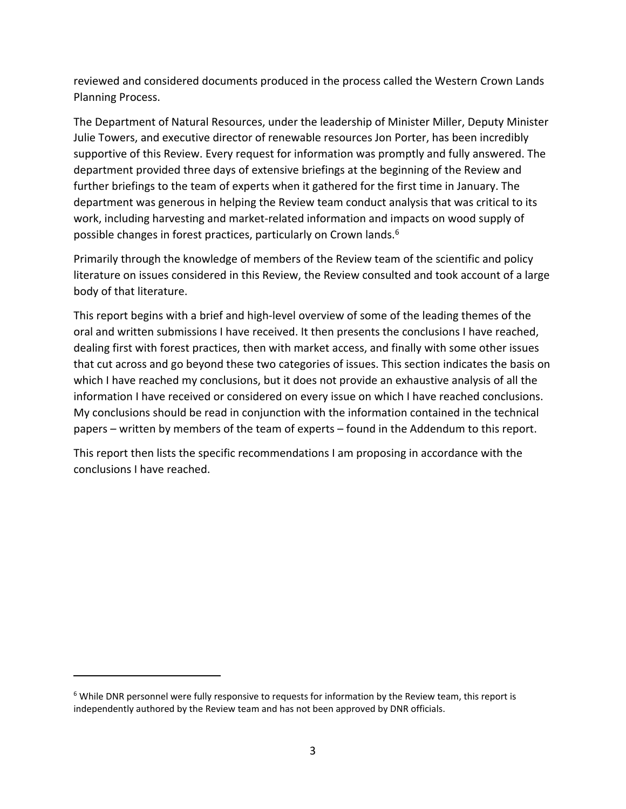reviewed and considered documents produced in the process called the Western Crown Lands Planning Process.

The Department of Natural Resources, under the leadership of Minister Miller, Deputy Minister Julie Towers, and executive director of renewable resources Jon Porter, has been incredibly supportive of this Review. Every request for information was promptly and fully answered. The department provided three days of extensive briefings at the beginning of the Review and further briefings to the team of experts when it gathered for the first time in January. The department was generous in helping the Review team conduct analysis that was critical to its work, including harvesting and market-related information and impacts on wood supply of possible changes in forest practices, particularly on Crown lands.6

Primarily through the knowledge of members of the Review team of the scientific and policy literature on issues considered in this Review, the Review consulted and took account of a large body of that literature.

This report begins with a brief and high‐level overview of some of the leading themes of the oral and written submissions I have received. It then presents the conclusions I have reached, dealing first with forest practices, then with market access, and finally with some other issues that cut across and go beyond these two categories of issues. This section indicates the basis on which I have reached my conclusions, but it does not provide an exhaustive analysis of all the information I have received or considered on every issue on which I have reached conclusions. My conclusions should be read in conjunction with the information contained in the technical papers – written by members of the team of experts – found in the Addendum to this report.

This report then lists the specific recommendations I am proposing in accordance with the conclusions I have reached.

<sup>6</sup> While DNR personnel were fully responsive to requests for information by the Review team, this report is independently authored by the Review team and has not been approved by DNR officials.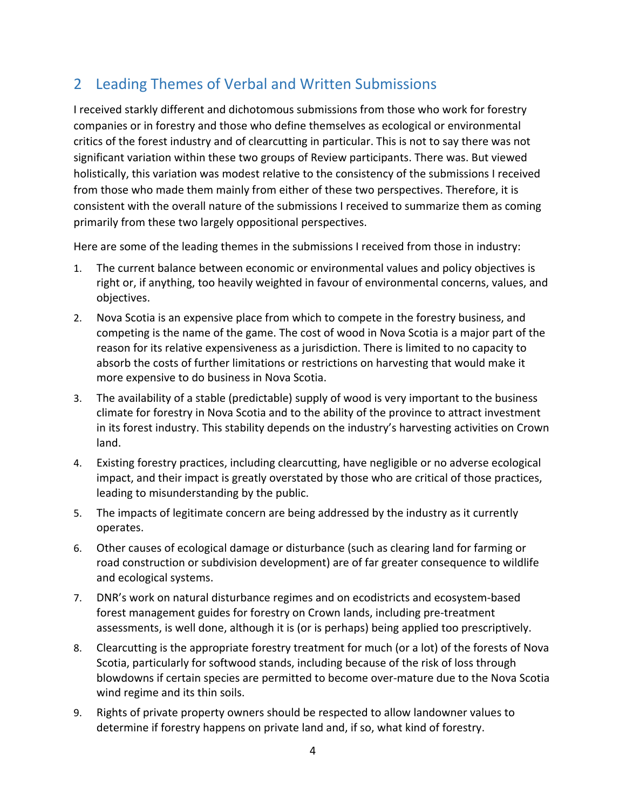# 2 Leading Themes of Verbal and Written Submissions

I received starkly different and dichotomous submissions from those who work for forestry companies or in forestry and those who define themselves as ecological or environmental critics of the forest industry and of clearcutting in particular. This is not to say there was not significant variation within these two groups of Review participants. There was. But viewed holistically, this variation was modest relative to the consistency of the submissions I received from those who made them mainly from either of these two perspectives. Therefore, it is consistent with the overall nature of the submissions I received to summarize them as coming primarily from these two largely oppositional perspectives.

Here are some of the leading themes in the submissions I received from those in industry:

- 1. The current balance between economic or environmental values and policy objectives is right or, if anything, too heavily weighted in favour of environmental concerns, values, and objectives.
- 2. Nova Scotia is an expensive place from which to compete in the forestry business, and competing is the name of the game. The cost of wood in Nova Scotia is a major part of the reason for its relative expensiveness as a jurisdiction. There is limited to no capacity to absorb the costs of further limitations or restrictions on harvesting that would make it more expensive to do business in Nova Scotia.
- 3. The availability of a stable (predictable) supply of wood is very important to the business climate for forestry in Nova Scotia and to the ability of the province to attract investment in its forest industry. This stability depends on the industry's harvesting activities on Crown land.
- 4. Existing forestry practices, including clearcutting, have negligible or no adverse ecological impact, and their impact is greatly overstated by those who are critical of those practices, leading to misunderstanding by the public.
- 5. The impacts of legitimate concern are being addressed by the industry as it currently operates.
- 6. Other causes of ecological damage or disturbance (such as clearing land for farming or road construction or subdivision development) are of far greater consequence to wildlife and ecological systems.
- 7. DNR's work on natural disturbance regimes and on ecodistricts and ecosystem‐based forest management guides for forestry on Crown lands, including pre‐treatment assessments, is well done, although it is (or is perhaps) being applied too prescriptively.
- 8. Clearcutting is the appropriate forestry treatment for much (or a lot) of the forests of Nova Scotia, particularly for softwood stands, including because of the risk of loss through blowdowns if certain species are permitted to become over-mature due to the Nova Scotia wind regime and its thin soils.
- 9. Rights of private property owners should be respected to allow landowner values to determine if forestry happens on private land and, if so, what kind of forestry.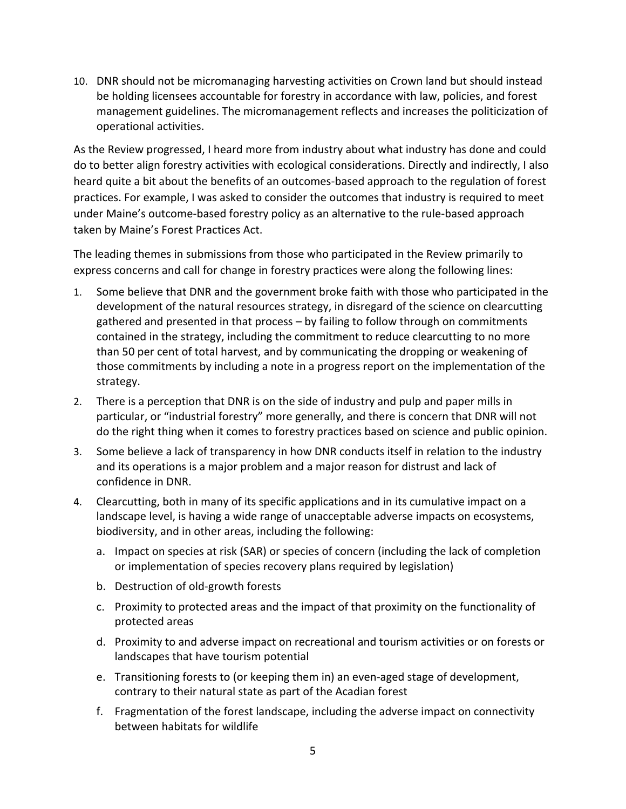10. DNR should not be micromanaging harvesting activities on Crown land but should instead be holding licensees accountable for forestry in accordance with law, policies, and forest management guidelines. The micromanagement reflects and increases the politicization of operational activities.

As the Review progressed, I heard more from industry about what industry has done and could do to better align forestry activities with ecological considerations. Directly and indirectly, I also heard quite a bit about the benefits of an outcomes-based approach to the regulation of forest practices. For example, I was asked to consider the outcomes that industry is required to meet under Maine's outcome‐based forestry policy as an alternative to the rule‐based approach taken by Maine's Forest Practices Act.

The leading themes in submissions from those who participated in the Review primarily to express concerns and call for change in forestry practices were along the following lines:

- 1. Some believe that DNR and the government broke faith with those who participated in the development of the natural resources strategy, in disregard of the science on clearcutting gathered and presented in that process – by failing to follow through on commitments contained in the strategy, including the commitment to reduce clearcutting to no more than 50 per cent of total harvest, and by communicating the dropping or weakening of those commitments by including a note in a progress report on the implementation of the strategy.
- 2. There is a perception that DNR is on the side of industry and pulp and paper mills in particular, or "industrial forestry" more generally, and there is concern that DNR will not do the right thing when it comes to forestry practices based on science and public opinion.
- 3. Some believe a lack of transparency in how DNR conducts itself in relation to the industry and its operations is a major problem and a major reason for distrust and lack of confidence in DNR.
- 4. Clearcutting, both in many of its specific applications and in its cumulative impact on a landscape level, is having a wide range of unacceptable adverse impacts on ecosystems, biodiversity, and in other areas, including the following:
	- a. Impact on species at risk (SAR) or species of concern (including the lack of completion or implementation of species recovery plans required by legislation)
	- b. Destruction of old‐growth forests
	- c. Proximity to protected areas and the impact of that proximity on the functionality of protected areas
	- d. Proximity to and adverse impact on recreational and tourism activities or on forests or landscapes that have tourism potential
	- e. Transitioning forests to (or keeping them in) an even‐aged stage of development, contrary to their natural state as part of the Acadian forest
	- f. Fragmentation of the forest landscape, including the adverse impact on connectivity between habitats for wildlife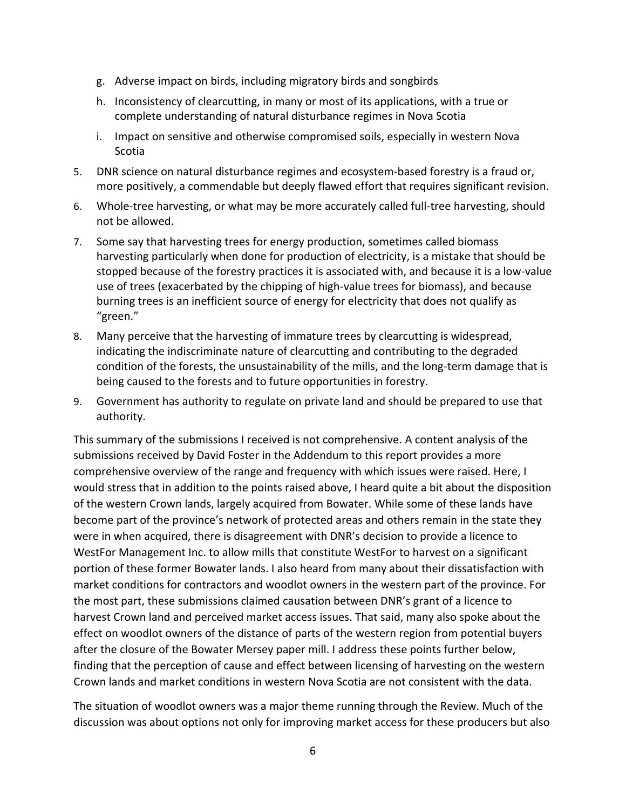- g. Adverse impact on birds, including migratory birds and songbirds
- h. Inconsistency of clearcutting, in many or most of its applications, with a true or complete understanding of natural disturbance regimes in Nova Scotia
- i. Impact on sensitive and otherwise compromised soils, especially in western Nova Scotia
- 5. DNR science on natural disturbance regimes and ecosystem-based forestry is a fraud or, more positively, a commendable but deeply flawed effort that requires significant revision.
- 6. Whole-tree harvesting, or what may be more accurately called full-tree harvesting, should not be allowed.
- 7. Some say that harvesting trees for energy production, sometimes called biomass harvesting particularly when done for production of electricity, is a mistake that should be stopped because of the forestry practices it is associated with, and because it is a low‐value use of trees (exacerbated by the chipping of high‐value trees for biomass), and because burning trees is an inefficient source of energy for electricity that does not qualify as "green."
- 8. Many perceive that the harvesting of immature trees by clearcutting is widespread, indicating the indiscriminate nature of clearcutting and contributing to the degraded condition of the forests, the unsustainability of the mills, and the long-term damage that is being caused to the forests and to future opportunities in forestry.
- 9. Government has authority to regulate on private land and should be prepared to use that authority.

This summary of the submissions I received is not comprehensive. A content analysis of the submissions received by David Foster in the Addendum to this report provides a more comprehensive overview of the range and frequency with which issues were raised. Here, I would stress that in addition to the points raised above, I heard quite a bit about the disposition of the western Crown lands, largely acquired from Bowater. While some of these lands have become part of the province's network of protected areas and others remain in the state they were in when acquired, there is disagreement with DNR's decision to provide a licence to WestFor Management Inc. to allow mills that constitute WestFor to harvest on a significant portion of these former Bowater lands. I also heard from many about their dissatisfaction with market conditions for contractors and woodlot owners in the western part of the province. For the most part, these submissions claimed causation between DNR's grant of a licence to harvest Crown land and perceived market access issues. That said, many also spoke about the effect on woodlot owners of the distance of parts of the western region from potential buyers after the closure of the Bowater Mersey paper mill. I address these points further below, finding that the perception of cause and effect between licensing of harvesting on the western Crown lands and market conditions in western Nova Scotia are not consistent with the data.

The situation of woodlot owners was a major theme running through the Review. Much of the discussion was about options not only for improving market access for these producers but also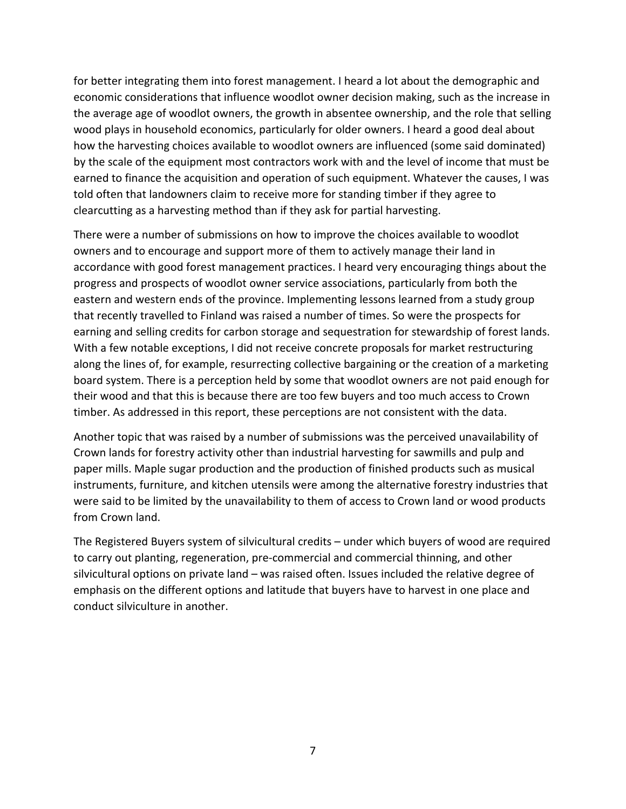for better integrating them into forest management. I heard a lot about the demographic and economic considerations that influence woodlot owner decision making, such as the increase in the average age of woodlot owners, the growth in absentee ownership, and the role that selling wood plays in household economics, particularly for older owners. I heard a good deal about how the harvesting choices available to woodlot owners are influenced (some said dominated) by the scale of the equipment most contractors work with and the level of income that must be earned to finance the acquisition and operation of such equipment. Whatever the causes, I was told often that landowners claim to receive more for standing timber if they agree to clearcutting as a harvesting method than if they ask for partial harvesting.

There were a number of submissions on how to improve the choices available to woodlot owners and to encourage and support more of them to actively manage their land in accordance with good forest management practices. I heard very encouraging things about the progress and prospects of woodlot owner service associations, particularly from both the eastern and western ends of the province. Implementing lessons learned from a study group that recently travelled to Finland was raised a number of times. So were the prospects for earning and selling credits for carbon storage and sequestration for stewardship of forest lands. With a few notable exceptions, I did not receive concrete proposals for market restructuring along the lines of, for example, resurrecting collective bargaining or the creation of a marketing board system. There is a perception held by some that woodlot owners are not paid enough for their wood and that this is because there are too few buyers and too much access to Crown timber. As addressed in this report, these perceptions are not consistent with the data.

Another topic that was raised by a number of submissions was the perceived unavailability of Crown lands for forestry activity other than industrial harvesting for sawmills and pulp and paper mills. Maple sugar production and the production of finished products such as musical instruments, furniture, and kitchen utensils were among the alternative forestry industries that were said to be limited by the unavailability to them of access to Crown land or wood products from Crown land.

The Registered Buyers system of silvicultural credits – under which buyers of wood are required to carry out planting, regeneration, pre‐commercial and commercial thinning, and other silvicultural options on private land – was raised often. Issues included the relative degree of emphasis on the different options and latitude that buyers have to harvest in one place and conduct silviculture in another.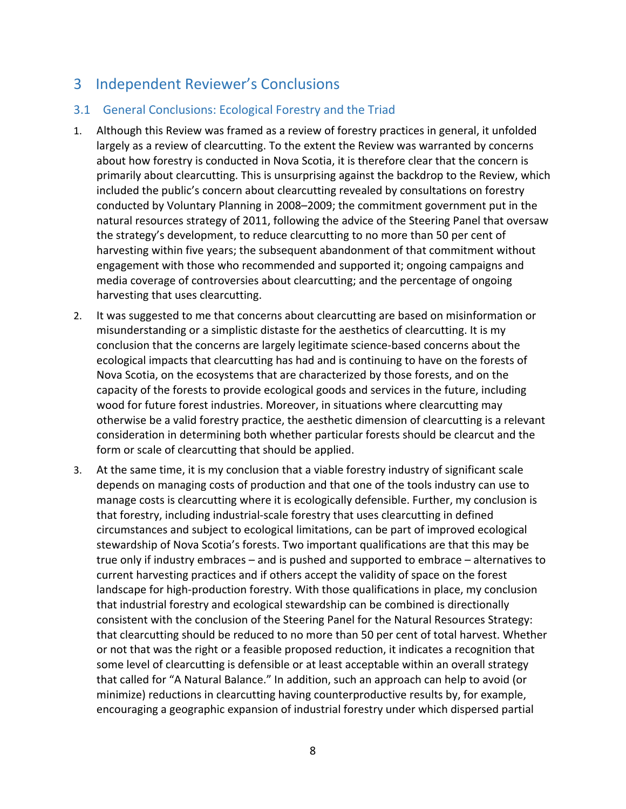## 3 Independent Reviewer's Conclusions

## 3.1 General Conclusions: Ecological Forestry and the Triad

- 1. Although this Review was framed as a review of forestry practices in general, it unfolded largely as a review of clearcutting. To the extent the Review was warranted by concerns about how forestry is conducted in Nova Scotia, it is therefore clear that the concern is primarily about clearcutting. This is unsurprising against the backdrop to the Review, which included the public's concern about clearcutting revealed by consultations on forestry conducted by Voluntary Planning in 2008–2009; the commitment government put in the natural resources strategy of 2011, following the advice of the Steering Panel that oversaw the strategy's development, to reduce clearcutting to no more than 50 per cent of harvesting within five years; the subsequent abandonment of that commitment without engagement with those who recommended and supported it; ongoing campaigns and media coverage of controversies about clearcutting; and the percentage of ongoing harvesting that uses clearcutting.
- 2. It was suggested to me that concerns about clearcutting are based on misinformation or misunderstanding or a simplistic distaste for the aesthetics of clearcutting. It is my conclusion that the concerns are largely legitimate science‐based concerns about the ecological impacts that clearcutting has had and is continuing to have on the forests of Nova Scotia, on the ecosystems that are characterized by those forests, and on the capacity of the forests to provide ecological goods and services in the future, including wood for future forest industries. Moreover, in situations where clearcutting may otherwise be a valid forestry practice, the aesthetic dimension of clearcutting is a relevant consideration in determining both whether particular forests should be clearcut and the form or scale of clearcutting that should be applied.
- 3. At the same time, it is my conclusion that a viable forestry industry of significant scale depends on managing costs of production and that one of the tools industry can use to manage costs is clearcutting where it is ecologically defensible. Further, my conclusion is that forestry, including industrial‐scale forestry that uses clearcutting in defined circumstances and subject to ecological limitations, can be part of improved ecological stewardship of Nova Scotia's forests. Two important qualifications are that this may be true only if industry embraces – and is pushed and supported to embrace – alternatives to current harvesting practices and if others accept the validity of space on the forest landscape for high-production forestry. With those qualifications in place, my conclusion that industrial forestry and ecological stewardship can be combined is directionally consistent with the conclusion of the Steering Panel for the Natural Resources Strategy: that clearcutting should be reduced to no more than 50 per cent of total harvest. Whether or not that was the right or a feasible proposed reduction, it indicates a recognition that some level of clearcutting is defensible or at least acceptable within an overall strategy that called for "A Natural Balance." In addition, such an approach can help to avoid (or minimize) reductions in clearcutting having counterproductive results by, for example, encouraging a geographic expansion of industrial forestry under which dispersed partial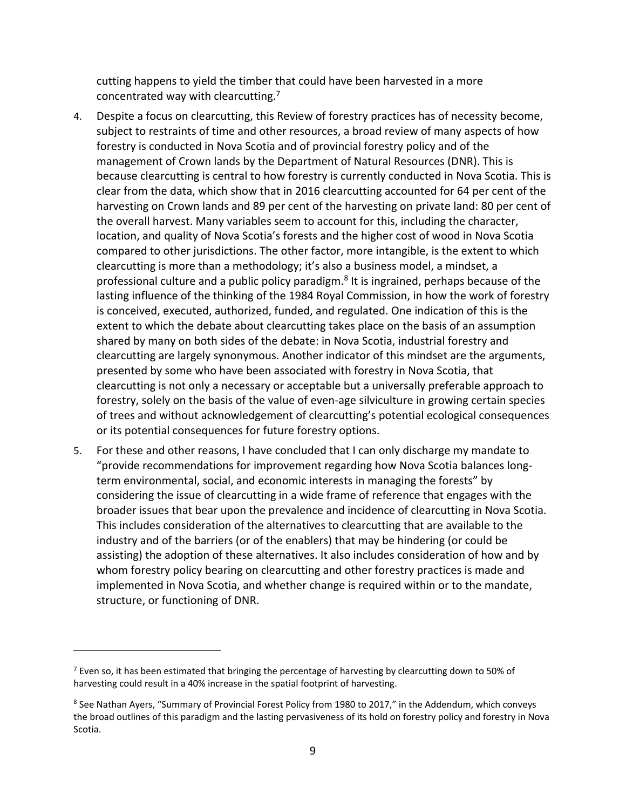cutting happens to yield the timber that could have been harvested in a more concentrated way with clearcutting.7

- 4. Despite a focus on clearcutting, this Review of forestry practices has of necessity become, subject to restraints of time and other resources, a broad review of many aspects of how forestry is conducted in Nova Scotia and of provincial forestry policy and of the management of Crown lands by the Department of Natural Resources (DNR). This is because clearcutting is central to how forestry is currently conducted in Nova Scotia. This is clear from the data, which show that in 2016 clearcutting accounted for 64 per cent of the harvesting on Crown lands and 89 per cent of the harvesting on private land: 80 per cent of the overall harvest. Many variables seem to account for this, including the character, location, and quality of Nova Scotia's forests and the higher cost of wood in Nova Scotia compared to other jurisdictions. The other factor, more intangible, is the extent to which clearcutting is more than a methodology; it's also a business model, a mindset, a professional culture and a public policy paradigm.<sup>8</sup> It is ingrained, perhaps because of the lasting influence of the thinking of the 1984 Royal Commission, in how the work of forestry is conceived, executed, authorized, funded, and regulated. One indication of this is the extent to which the debate about clearcutting takes place on the basis of an assumption shared by many on both sides of the debate: in Nova Scotia, industrial forestry and clearcutting are largely synonymous. Another indicator of this mindset are the arguments, presented by some who have been associated with forestry in Nova Scotia, that clearcutting is not only a necessary or acceptable but a universally preferable approach to forestry, solely on the basis of the value of even‐age silviculture in growing certain species of trees and without acknowledgement of clearcutting's potential ecological consequences or its potential consequences for future forestry options.
- 5. For these and other reasons, I have concluded that I can only discharge my mandate to "provide recommendations for improvement regarding how Nova Scotia balances long‐ term environmental, social, and economic interests in managing the forests" by considering the issue of clearcutting in a wide frame of reference that engages with the broader issues that bear upon the prevalence and incidence of clearcutting in Nova Scotia. This includes consideration of the alternatives to clearcutting that are available to the industry and of the barriers (or of the enablers) that may be hindering (or could be assisting) the adoption of these alternatives. It also includes consideration of how and by whom forestry policy bearing on clearcutting and other forestry practices is made and implemented in Nova Scotia, and whether change is required within or to the mandate, structure, or functioning of DNR.

<sup>&</sup>lt;sup>7</sup> Even so, it has been estimated that bringing the percentage of harvesting by clearcutting down to 50% of harvesting could result in a 40% increase in the spatial footprint of harvesting.

<sup>&</sup>lt;sup>8</sup> See Nathan Ayers, "Summary of Provincial Forest Policy from 1980 to 2017," in the Addendum, which conveys the broad outlines of this paradigm and the lasting pervasiveness of its hold on forestry policy and forestry in Nova Scotia.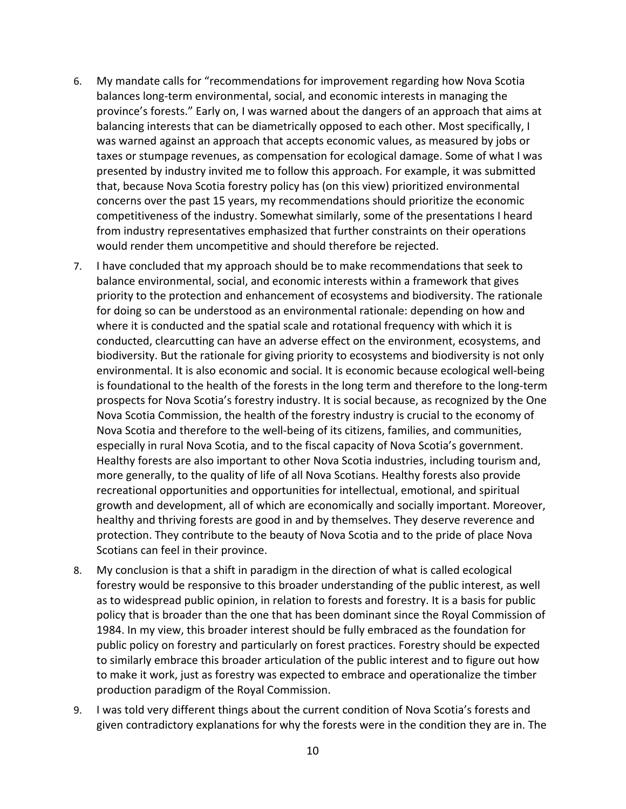- 6. My mandate calls for "recommendations for improvement regarding how Nova Scotia balances long‐term environmental, social, and economic interests in managing the province's forests." Early on, I was warned about the dangers of an approach that aims at balancing interests that can be diametrically opposed to each other. Most specifically, I was warned against an approach that accepts economic values, as measured by jobs or taxes or stumpage revenues, as compensation for ecological damage. Some of what I was presented by industry invited me to follow this approach. For example, it was submitted that, because Nova Scotia forestry policy has (on this view) prioritized environmental concerns over the past 15 years, my recommendations should prioritize the economic competitiveness of the industry. Somewhat similarly, some of the presentations I heard from industry representatives emphasized that further constraints on their operations would render them uncompetitive and should therefore be rejected.
- 7. I have concluded that my approach should be to make recommendations that seek to balance environmental, social, and economic interests within a framework that gives priority to the protection and enhancement of ecosystems and biodiversity. The rationale for doing so can be understood as an environmental rationale: depending on how and where it is conducted and the spatial scale and rotational frequency with which it is conducted, clearcutting can have an adverse effect on the environment, ecosystems, and biodiversity. But the rationale for giving priority to ecosystems and biodiversity is not only environmental. It is also economic and social. It is economic because ecological well‐being is foundational to the health of the forests in the long term and therefore to the long-term prospects for Nova Scotia's forestry industry. It is social because, as recognized by the One Nova Scotia Commission, the health of the forestry industry is crucial to the economy of Nova Scotia and therefore to the well‐being of its citizens, families, and communities, especially in rural Nova Scotia, and to the fiscal capacity of Nova Scotia's government. Healthy forests are also important to other Nova Scotia industries, including tourism and, more generally, to the quality of life of all Nova Scotians. Healthy forests also provide recreational opportunities and opportunities for intellectual, emotional, and spiritual growth and development, all of which are economically and socially important. Moreover, healthy and thriving forests are good in and by themselves. They deserve reverence and protection. They contribute to the beauty of Nova Scotia and to the pride of place Nova Scotians can feel in their province.
- 8. My conclusion is that a shift in paradigm in the direction of what is called ecological forestry would be responsive to this broader understanding of the public interest, as well as to widespread public opinion, in relation to forests and forestry. It is a basis for public policy that is broader than the one that has been dominant since the Royal Commission of 1984. In my view, this broader interest should be fully embraced as the foundation for public policy on forestry and particularly on forest practices. Forestry should be expected to similarly embrace this broader articulation of the public interest and to figure out how to make it work, just as forestry was expected to embrace and operationalize the timber production paradigm of the Royal Commission.
- 9. I was told very different things about the current condition of Nova Scotia's forests and given contradictory explanations for why the forests were in the condition they are in. The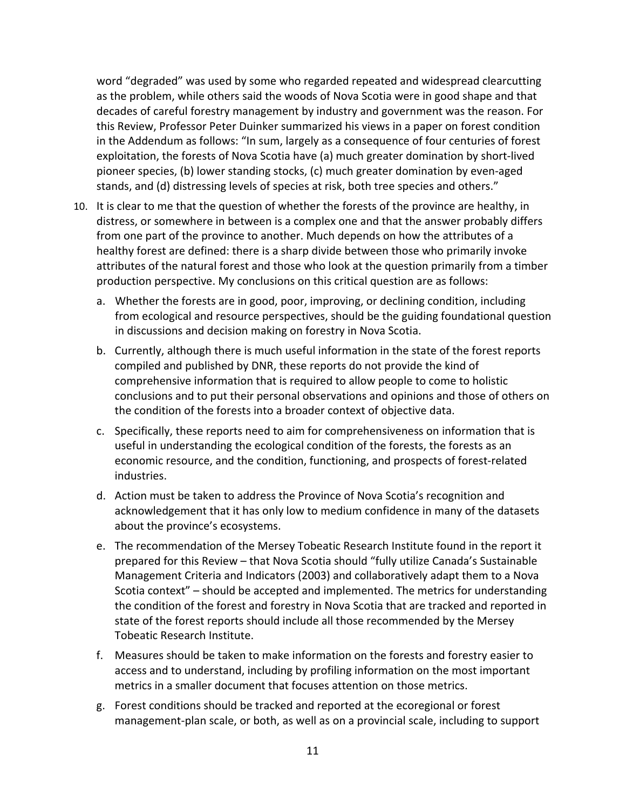word "degraded" was used by some who regarded repeated and widespread clearcutting as the problem, while others said the woods of Nova Scotia were in good shape and that decades of careful forestry management by industry and government was the reason. For this Review, Professor Peter Duinker summarized his views in a paper on forest condition in the Addendum as follows: "In sum, largely as a consequence of four centuries of forest exploitation, the forests of Nova Scotia have (a) much greater domination by short‐lived pioneer species, (b) lower standing stocks, (c) much greater domination by even‐aged stands, and (d) distressing levels of species at risk, both tree species and others."

- 10. It is clear to me that the question of whether the forests of the province are healthy, in distress, or somewhere in between is a complex one and that the answer probably differs from one part of the province to another. Much depends on how the attributes of a healthy forest are defined: there is a sharp divide between those who primarily invoke attributes of the natural forest and those who look at the question primarily from a timber production perspective. My conclusions on this critical question are as follows:
	- a. Whether the forests are in good, poor, improving, or declining condition, including from ecological and resource perspectives, should be the guiding foundational question in discussions and decision making on forestry in Nova Scotia.
	- b. Currently, although there is much useful information in the state of the forest reports compiled and published by DNR, these reports do not provide the kind of comprehensive information that is required to allow people to come to holistic conclusions and to put their personal observations and opinions and those of others on the condition of the forests into a broader context of objective data.
	- c. Specifically, these reports need to aim for comprehensiveness on information that is useful in understanding the ecological condition of the forests, the forests as an economic resource, and the condition, functioning, and prospects of forest-related industries.
	- d. Action must be taken to address the Province of Nova Scotia's recognition and acknowledgement that it has only low to medium confidence in many of the datasets about the province's ecosystems.
	- e. The recommendation of the Mersey Tobeatic Research Institute found in the report it prepared for this Review – that Nova Scotia should "fully utilize Canada's Sustainable Management Criteria and Indicators (2003) and collaboratively adapt them to a Nova Scotia context" – should be accepted and implemented. The metrics for understanding the condition of the forest and forestry in Nova Scotia that are tracked and reported in state of the forest reports should include all those recommended by the Mersey Tobeatic Research Institute.
	- f. Measures should be taken to make information on the forests and forestry easier to access and to understand, including by profiling information on the most important metrics in a smaller document that focuses attention on those metrics.
	- g. Forest conditions should be tracked and reported at the ecoregional or forest management‐plan scale, or both, as well as on a provincial scale, including to support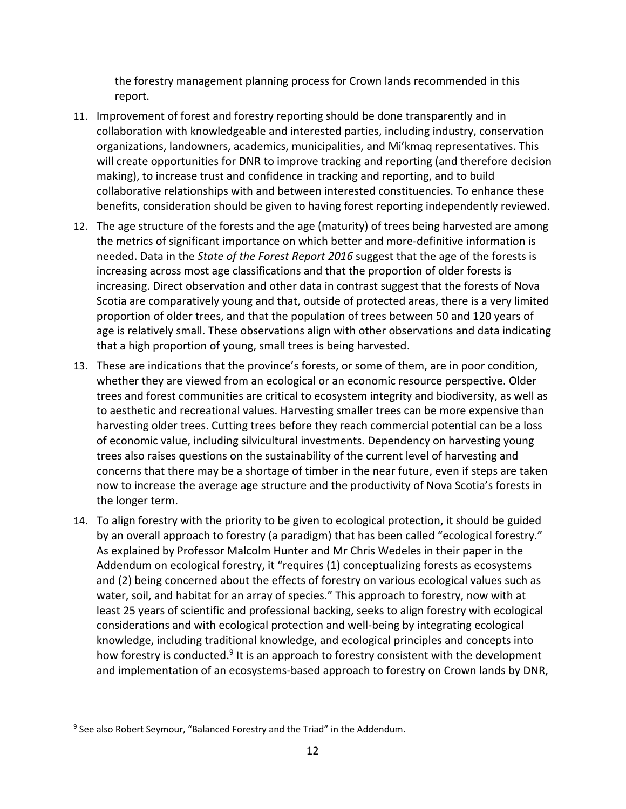the forestry management planning process for Crown lands recommended in this report.

- 11. Improvement of forest and forestry reporting should be done transparently and in collaboration with knowledgeable and interested parties, including industry, conservation organizations, landowners, academics, municipalities, and Mi'kmaq representatives. This will create opportunities for DNR to improve tracking and reporting (and therefore decision making), to increase trust and confidence in tracking and reporting, and to build collaborative relationships with and between interested constituencies. To enhance these benefits, consideration should be given to having forest reporting independently reviewed.
- 12. The age structure of the forests and the age (maturity) of trees being harvested are among the metrics of significant importance on which better and more‐definitive information is needed. Data in the *State of the Forest Report 2016* suggest that the age of the forests is increasing across most age classifications and that the proportion of older forests is increasing. Direct observation and other data in contrast suggest that the forests of Nova Scotia are comparatively young and that, outside of protected areas, there is a very limited proportion of older trees, and that the population of trees between 50 and 120 years of age is relatively small. These observations align with other observations and data indicating that a high proportion of young, small trees is being harvested.
- 13. These are indications that the province's forests, or some of them, are in poor condition, whether they are viewed from an ecological or an economic resource perspective. Older trees and forest communities are critical to ecosystem integrity and biodiversity, as well as to aesthetic and recreational values. Harvesting smaller trees can be more expensive than harvesting older trees. Cutting trees before they reach commercial potential can be a loss of economic value, including silvicultural investments. Dependency on harvesting young trees also raises questions on the sustainability of the current level of harvesting and concerns that there may be a shortage of timber in the near future, even if steps are taken now to increase the average age structure and the productivity of Nova Scotia's forests in the longer term.
- 14. To align forestry with the priority to be given to ecological protection, it should be guided by an overall approach to forestry (a paradigm) that has been called "ecological forestry." As explained by Professor Malcolm Hunter and Mr Chris Wedeles in their paper in the Addendum on ecological forestry, it "requires (1) conceptualizing forests as ecosystems and (2) being concerned about the effects of forestry on various ecological values such as water, soil, and habitat for an array of species." This approach to forestry, now with at least 25 years of scientific and professional backing, seeks to align forestry with ecological considerations and with ecological protection and well‐being by integrating ecological knowledge, including traditional knowledge, and ecological principles and concepts into how forestry is conducted.<sup>9</sup> It is an approach to forestry consistent with the development and implementation of an ecosystems‐based approach to forestry on Crown lands by DNR,

<sup>&</sup>lt;sup>9</sup> See also Robert Seymour, "Balanced Forestry and the Triad" in the Addendum.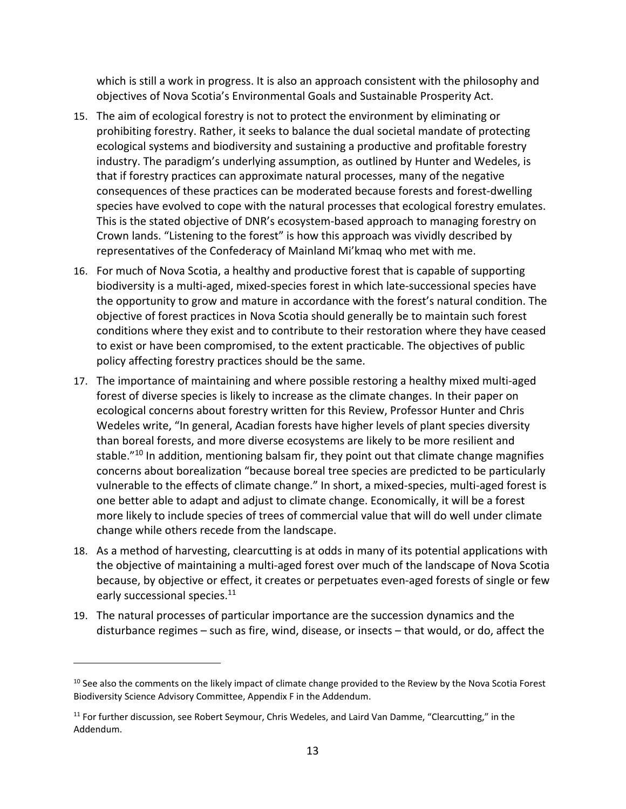which is still a work in progress. It is also an approach consistent with the philosophy and objectives of Nova Scotia's Environmental Goals and Sustainable Prosperity Act.

- 15. The aim of ecological forestry is not to protect the environment by eliminating or prohibiting forestry. Rather, it seeks to balance the dual societal mandate of protecting ecological systems and biodiversity and sustaining a productive and profitable forestry industry. The paradigm's underlying assumption, as outlined by Hunter and Wedeles, is that if forestry practices can approximate natural processes, many of the negative consequences of these practices can be moderated because forests and forest‐dwelling species have evolved to cope with the natural processes that ecological forestry emulates. This is the stated objective of DNR's ecosystem‐based approach to managing forestry on Crown lands. "Listening to the forest" is how this approach was vividly described by representatives of the Confederacy of Mainland Mi'kmaq who met with me.
- 16. For much of Nova Scotia, a healthy and productive forest that is capable of supporting biodiversity is a multi-aged, mixed-species forest in which late-successional species have the opportunity to grow and mature in accordance with the forest's natural condition. The objective of forest practices in Nova Scotia should generally be to maintain such forest conditions where they exist and to contribute to their restoration where they have ceased to exist or have been compromised, to the extent practicable. The objectives of public policy affecting forestry practices should be the same.
- 17. The importance of maintaining and where possible restoring a healthy mixed multi-aged forest of diverse species is likely to increase as the climate changes. In their paper on ecological concerns about forestry written for this Review, Professor Hunter and Chris Wedeles write, "In general, Acadian forests have higher levels of plant species diversity than boreal forests, and more diverse ecosystems are likely to be more resilient and stable.<sup>"10</sup> In addition, mentioning balsam fir, they point out that climate change magnifies concerns about borealization "because boreal tree species are predicted to be particularly vulnerable to the effects of climate change." In short, a mixed-species, multi-aged forest is one better able to adapt and adjust to climate change. Economically, it will be a forest more likely to include species of trees of commercial value that will do well under climate change while others recede from the landscape.
- 18. As a method of harvesting, clearcutting is at odds in many of its potential applications with the objective of maintaining a multi‐aged forest over much of the landscape of Nova Scotia because, by objective or effect, it creates or perpetuates even-aged forests of single or few early successional species.<sup>11</sup>
- 19. The natural processes of particular importance are the succession dynamics and the disturbance regimes – such as fire, wind, disease, or insects – that would, or do, affect the

 $10$  See also the comments on the likely impact of climate change provided to the Review by the Nova Scotia Forest Biodiversity Science Advisory Committee, Appendix F in the Addendum.

 $11$  For further discussion, see Robert Seymour, Chris Wedeles, and Laird Van Damme, "Clearcutting," in the Addendum.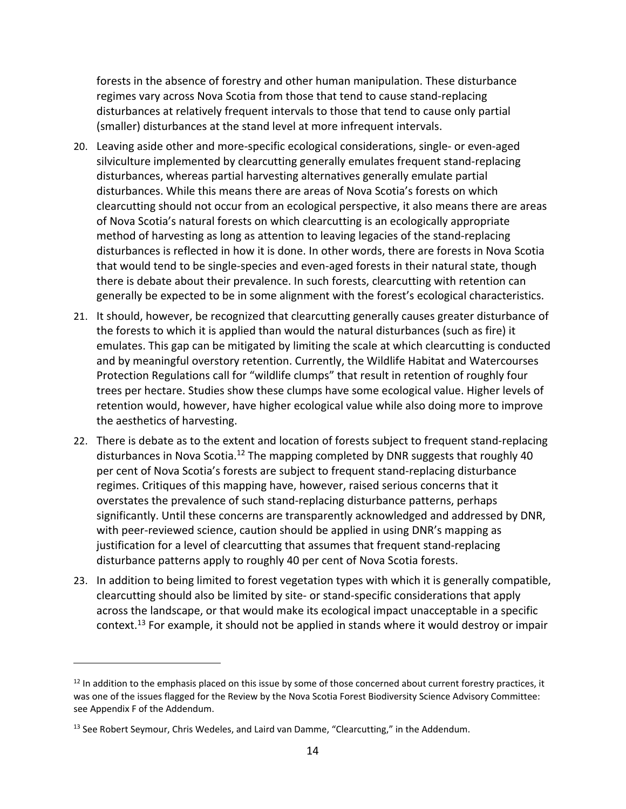forests in the absence of forestry and other human manipulation. These disturbance regimes vary across Nova Scotia from those that tend to cause stand‐replacing disturbances at relatively frequent intervals to those that tend to cause only partial (smaller) disturbances at the stand level at more infrequent intervals.

- 20. Leaving aside other and more-specific ecological considerations, single- or even-aged silviculture implemented by clearcutting generally emulates frequent stand‐replacing disturbances, whereas partial harvesting alternatives generally emulate partial disturbances. While this means there are areas of Nova Scotia's forests on which clearcutting should not occur from an ecological perspective, it also means there are areas of Nova Scotia's natural forests on which clearcutting is an ecologically appropriate method of harvesting as long as attention to leaving legacies of the stand‐replacing disturbances is reflected in how it is done. In other words, there are forests in Nova Scotia that would tend to be single‐species and even‐aged forests in their natural state, though there is debate about their prevalence. In such forests, clearcutting with retention can generally be expected to be in some alignment with the forest's ecological characteristics.
- 21. It should, however, be recognized that clearcutting generally causes greater disturbance of the forests to which it is applied than would the natural disturbances (such as fire) it emulates. This gap can be mitigated by limiting the scale at which clearcutting is conducted and by meaningful overstory retention. Currently, the Wildlife Habitat and Watercourses Protection Regulations call for "wildlife clumps" that result in retention of roughly four trees per hectare. Studies show these clumps have some ecological value. Higher levels of retention would, however, have higher ecological value while also doing more to improve the aesthetics of harvesting.
- 22. There is debate as to the extent and location of forests subject to frequent stand-replacing disturbances in Nova Scotia.<sup>12</sup> The mapping completed by DNR suggests that roughly 40 per cent of Nova Scotia's forests are subject to frequent stand‐replacing disturbance regimes. Critiques of this mapping have, however, raised serious concerns that it overstates the prevalence of such stand‐replacing disturbance patterns, perhaps significantly. Until these concerns are transparently acknowledged and addressed by DNR, with peer-reviewed science, caution should be applied in using DNR's mapping as justification for a level of clearcutting that assumes that frequent stand‐replacing disturbance patterns apply to roughly 40 per cent of Nova Scotia forests.
- 23. In addition to being limited to forest vegetation types with which it is generally compatible, clearcutting should also be limited by site‐ or stand‐specific considerations that apply across the landscape, or that would make its ecological impact unacceptable in a specific context.<sup>13</sup> For example, it should not be applied in stands where it would destroy or impair

<sup>&</sup>lt;sup>12</sup> In addition to the emphasis placed on this issue by some of those concerned about current forestry practices, it was one of the issues flagged for the Review by the Nova Scotia Forest Biodiversity Science Advisory Committee: see Appendix F of the Addendum.

 $13$  See Robert Seymour, Chris Wedeles, and Laird van Damme, "Clearcutting," in the Addendum.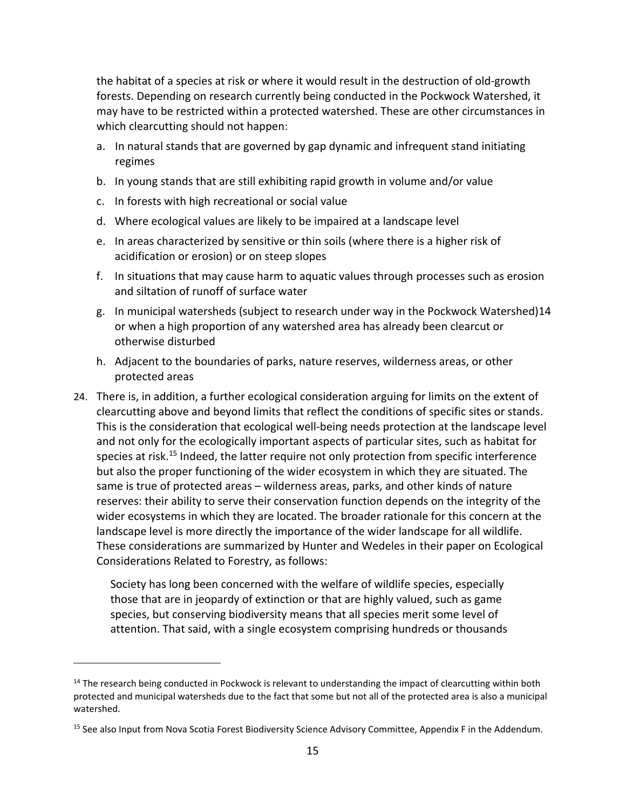the habitat of a species at risk or where it would result in the destruction of old‐growth forests. Depending on research currently being conducted in the Pockwock Watershed, it may have to be restricted within a protected watershed. These are other circumstances in which clearcutting should not happen:

- a. In natural stands that are governed by gap dynamic and infrequent stand initiating regimes
- b. In young stands that are still exhibiting rapid growth in volume and/or value
- c. In forests with high recreational or social value

- d. Where ecological values are likely to be impaired at a landscape level
- e. In areas characterized by sensitive or thin soils (where there is a higher risk of acidification or erosion) or on steep slopes
- f. In situations that may cause harm to aquatic values through processes such as erosion and siltation of runoff of surface water
- g. In municipal watersheds (subject to research under way in the Pockwock Watershed)14 or when a high proportion of any watershed area has already been clearcut or otherwise disturbed
- h. Adjacent to the boundaries of parks, nature reserves, wilderness areas, or other protected areas
- 24. There is, in addition, a further ecological consideration arguing for limits on the extent of clearcutting above and beyond limits that reflect the conditions of specific sites or stands. This is the consideration that ecological well‐being needs protection at the landscape level and not only for the ecologically important aspects of particular sites, such as habitat for species at risk.<sup>15</sup> Indeed, the latter require not only protection from specific interference but also the proper functioning of the wider ecosystem in which they are situated. The same is true of protected areas – wilderness areas, parks, and other kinds of nature reserves: their ability to serve their conservation function depends on the integrity of the wider ecosystems in which they are located. The broader rationale for this concern at the landscape level is more directly the importance of the wider landscape for all wildlife. These considerations are summarized by Hunter and Wedeles in their paper on Ecological Considerations Related to Forestry, as follows:

Society has long been concerned with the welfare of wildlife species, especially those that are in jeopardy of extinction or that are highly valued, such as game species, but conserving biodiversity means that all species merit some level of attention. That said, with a single ecosystem comprising hundreds or thousands

<sup>&</sup>lt;sup>14</sup> The research being conducted in Pockwock is relevant to understanding the impact of clearcutting within both protected and municipal watersheds due to the fact that some but not all of the protected area is also a municipal watershed.

<sup>&</sup>lt;sup>15</sup> See also Input from Nova Scotia Forest Biodiversity Science Advisory Committee, Appendix F in the Addendum.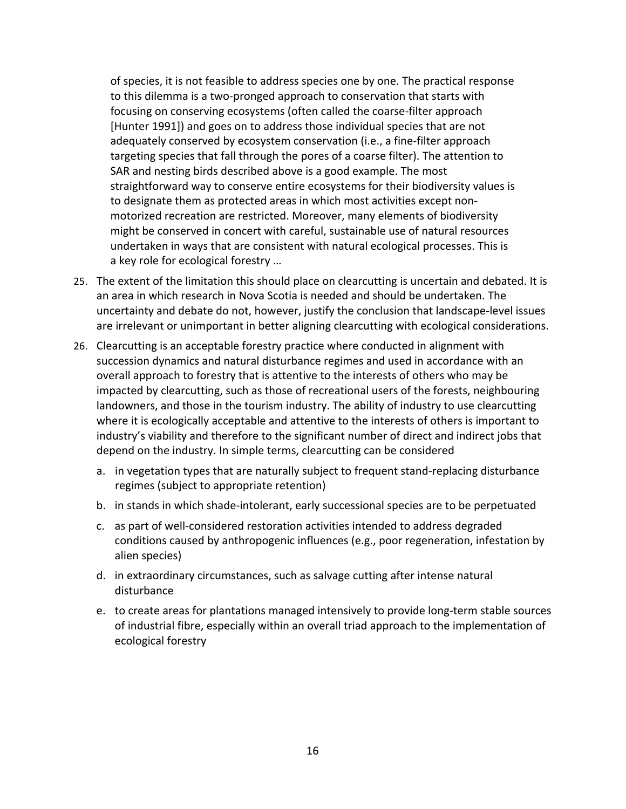of species, it is not feasible to address species one by one. The practical response to this dilemma is a two‐pronged approach to conservation that starts with focusing on conserving ecosystems (often called the coarse-filter approach [Hunter 1991]) and goes on to address those individual species that are not adequately conserved by ecosystem conservation (i.e., a fine‐filter approach targeting species that fall through the pores of a coarse filter). The attention to SAR and nesting birds described above is a good example. The most straightforward way to conserve entire ecosystems for their biodiversity values is to designate them as protected areas in which most activities except non‐ motorized recreation are restricted. Moreover, many elements of biodiversity might be conserved in concert with careful, sustainable use of natural resources undertaken in ways that are consistent with natural ecological processes. This is a key role for ecological forestry …

- 25. The extent of the limitation this should place on clearcutting is uncertain and debated. It is an area in which research in Nova Scotia is needed and should be undertaken. The uncertainty and debate do not, however, justify the conclusion that landscape‐level issues are irrelevant or unimportant in better aligning clearcutting with ecological considerations.
- 26. Clearcutting is an acceptable forestry practice where conducted in alignment with succession dynamics and natural disturbance regimes and used in accordance with an overall approach to forestry that is attentive to the interests of others who may be impacted by clearcutting, such as those of recreational users of the forests, neighbouring landowners, and those in the tourism industry. The ability of industry to use clearcutting where it is ecologically acceptable and attentive to the interests of others is important to industry's viability and therefore to the significant number of direct and indirect jobs that depend on the industry. In simple terms, clearcutting can be considered
	- a. in vegetation types that are naturally subject to frequent stand‐replacing disturbance regimes (subject to appropriate retention)
	- b. in stands in which shade‐intolerant, early successional species are to be perpetuated
	- c. as part of well‐considered restoration activities intended to address degraded conditions caused by anthropogenic influences (e.g., poor regeneration, infestation by alien species)
	- d. in extraordinary circumstances, such as salvage cutting after intense natural disturbance
	- e. to create areas for plantations managed intensively to provide long‐term stable sources of industrial fibre, especially within an overall triad approach to the implementation of ecological forestry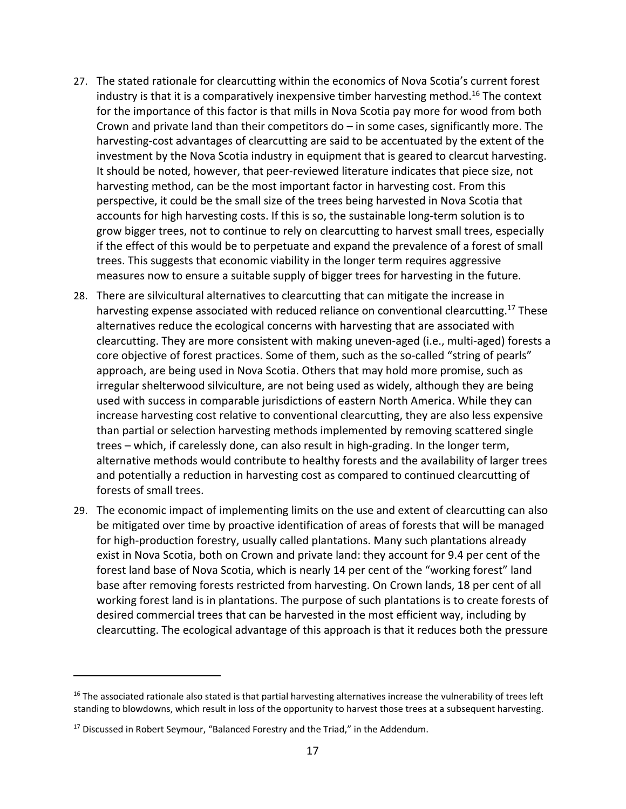- 27. The stated rationale for clearcutting within the economics of Nova Scotia's current forest industry is that it is a comparatively inexpensive timber harvesting method.<sup>16</sup> The context for the importance of this factor is that mills in Nova Scotia pay more for wood from both Crown and private land than their competitors  $do - in$  some cases, significantly more. The harvesting-cost advantages of clearcutting are said to be accentuated by the extent of the investment by the Nova Scotia industry in equipment that is geared to clearcut harvesting. It should be noted, however, that peer‐reviewed literature indicates that piece size, not harvesting method, can be the most important factor in harvesting cost. From this perspective, it could be the small size of the trees being harvested in Nova Scotia that accounts for high harvesting costs. If this is so, the sustainable long‐term solution is to grow bigger trees, not to continue to rely on clearcutting to harvest small trees, especially if the effect of this would be to perpetuate and expand the prevalence of a forest of small trees. This suggests that economic viability in the longer term requires aggressive measures now to ensure a suitable supply of bigger trees for harvesting in the future.
- 28. There are silvicultural alternatives to clearcutting that can mitigate the increase in harvesting expense associated with reduced reliance on conventional clearcutting.<sup>17</sup> These alternatives reduce the ecological concerns with harvesting that are associated with clearcutting. They are more consistent with making uneven‐aged (i.e., multi‐aged) forests a core objective of forest practices. Some of them, such as the so-called "string of pearls" approach, are being used in Nova Scotia. Others that may hold more promise, such as irregular shelterwood silviculture, are not being used as widely, although they are being used with success in comparable jurisdictions of eastern North America. While they can increase harvesting cost relative to conventional clearcutting, they are also less expensive than partial or selection harvesting methods implemented by removing scattered single trees – which, if carelessly done, can also result in high‐grading. In the longer term, alternative methods would contribute to healthy forests and the availability of larger trees and potentially a reduction in harvesting cost as compared to continued clearcutting of forests of small trees.
- 29. The economic impact of implementing limits on the use and extent of clearcutting can also be mitigated over time by proactive identification of areas of forests that will be managed for high-production forestry, usually called plantations. Many such plantations already exist in Nova Scotia, both on Crown and private land: they account for 9.4 per cent of the forest land base of Nova Scotia, which is nearly 14 per cent of the "working forest" land base after removing forests restricted from harvesting. On Crown lands, 18 per cent of all working forest land is in plantations. The purpose of such plantations is to create forests of desired commercial trees that can be harvested in the most efficient way, including by clearcutting. The ecological advantage of this approach is that it reduces both the pressure

 $16$  The associated rationale also stated is that partial harvesting alternatives increase the vulnerability of trees left standing to blowdowns, which result in loss of the opportunity to harvest those trees at a subsequent harvesting.

<sup>&</sup>lt;sup>17</sup> Discussed in Robert Seymour, "Balanced Forestry and the Triad," in the Addendum.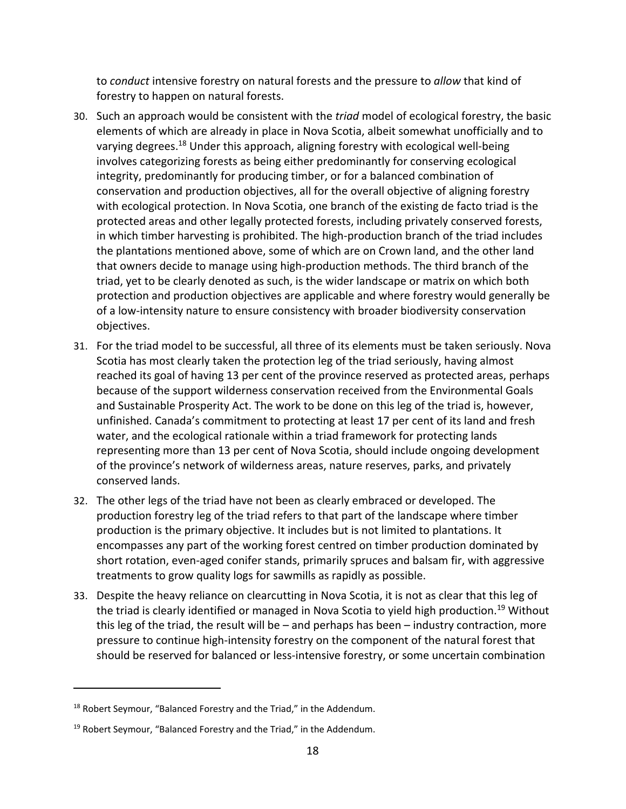to *conduct* intensive forestry on natural forests and the pressure to *allow* that kind of forestry to happen on natural forests.

- 30. Such an approach would be consistent with the *triad* model of ecological forestry, the basic elements of which are already in place in Nova Scotia, albeit somewhat unofficially and to varying degrees.<sup>18</sup> Under this approach, aligning forestry with ecological well-being involves categorizing forests as being either predominantly for conserving ecological integrity, predominantly for producing timber, or for a balanced combination of conservation and production objectives, all for the overall objective of aligning forestry with ecological protection. In Nova Scotia, one branch of the existing de facto triad is the protected areas and other legally protected forests, including privately conserved forests, in which timber harvesting is prohibited. The high-production branch of the triad includes the plantations mentioned above, some of which are on Crown land, and the other land that owners decide to manage using high‐production methods. The third branch of the triad, yet to be clearly denoted as such, is the wider landscape or matrix on which both protection and production objectives are applicable and where forestry would generally be of a low‐intensity nature to ensure consistency with broader biodiversity conservation objectives.
- 31. For the triad model to be successful, all three of its elements must be taken seriously. Nova Scotia has most clearly taken the protection leg of the triad seriously, having almost reached its goal of having 13 per cent of the province reserved as protected areas, perhaps because of the support wilderness conservation received from the Environmental Goals and Sustainable Prosperity Act. The work to be done on this leg of the triad is, however, unfinished. Canada's commitment to protecting at least 17 per cent of its land and fresh water, and the ecological rationale within a triad framework for protecting lands representing more than 13 per cent of Nova Scotia, should include ongoing development of the province's network of wilderness areas, nature reserves, parks, and privately conserved lands.
- 32. The other legs of the triad have not been as clearly embraced or developed. The production forestry leg of the triad refers to that part of the landscape where timber production is the primary objective. It includes but is not limited to plantations. It encompasses any part of the working forest centred on timber production dominated by short rotation, even‐aged conifer stands, primarily spruces and balsam fir, with aggressive treatments to grow quality logs for sawmills as rapidly as possible.
- 33. Despite the heavy reliance on clearcutting in Nova Scotia, it is not as clear that this leg of the triad is clearly identified or managed in Nova Scotia to yield high production.<sup>19</sup> Without this leg of the triad, the result will be – and perhaps has been – industry contraction, more pressure to continue high-intensity forestry on the component of the natural forest that should be reserved for balanced or less‐intensive forestry, or some uncertain combination

<sup>&</sup>lt;sup>18</sup> Robert Seymour, "Balanced Forestry and the Triad," in the Addendum.

<sup>&</sup>lt;sup>19</sup> Robert Seymour, "Balanced Forestry and the Triad," in the Addendum.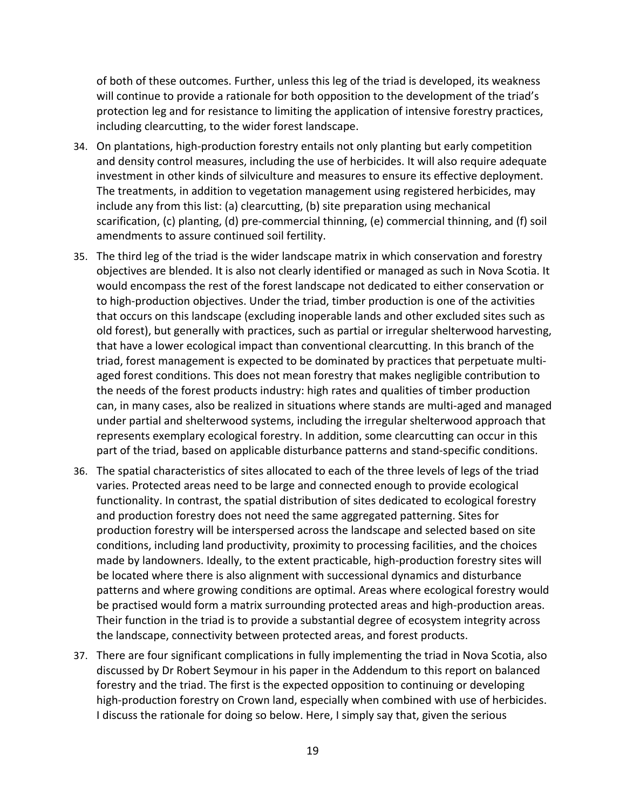of both of these outcomes. Further, unless this leg of the triad is developed, its weakness will continue to provide a rationale for both opposition to the development of the triad's protection leg and for resistance to limiting the application of intensive forestry practices, including clearcutting, to the wider forest landscape.

- 34. On plantations, high-production forestry entails not only planting but early competition and density control measures, including the use of herbicides. It will also require adequate investment in other kinds of silviculture and measures to ensure its effective deployment. The treatments, in addition to vegetation management using registered herbicides, may include any from this list: (a) clearcutting, (b) site preparation using mechanical scarification, (c) planting, (d) pre‐commercial thinning, (e) commercial thinning, and (f) soil amendments to assure continued soil fertility.
- 35. The third leg of the triad is the wider landscape matrix in which conservation and forestry objectives are blended. It is also not clearly identified or managed as such in Nova Scotia. It would encompass the rest of the forest landscape not dedicated to either conservation or to high‐production objectives. Under the triad, timber production is one of the activities that occurs on this landscape (excluding inoperable lands and other excluded sites such as old forest), but generally with practices, such as partial or irregular shelterwood harvesting, that have a lower ecological impact than conventional clearcutting. In this branch of the triad, forest management is expected to be dominated by practices that perpetuate multi‐ aged forest conditions. This does not mean forestry that makes negligible contribution to the needs of the forest products industry: high rates and qualities of timber production can, in many cases, also be realized in situations where stands are multi‐aged and managed under partial and shelterwood systems, including the irregular shelterwood approach that represents exemplary ecological forestry. In addition, some clearcutting can occur in this part of the triad, based on applicable disturbance patterns and stand‐specific conditions.
- 36. The spatial characteristics of sites allocated to each of the three levels of legs of the triad varies. Protected areas need to be large and connected enough to provide ecological functionality. In contrast, the spatial distribution of sites dedicated to ecological forestry and production forestry does not need the same aggregated patterning. Sites for production forestry will be interspersed across the landscape and selected based on site conditions, including land productivity, proximity to processing facilities, and the choices made by landowners. Ideally, to the extent practicable, high-production forestry sites will be located where there is also alignment with successional dynamics and disturbance patterns and where growing conditions are optimal. Areas where ecological forestry would be practised would form a matrix surrounding protected areas and high-production areas. Their function in the triad is to provide a substantial degree of ecosystem integrity across the landscape, connectivity between protected areas, and forest products.
- 37. There are four significant complications in fully implementing the triad in Nova Scotia, also discussed by Dr Robert Seymour in his paper in the Addendum to this report on balanced forestry and the triad. The first is the expected opposition to continuing or developing high-production forestry on Crown land, especially when combined with use of herbicides. I discuss the rationale for doing so below. Here, I simply say that, given the serious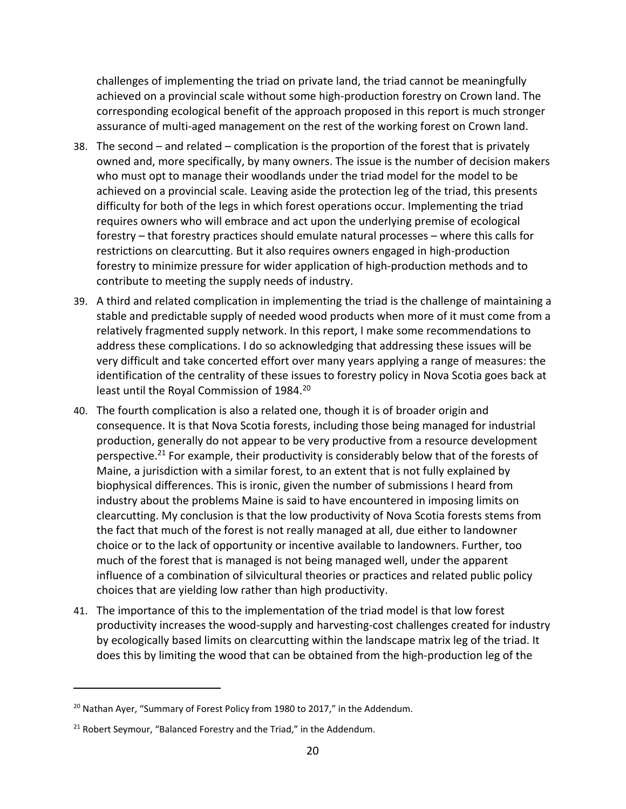challenges of implementing the triad on private land, the triad cannot be meaningfully achieved on a provincial scale without some high‐production forestry on Crown land. The corresponding ecological benefit of the approach proposed in this report is much stronger assurance of multi‐aged management on the rest of the working forest on Crown land.

- 38. The second and related complication is the proportion of the forest that is privately owned and, more specifically, by many owners. The issue is the number of decision makers who must opt to manage their woodlands under the triad model for the model to be achieved on a provincial scale. Leaving aside the protection leg of the triad, this presents difficulty for both of the legs in which forest operations occur. Implementing the triad requires owners who will embrace and act upon the underlying premise of ecological forestry – that forestry practices should emulate natural processes – where this calls for restrictions on clearcutting. But it also requires owners engaged in high‐production forestry to minimize pressure for wider application of high‐production methods and to contribute to meeting the supply needs of industry.
- 39. A third and related complication in implementing the triad is the challenge of maintaining a stable and predictable supply of needed wood products when more of it must come from a relatively fragmented supply network. In this report, I make some recommendations to address these complications. I do so acknowledging that addressing these issues will be very difficult and take concerted effort over many years applying a range of measures: the identification of the centrality of these issues to forestry policy in Nova Scotia goes back at least until the Royal Commission of 1984.<sup>20</sup>
- 40. The fourth complication is also a related one, though it is of broader origin and consequence. It is that Nova Scotia forests, including those being managed for industrial production, generally do not appear to be very productive from a resource development perspective.<sup>21</sup> For example, their productivity is considerably below that of the forests of Maine, a jurisdiction with a similar forest, to an extent that is not fully explained by biophysical differences. This is ironic, given the number of submissions I heard from industry about the problems Maine is said to have encountered in imposing limits on clearcutting. My conclusion is that the low productivity of Nova Scotia forests stems from the fact that much of the forest is not really managed at all, due either to landowner choice or to the lack of opportunity or incentive available to landowners. Further, too much of the forest that is managed is not being managed well, under the apparent influence of a combination of silvicultural theories or practices and related public policy choices that are yielding low rather than high productivity.
- 41. The importance of this to the implementation of the triad model is that low forest productivity increases the wood‐supply and harvesting‐cost challenges created for industry by ecologically based limits on clearcutting within the landscape matrix leg of the triad. It does this by limiting the wood that can be obtained from the high‐production leg of the

<sup>&</sup>lt;sup>20</sup> Nathan Ayer, "Summary of Forest Policy from 1980 to 2017," in the Addendum.

<sup>&</sup>lt;sup>21</sup> Robert Seymour, "Balanced Forestry and the Triad," in the Addendum.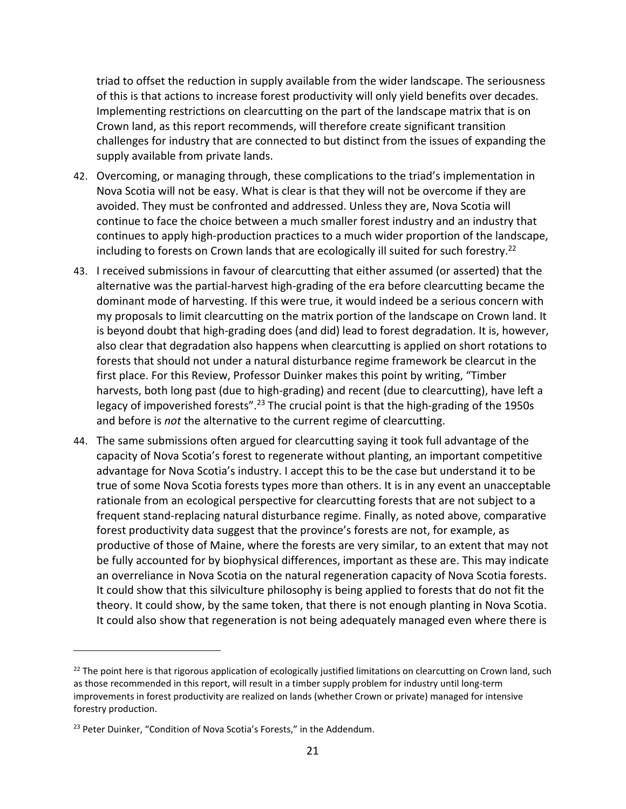triad to offset the reduction in supply available from the wider landscape. The seriousness of this is that actions to increase forest productivity will only yield benefits over decades. Implementing restrictions on clearcutting on the part of the landscape matrix that is on Crown land, as this report recommends, will therefore create significant transition challenges for industry that are connected to but distinct from the issues of expanding the supply available from private lands.

- 42. Overcoming, or managing through, these complications to the triad's implementation in Nova Scotia will not be easy. What is clear is that they will not be overcome if they are avoided. They must be confronted and addressed. Unless they are, Nova Scotia will continue to face the choice between a much smaller forest industry and an industry that continues to apply high‐production practices to a much wider proportion of the landscape, including to forests on Crown lands that are ecologically ill suited for such forestry.<sup>22</sup>
- 43. I received submissions in favour of clearcutting that either assumed (or asserted) that the alternative was the partial‐harvest high‐grading of the era before clearcutting became the dominant mode of harvesting. If this were true, it would indeed be a serious concern with my proposals to limit clearcutting on the matrix portion of the landscape on Crown land. It is beyond doubt that high-grading does (and did) lead to forest degradation. It is, however, also clear that degradation also happens when clearcutting is applied on short rotations to forests that should not under a natural disturbance regime framework be clearcut in the first place. For this Review, Professor Duinker makes this point by writing, "Timber harvests, both long past (due to high‐grading) and recent (due to clearcutting), have left a legacy of impoverished forests".<sup>23</sup> The crucial point is that the high-grading of the 1950s and before is *not* the alternative to the current regime of clearcutting.
- 44. The same submissions often argued for clearcutting saying it took full advantage of the capacity of Nova Scotia's forest to regenerate without planting, an important competitive advantage for Nova Scotia's industry. I accept this to be the case but understand it to be true of some Nova Scotia forests types more than others. It is in any event an unacceptable rationale from an ecological perspective for clearcutting forests that are not subject to a frequent stand‐replacing natural disturbance regime. Finally, as noted above, comparative forest productivity data suggest that the province's forests are not, for example, as productive of those of Maine, where the forests are very similar, to an extent that may not be fully accounted for by biophysical differences, important as these are. This may indicate an overreliance in Nova Scotia on the natural regeneration capacity of Nova Scotia forests. It could show that this silviculture philosophy is being applied to forests that do not fit the theory. It could show, by the same token, that there is not enough planting in Nova Scotia. It could also show that regeneration is not being adequately managed even where there is

 $22$  The point here is that rigorous application of ecologically justified limitations on clearcutting on Crown land, such as those recommended in this report, will result in a timber supply problem for industry until long-term improvements in forest productivity are realized on lands (whether Crown or private) managed for intensive forestry production.

<sup>&</sup>lt;sup>23</sup> Peter Duinker, "Condition of Nova Scotia's Forests," in the Addendum.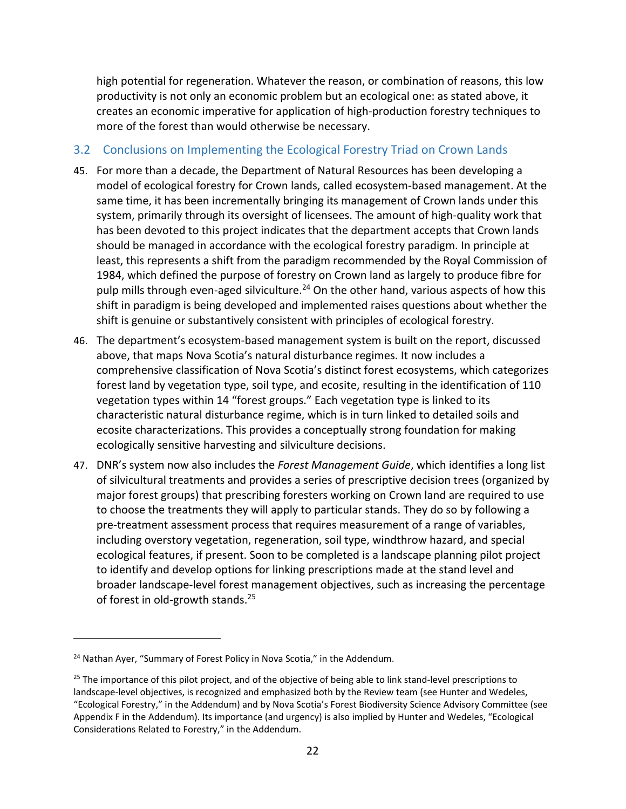high potential for regeneration. Whatever the reason, or combination of reasons, this low productivity is not only an economic problem but an ecological one: as stated above, it creates an economic imperative for application of high‐production forestry techniques to more of the forest than would otherwise be necessary.

#### 3.2 Conclusions on Implementing the Ecological Forestry Triad on Crown Lands

- 45. For more than a decade, the Department of Natural Resources has been developing a model of ecological forestry for Crown lands, called ecosystem‐based management. At the same time, it has been incrementally bringing its management of Crown lands under this system, primarily through its oversight of licensees. The amount of high‐quality work that has been devoted to this project indicates that the department accepts that Crown lands should be managed in accordance with the ecological forestry paradigm. In principle at least, this represents a shift from the paradigm recommended by the Royal Commission of 1984, which defined the purpose of forestry on Crown land as largely to produce fibre for pulp mills through even-aged silviculture.<sup>24</sup> On the other hand, various aspects of how this shift in paradigm is being developed and implemented raises questions about whether the shift is genuine or substantively consistent with principles of ecological forestry.
- 46. The department's ecosystem‐based management system is built on the report, discussed above, that maps Nova Scotia's natural disturbance regimes. It now includes a comprehensive classification of Nova Scotia's distinct forest ecosystems, which categorizes forest land by vegetation type, soil type, and ecosite, resulting in the identification of 110 vegetation types within 14 "forest groups." Each vegetation type is linked to its characteristic natural disturbance regime, which is in turn linked to detailed soils and ecosite characterizations. This provides a conceptually strong foundation for making ecologically sensitive harvesting and silviculture decisions.
- 47. DNR's system now also includes the *Forest Management Guide*, which identifies a long list of silvicultural treatments and provides a series of prescriptive decision trees (organized by major forest groups) that prescribing foresters working on Crown land are required to use to choose the treatments they will apply to particular stands. They do so by following a pre‐treatment assessment process that requires measurement of a range of variables, including overstory vegetation, regeneration, soil type, windthrow hazard, and special ecological features, if present. Soon to be completed is a landscape planning pilot project to identify and develop options for linking prescriptions made at the stand level and broader landscape‐level forest management objectives, such as increasing the percentage of forest in old-growth stands.<sup>25</sup>

<sup>&</sup>lt;sup>24</sup> Nathan Ayer, "Summary of Forest Policy in Nova Scotia," in the Addendum.

 $25$  The importance of this pilot project, and of the objective of being able to link stand-level prescriptions to landscape-level objectives, is recognized and emphasized both by the Review team (see Hunter and Wedeles, "Ecological Forestry," in the Addendum) and by Nova Scotia's Forest Biodiversity Science Advisory Committee (see Appendix F in the Addendum). Its importance (and urgency) is also implied by Hunter and Wedeles, "Ecological Considerations Related to Forestry," in the Addendum.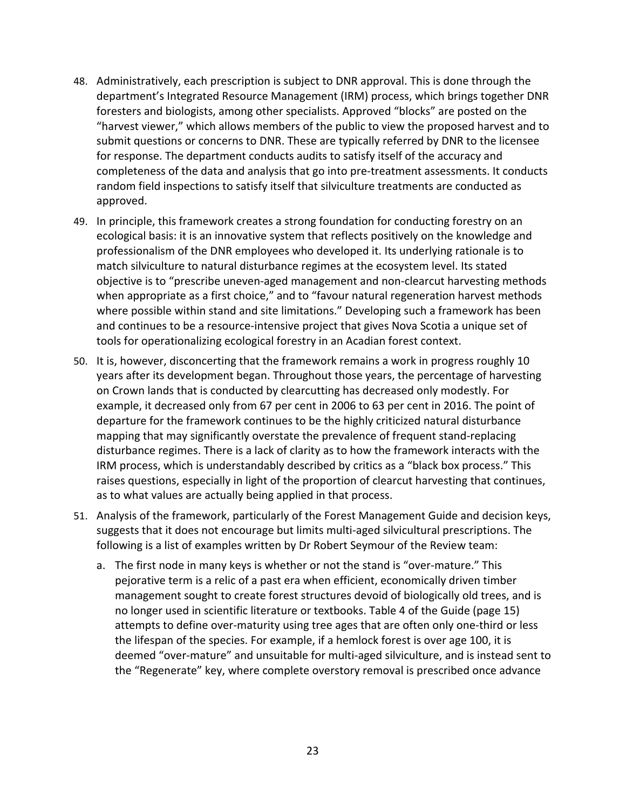- 48. Administratively, each prescription is subject to DNR approval. This is done through the department's Integrated Resource Management (IRM) process, which brings together DNR foresters and biologists, among other specialists. Approved "blocks" are posted on the "harvest viewer," which allows members of the public to view the proposed harvest and to submit questions or concerns to DNR. These are typically referred by DNR to the licensee for response. The department conducts audits to satisfy itself of the accuracy and completeness of the data and analysis that go into pre‐treatment assessments. It conducts random field inspections to satisfy itself that silviculture treatments are conducted as approved.
- 49. In principle, this framework creates a strong foundation for conducting forestry on an ecological basis: it is an innovative system that reflects positively on the knowledge and professionalism of the DNR employees who developed it. Its underlying rationale is to match silviculture to natural disturbance regimes at the ecosystem level. Its stated objective is to "prescribe uneven‐aged management and non‐clearcut harvesting methods when appropriate as a first choice," and to "favour natural regeneration harvest methods where possible within stand and site limitations." Developing such a framework has been and continues to be a resource‐intensive project that gives Nova Scotia a unique set of tools for operationalizing ecological forestry in an Acadian forest context.
- 50. It is, however, disconcerting that the framework remains a work in progress roughly 10 years after its development began. Throughout those years, the percentage of harvesting on Crown lands that is conducted by clearcutting has decreased only modestly. For example, it decreased only from 67 per cent in 2006 to 63 per cent in 2016. The point of departure for the framework continues to be the highly criticized natural disturbance mapping that may significantly overstate the prevalence of frequent stand‐replacing disturbance regimes. There is a lack of clarity as to how the framework interacts with the IRM process, which is understandably described by critics as a "black box process." This raises questions, especially in light of the proportion of clearcut harvesting that continues, as to what values are actually being applied in that process.
- 51. Analysis of the framework, particularly of the Forest Management Guide and decision keys, suggests that it does not encourage but limits multi‐aged silvicultural prescriptions. The following is a list of examples written by Dr Robert Seymour of the Review team:
	- a. The first node in many keys is whether or not the stand is "over-mature." This pejorative term is a relic of a past era when efficient, economically driven timber management sought to create forest structures devoid of biologically old trees, and is no longer used in scientific literature or textbooks. Table 4 of the Guide (page 15) attempts to define over‐maturity using tree ages that are often only one‐third or less the lifespan of the species. For example, if a hemlock forest is over age 100, it is deemed "over‐mature" and unsuitable for multi‐aged silviculture, and is instead sent to the "Regenerate" key, where complete overstory removal is prescribed once advance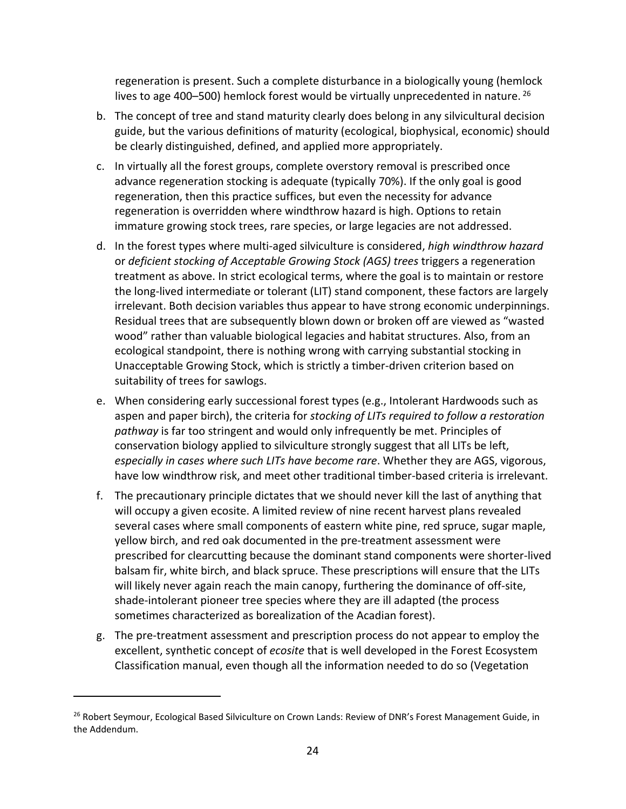regeneration is present. Such a complete disturbance in a biologically young (hemlock lives to age 400–500) hemlock forest would be virtually unprecedented in nature.  $^{26}$ 

- b. The concept of tree and stand maturity clearly does belong in any silvicultural decision guide, but the various definitions of maturity (ecological, biophysical, economic) should be clearly distinguished, defined, and applied more appropriately.
- c. In virtually all the forest groups, complete overstory removal is prescribed once advance regeneration stocking is adequate (typically 70%). If the only goal is good regeneration, then this practice suffices, but even the necessity for advance regeneration is overridden where windthrow hazard is high. Options to retain immature growing stock trees, rare species, or large legacies are not addressed.
- d. In the forest types where multi‐aged silviculture is considered, *high windthrow hazard* or *deficient stocking of Acceptable Growing Stock (AGS) trees* triggers a regeneration treatment as above. In strict ecological terms, where the goal is to maintain or restore the long‐lived intermediate or tolerant (LIT) stand component, these factors are largely irrelevant. Both decision variables thus appear to have strong economic underpinnings. Residual trees that are subsequently blown down or broken off are viewed as "wasted wood" rather than valuable biological legacies and habitat structures. Also, from an ecological standpoint, there is nothing wrong with carrying substantial stocking in Unacceptable Growing Stock, which is strictly a timber‐driven criterion based on suitability of trees for sawlogs.
- e. When considering early successional forest types (e.g., Intolerant Hardwoods such as aspen and paper birch), the criteria for *stocking of LITs required to follow a restoration pathway* is far too stringent and would only infrequently be met. Principles of conservation biology applied to silviculture strongly suggest that all LITs be left, *especially in cases where such LITs have become rare*. Whether they are AGS, vigorous, have low windthrow risk, and meet other traditional timber-based criteria is irrelevant.
- f. The precautionary principle dictates that we should never kill the last of anything that will occupy a given ecosite. A limited review of nine recent harvest plans revealed several cases where small components of eastern white pine, red spruce, sugar maple, yellow birch, and red oak documented in the pre‐treatment assessment were prescribed for clearcutting because the dominant stand components were shorter‐lived balsam fir, white birch, and black spruce. These prescriptions will ensure that the LITs will likely never again reach the main canopy, furthering the dominance of off‐site, shade‐intolerant pioneer tree species where they are ill adapted (the process sometimes characterized as borealization of the Acadian forest).
- g. The pre‐treatment assessment and prescription process do not appear to employ the excellent, synthetic concept of *ecosite* that is well developed in the Forest Ecosystem Classification manual, even though all the information needed to do so (Vegetation

<sup>&</sup>lt;sup>26</sup> Robert Seymour, Ecological Based Silviculture on Crown Lands: Review of DNR's Forest Management Guide, in the Addendum.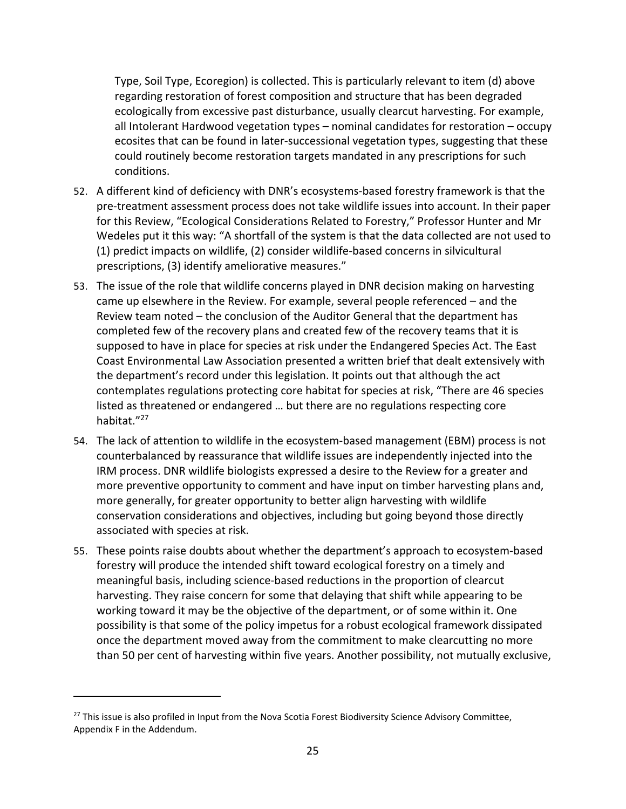Type, Soil Type, Ecoregion) is collected. This is particularly relevant to item (d) above regarding restoration of forest composition and structure that has been degraded ecologically from excessive past disturbance, usually clearcut harvesting. For example, all Intolerant Hardwood vegetation types – nominal candidates for restoration – occupy ecosites that can be found in later-successional vegetation types, suggesting that these could routinely become restoration targets mandated in any prescriptions for such conditions.

- 52. A different kind of deficiency with DNR's ecosystems-based forestry framework is that the pre‐treatment assessment process does not take wildlife issues into account. In their paper for this Review, "Ecological Considerations Related to Forestry," Professor Hunter and Mr Wedeles put it this way: "A shortfall of the system is that the data collected are not used to (1) predict impacts on wildlife, (2) consider wildlife‐based concerns in silvicultural prescriptions, (3) identify ameliorative measures."
- 53. The issue of the role that wildlife concerns played in DNR decision making on harvesting came up elsewhere in the Review. For example, several people referenced – and the Review team noted – the conclusion of the Auditor General that the department has completed few of the recovery plans and created few of the recovery teams that it is supposed to have in place for species at risk under the Endangered Species Act. The East Coast Environmental Law Association presented a written brief that dealt extensively with the department's record under this legislation. It points out that although the act contemplates regulations protecting core habitat for species at risk, "There are 46 species listed as threatened or endangered … but there are no regulations respecting core habitat."27
- 54. The lack of attention to wildlife in the ecosystem-based management (EBM) process is not counterbalanced by reassurance that wildlife issues are independently injected into the IRM process. DNR wildlife biologists expressed a desire to the Review for a greater and more preventive opportunity to comment and have input on timber harvesting plans and, more generally, for greater opportunity to better align harvesting with wildlife conservation considerations and objectives, including but going beyond those directly associated with species at risk.
- 55. These points raise doubts about whether the department's approach to ecosystem‐based forestry will produce the intended shift toward ecological forestry on a timely and meaningful basis, including science‐based reductions in the proportion of clearcut harvesting. They raise concern for some that delaying that shift while appearing to be working toward it may be the objective of the department, or of some within it. One possibility is that some of the policy impetus for a robust ecological framework dissipated once the department moved away from the commitment to make clearcutting no more than 50 per cent of harvesting within five years. Another possibility, not mutually exclusive,

<sup>&</sup>lt;sup>27</sup> This issue is also profiled in Input from the Nova Scotia Forest Biodiversity Science Advisory Committee, Appendix F in the Addendum.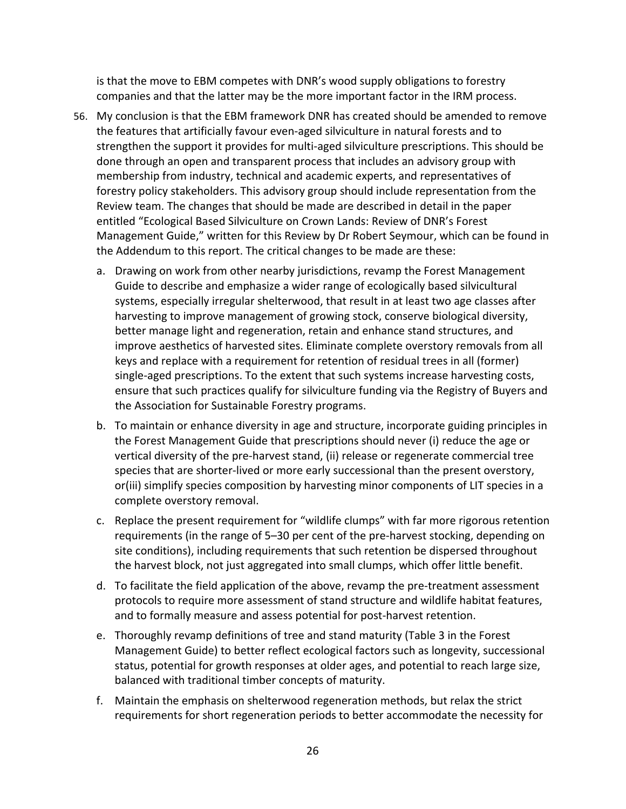is that the move to EBM competes with DNR's wood supply obligations to forestry companies and that the latter may be the more important factor in the IRM process.

- 56. My conclusion is that the EBM framework DNR has created should be amended to remove the features that artificially favour even‐aged silviculture in natural forests and to strengthen the support it provides for multi-aged silviculture prescriptions. This should be done through an open and transparent process that includes an advisory group with membership from industry, technical and academic experts, and representatives of forestry policy stakeholders. This advisory group should include representation from the Review team. The changes that should be made are described in detail in the paper entitled "Ecological Based Silviculture on Crown Lands: Review of DNR's Forest Management Guide," written for this Review by Dr Robert Seymour, which can be found in the Addendum to this report. The critical changes to be made are these:
	- a. Drawing on work from other nearby jurisdictions, revamp the Forest Management Guide to describe and emphasize a wider range of ecologically based silvicultural systems, especially irregular shelterwood, that result in at least two age classes after harvesting to improve management of growing stock, conserve biological diversity, better manage light and regeneration, retain and enhance stand structures, and improve aesthetics of harvested sites. Eliminate complete overstory removals from all keys and replace with a requirement for retention of residual trees in all (former) single-aged prescriptions. To the extent that such systems increase harvesting costs, ensure that such practices qualify for silviculture funding via the Registry of Buyers and the Association for Sustainable Forestry programs.
	- b. To maintain or enhance diversity in age and structure, incorporate guiding principles in the Forest Management Guide that prescriptions should never (i) reduce the age or vertical diversity of the pre‐harvest stand, (ii) release or regenerate commercial tree species that are shorter‐lived or more early successional than the present overstory, or(iii) simplify species composition by harvesting minor components of LIT species in a complete overstory removal.
	- c. Replace the present requirement for "wildlife clumps" with far more rigorous retention requirements (in the range of 5–30 per cent of the pre‐harvest stocking, depending on site conditions), including requirements that such retention be dispersed throughout the harvest block, not just aggregated into small clumps, which offer little benefit.
	- d. To facilitate the field application of the above, revamp the pre‐treatment assessment protocols to require more assessment of stand structure and wildlife habitat features, and to formally measure and assess potential for post‐harvest retention.
	- e. Thoroughly revamp definitions of tree and stand maturity (Table 3 in the Forest Management Guide) to better reflect ecological factors such as longevity, successional status, potential for growth responses at older ages, and potential to reach large size, balanced with traditional timber concepts of maturity.
	- f. Maintain the emphasis on shelterwood regeneration methods, but relax the strict requirements for short regeneration periods to better accommodate the necessity for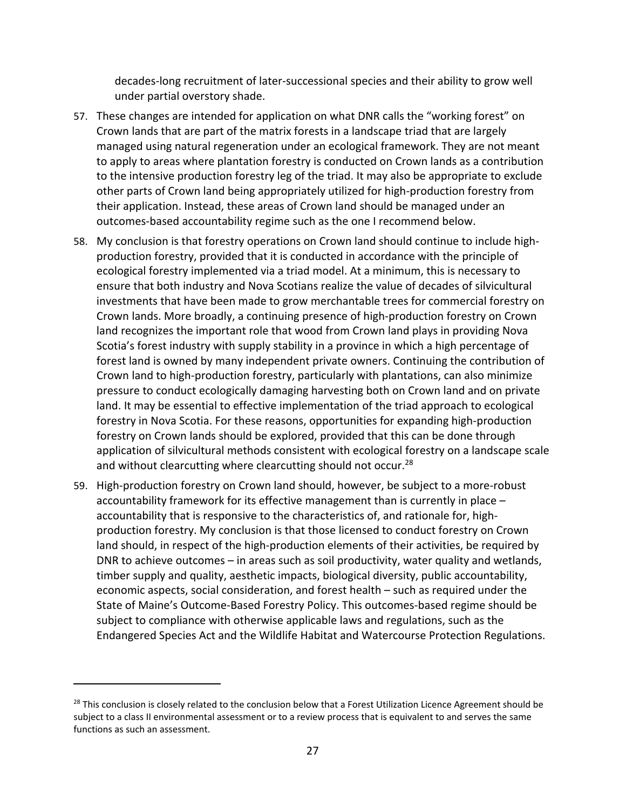decades‐long recruitment of later‐successional species and their ability to grow well under partial overstory shade.

- 57. These changes are intended for application on what DNR calls the "working forest" on Crown lands that are part of the matrix forests in a landscape triad that are largely managed using natural regeneration under an ecological framework. They are not meant to apply to areas where plantation forestry is conducted on Crown lands as a contribution to the intensive production forestry leg of the triad. It may also be appropriate to exclude other parts of Crown land being appropriately utilized for high‐production forestry from their application. Instead, these areas of Crown land should be managed under an outcomes‐based accountability regime such as the one I recommend below.
- 58. My conclusion is that forestry operations on Crown land should continue to include high‐ production forestry, provided that it is conducted in accordance with the principle of ecological forestry implemented via a triad model. At a minimum, this is necessary to ensure that both industry and Nova Scotians realize the value of decades of silvicultural investments that have been made to grow merchantable trees for commercial forestry on Crown lands. More broadly, a continuing presence of high‐production forestry on Crown land recognizes the important role that wood from Crown land plays in providing Nova Scotia's forest industry with supply stability in a province in which a high percentage of forest land is owned by many independent private owners. Continuing the contribution of Crown land to high‐production forestry, particularly with plantations, can also minimize pressure to conduct ecologically damaging harvesting both on Crown land and on private land. It may be essential to effective implementation of the triad approach to ecological forestry in Nova Scotia. For these reasons, opportunities for expanding high-production forestry on Crown lands should be explored, provided that this can be done through application of silvicultural methods consistent with ecological forestry on a landscape scale and without clearcutting where clearcutting should not occur.<sup>28</sup>
- 59. High‐production forestry on Crown land should, however, be subject to a more‐robust accountability framework for its effective management than is currently in place – accountability that is responsive to the characteristics of, and rationale for, high‐ production forestry. My conclusion is that those licensed to conduct forestry on Crown land should, in respect of the high-production elements of their activities, be required by DNR to achieve outcomes – in areas such as soil productivity, water quality and wetlands, timber supply and quality, aesthetic impacts, biological diversity, public accountability, economic aspects, social consideration, and forest health – such as required under the State of Maine's Outcome‐Based Forestry Policy. This outcomes‐based regime should be subject to compliance with otherwise applicable laws and regulations, such as the Endangered Species Act and the Wildlife Habitat and Watercourse Protection Regulations.

<sup>&</sup>lt;sup>28</sup> This conclusion is closely related to the conclusion below that a Forest Utilization Licence Agreement should be subject to a class II environmental assessment or to a review process that is equivalent to and serves the same functions as such an assessment.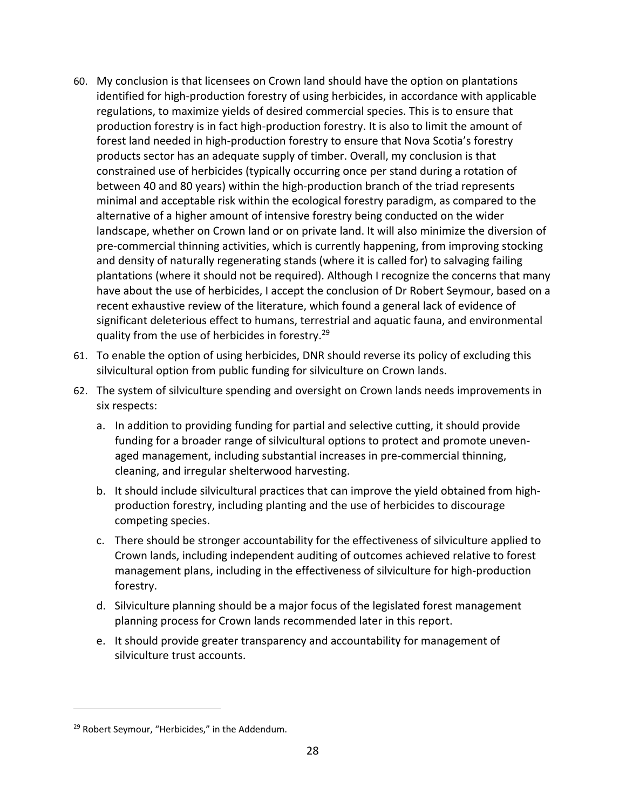- 60. My conclusion is that licensees on Crown land should have the option on plantations identified for high‐production forestry of using herbicides, in accordance with applicable regulations, to maximize yields of desired commercial species. This is to ensure that production forestry is in fact high-production forestry. It is also to limit the amount of forest land needed in high‐production forestry to ensure that Nova Scotia's forestry products sector has an adequate supply of timber. Overall, my conclusion is that constrained use of herbicides (typically occurring once per stand during a rotation of between 40 and 80 years) within the high‐production branch of the triad represents minimal and acceptable risk within the ecological forestry paradigm, as compared to the alternative of a higher amount of intensive forestry being conducted on the wider landscape, whether on Crown land or on private land. It will also minimize the diversion of pre‐commercial thinning activities, which is currently happening, from improving stocking and density of naturally regenerating stands (where it is called for) to salvaging failing plantations (where it should not be required). Although I recognize the concerns that many have about the use of herbicides, I accept the conclusion of Dr Robert Seymour, based on a recent exhaustive review of the literature, which found a general lack of evidence of significant deleterious effect to humans, terrestrial and aquatic fauna, and environmental quality from the use of herbicides in forestry.29
- 61. To enable the option of using herbicides, DNR should reverse its policy of excluding this silvicultural option from public funding for silviculture on Crown lands.
- 62. The system of silviculture spending and oversight on Crown lands needs improvements in six respects:
	- a. In addition to providing funding for partial and selective cutting, it should provide funding for a broader range of silvicultural options to protect and promote uneven‐ aged management, including substantial increases in pre‐commercial thinning, cleaning, and irregular shelterwood harvesting.
	- b. It should include silvicultural practices that can improve the yield obtained from high‐ production forestry, including planting and the use of herbicides to discourage competing species.
	- c. There should be stronger accountability for the effectiveness of silviculture applied to Crown lands, including independent auditing of outcomes achieved relative to forest management plans, including in the effectiveness of silviculture for high‐production forestry.
	- d. Silviculture planning should be a major focus of the legislated forest management planning process for Crown lands recommended later in this report.
	- e. It should provide greater transparency and accountability for management of silviculture trust accounts.

<sup>&</sup>lt;sup>29</sup> Robert Seymour, "Herbicides," in the Addendum.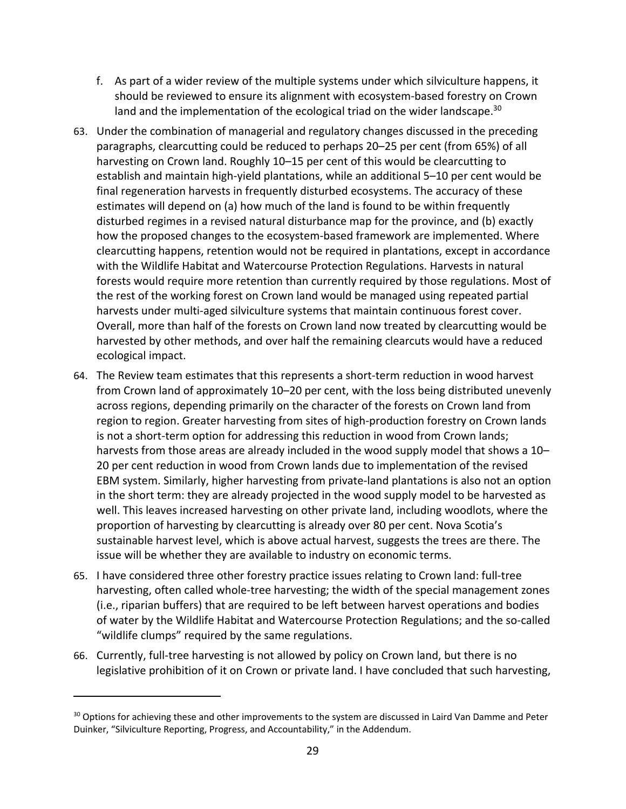- f. As part of a wider review of the multiple systems under which silviculture happens, it should be reviewed to ensure its alignment with ecosystem‐based forestry on Crown land and the implementation of the ecological triad on the wider landscape.<sup>30</sup>
- 63. Under the combination of managerial and regulatory changes discussed in the preceding paragraphs, clearcutting could be reduced to perhaps 20–25 per cent (from 65%) of all harvesting on Crown land. Roughly 10–15 per cent of this would be clearcutting to establish and maintain high‐yield plantations, while an additional 5–10 per cent would be final regeneration harvests in frequently disturbed ecosystems. The accuracy of these estimates will depend on (a) how much of the land is found to be within frequently disturbed regimes in a revised natural disturbance map for the province, and (b) exactly how the proposed changes to the ecosystem-based framework are implemented. Where clearcutting happens, retention would not be required in plantations, except in accordance with the Wildlife Habitat and Watercourse Protection Regulations. Harvests in natural forests would require more retention than currently required by those regulations. Most of the rest of the working forest on Crown land would be managed using repeated partial harvests under multi-aged silviculture systems that maintain continuous forest cover. Overall, more than half of the forests on Crown land now treated by clearcutting would be harvested by other methods, and over half the remaining clearcuts would have a reduced ecological impact.
- 64. The Review team estimates that this represents a short‐term reduction in wood harvest from Crown land of approximately 10–20 per cent, with the loss being distributed unevenly across regions, depending primarily on the character of the forests on Crown land from region to region. Greater harvesting from sites of high‐production forestry on Crown lands is not a short-term option for addressing this reduction in wood from Crown lands; harvests from those areas are already included in the wood supply model that shows a 10– 20 per cent reduction in wood from Crown lands due to implementation of the revised EBM system. Similarly, higher harvesting from private‐land plantations is also not an option in the short term: they are already projected in the wood supply model to be harvested as well. This leaves increased harvesting on other private land, including woodlots, where the proportion of harvesting by clearcutting is already over 80 per cent. Nova Scotia's sustainable harvest level, which is above actual harvest, suggests the trees are there. The issue will be whether they are available to industry on economic terms.
- 65. I have considered three other forestry practice issues relating to Crown land: full‐tree harvesting, often called whole-tree harvesting; the width of the special management zones (i.e., riparian buffers) that are required to be left between harvest operations and bodies of water by the Wildlife Habitat and Watercourse Protection Regulations; and the so‐called "wildlife clumps" required by the same regulations.
- 66. Currently, full‐tree harvesting is not allowed by policy on Crown land, but there is no legislative prohibition of it on Crown or private land. I have concluded that such harvesting,

<sup>&</sup>lt;sup>30</sup> Options for achieving these and other improvements to the system are discussed in Laird Van Damme and Peter Duinker, "Silviculture Reporting, Progress, and Accountability," in the Addendum.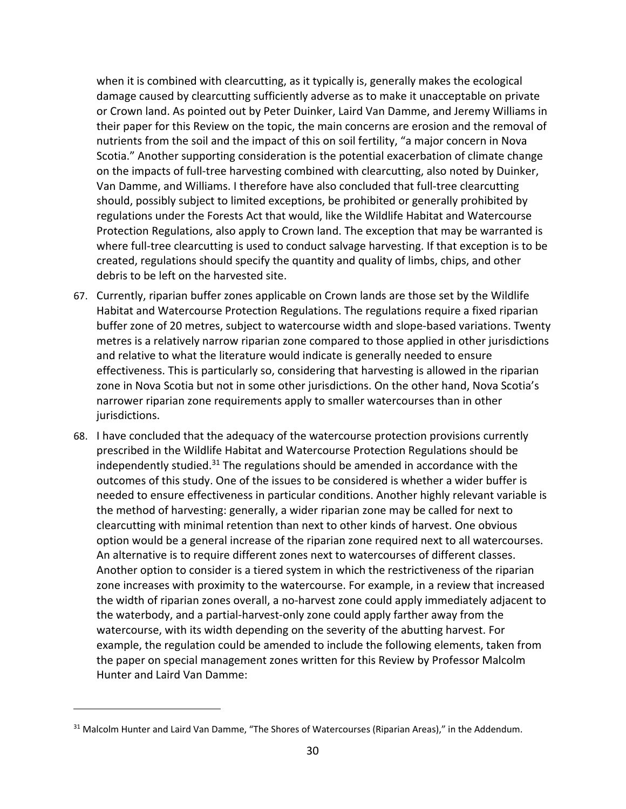when it is combined with clearcutting, as it typically is, generally makes the ecological damage caused by clearcutting sufficiently adverse as to make it unacceptable on private or Crown land. As pointed out by Peter Duinker, Laird Van Damme, and Jeremy Williams in their paper for this Review on the topic, the main concerns are erosion and the removal of nutrients from the soil and the impact of this on soil fertility, "a major concern in Nova Scotia." Another supporting consideration is the potential exacerbation of climate change on the impacts of full-tree harvesting combined with clearcutting, also noted by Duinker, Van Damme, and Williams. I therefore have also concluded that full‐tree clearcutting should, possibly subject to limited exceptions, be prohibited or generally prohibited by regulations under the Forests Act that would, like the Wildlife Habitat and Watercourse Protection Regulations, also apply to Crown land. The exception that may be warranted is where full-tree clearcutting is used to conduct salvage harvesting. If that exception is to be created, regulations should specify the quantity and quality of limbs, chips, and other debris to be left on the harvested site.

- 67. Currently, riparian buffer zones applicable on Crown lands are those set by the Wildlife Habitat and Watercourse Protection Regulations. The regulations require a fixed riparian buffer zone of 20 metres, subject to watercourse width and slope‐based variations. Twenty metres is a relatively narrow riparian zone compared to those applied in other jurisdictions and relative to what the literature would indicate is generally needed to ensure effectiveness. This is particularly so, considering that harvesting is allowed in the riparian zone in Nova Scotia but not in some other jurisdictions. On the other hand, Nova Scotia's narrower riparian zone requirements apply to smaller watercourses than in other jurisdictions.
- 68. I have concluded that the adequacy of the watercourse protection provisions currently prescribed in the Wildlife Habitat and Watercourse Protection Regulations should be independently studied. $31$  The regulations should be amended in accordance with the outcomes of this study. One of the issues to be considered is whether a wider buffer is needed to ensure effectiveness in particular conditions. Another highly relevant variable is the method of harvesting: generally, a wider riparian zone may be called for next to clearcutting with minimal retention than next to other kinds of harvest. One obvious option would be a general increase of the riparian zone required next to all watercourses. An alternative is to require different zones next to watercourses of different classes. Another option to consider is a tiered system in which the restrictiveness of the riparian zone increases with proximity to the watercourse. For example, in a review that increased the width of riparian zones overall, a no‐harvest zone could apply immediately adjacent to the waterbody, and a partial‐harvest‐only zone could apply farther away from the watercourse, with its width depending on the severity of the abutting harvest. For example, the regulation could be amended to include the following elements, taken from the paper on special management zones written for this Review by Professor Malcolm Hunter and Laird Van Damme:

<sup>&</sup>lt;sup>31</sup> Malcolm Hunter and Laird Van Damme, "The Shores of Watercourses (Riparian Areas)," in the Addendum.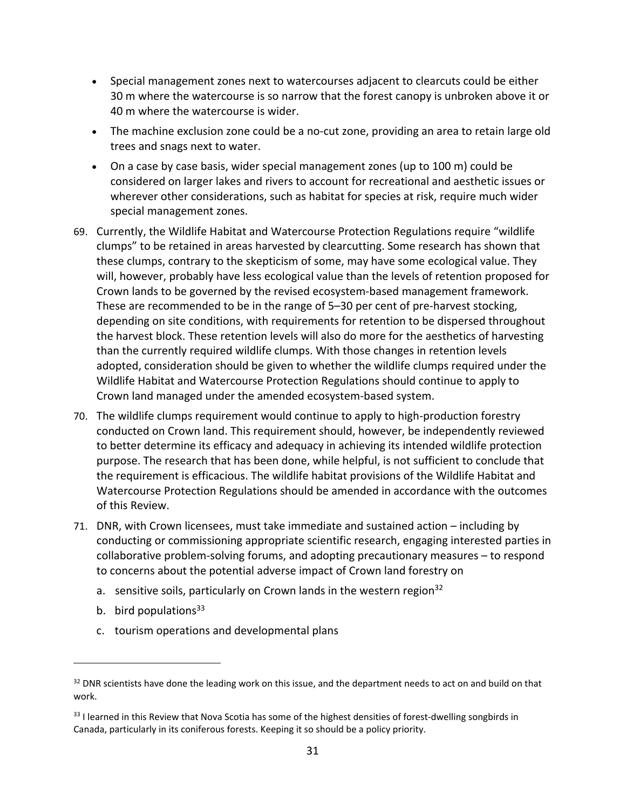- Special management zones next to watercourses adjacent to clearcuts could be either 30 m where the watercourse is so narrow that the forest canopy is unbroken above it or 40 m where the watercourse is wider.
- The machine exclusion zone could be a no-cut zone, providing an area to retain large old trees and snags next to water.
- On a case by case basis, wider special management zones (up to 100 m) could be considered on larger lakes and rivers to account for recreational and aesthetic issues or wherever other considerations, such as habitat for species at risk, require much wider special management zones.
- 69. Currently, the Wildlife Habitat and Watercourse Protection Regulations require "wildlife clumps" to be retained in areas harvested by clearcutting. Some research has shown that these clumps, contrary to the skepticism of some, may have some ecological value. They will, however, probably have less ecological value than the levels of retention proposed for Crown lands to be governed by the revised ecosystem‐based management framework. These are recommended to be in the range of 5–30 per cent of pre‐harvest stocking, depending on site conditions, with requirements for retention to be dispersed throughout the harvest block. These retention levels will also do more for the aesthetics of harvesting than the currently required wildlife clumps. With those changes in retention levels adopted, consideration should be given to whether the wildlife clumps required under the Wildlife Habitat and Watercourse Protection Regulations should continue to apply to Crown land managed under the amended ecosystem‐based system.
- 70. The wildlife clumps requirement would continue to apply to high‐production forestry conducted on Crown land. This requirement should, however, be independently reviewed to better determine its efficacy and adequacy in achieving its intended wildlife protection purpose. The research that has been done, while helpful, is not sufficient to conclude that the requirement is efficacious. The wildlife habitat provisions of the Wildlife Habitat and Watercourse Protection Regulations should be amended in accordance with the outcomes of this Review.
- 71. DNR, with Crown licensees, must take immediate and sustained action including by conducting or commissioning appropriate scientific research, engaging interested parties in collaborative problem‐solving forums, and adopting precautionary measures – to respond to concerns about the potential adverse impact of Crown land forestry on
	- a. sensitive soils, particularly on Crown lands in the western region  $32$
	- b. bird populations $33$

c. tourism operations and developmental plans

<sup>&</sup>lt;sup>32</sup> DNR scientists have done the leading work on this issue, and the department needs to act on and build on that work.

<sup>33</sup> I learned in this Review that Nova Scotia has some of the highest densities of forest-dwelling songbirds in Canada, particularly in its coniferous forests. Keeping it so should be a policy priority.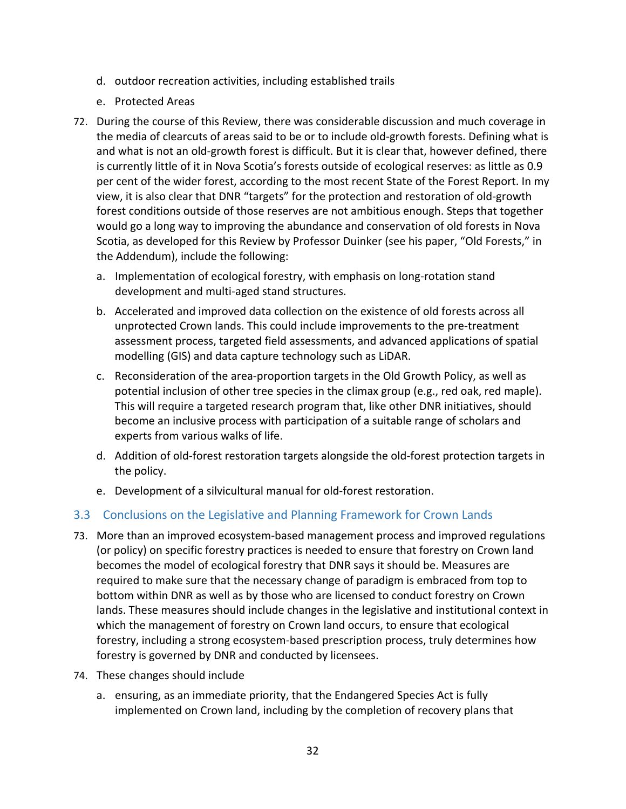- d. outdoor recreation activities, including established trails
- e. Protected Areas
- 72. During the course of this Review, there was considerable discussion and much coverage in the media of clearcuts of areas said to be or to include old‐growth forests. Defining what is and what is not an old‐growth forest is difficult. But it is clear that, however defined, there is currently little of it in Nova Scotia's forests outside of ecological reserves: as little as 0.9 per cent of the wider forest, according to the most recent State of the Forest Report. In my view, it is also clear that DNR "targets" for the protection and restoration of old‐growth forest conditions outside of those reserves are not ambitious enough. Steps that together would go a long way to improving the abundance and conservation of old forests in Nova Scotia, as developed for this Review by Professor Duinker (see his paper, "Old Forests," in the Addendum), include the following:
	- a. Implementation of ecological forestry, with emphasis on long‐rotation stand development and multi‐aged stand structures.
	- b. Accelerated and improved data collection on the existence of old forests across all unprotected Crown lands. This could include improvements to the pre‐treatment assessment process, targeted field assessments, and advanced applications of spatial modelling (GIS) and data capture technology such as LiDAR.
	- c. Reconsideration of the area‐proportion targets in the Old Growth Policy, as well as potential inclusion of other tree species in the climax group (e.g., red oak, red maple). This will require a targeted research program that, like other DNR initiatives, should become an inclusive process with participation of a suitable range of scholars and experts from various walks of life.
	- d. Addition of old‐forest restoration targets alongside the old‐forest protection targets in the policy.
	- e. Development of a silvicultural manual for old‐forest restoration.

# 3.3 Conclusions on the Legislative and Planning Framework for Crown Lands

- 73. More than an improved ecosystem‐based management process and improved regulations (or policy) on specific forestry practices is needed to ensure that forestry on Crown land becomes the model of ecological forestry that DNR says it should be. Measures are required to make sure that the necessary change of paradigm is embraced from top to bottom within DNR as well as by those who are licensed to conduct forestry on Crown lands. These measures should include changes in the legislative and institutional context in which the management of forestry on Crown land occurs, to ensure that ecological forestry, including a strong ecosystem-based prescription process, truly determines how forestry is governed by DNR and conducted by licensees.
- 74. These changes should include
	- a. ensuring, as an immediate priority, that the Endangered Species Act is fully implemented on Crown land, including by the completion of recovery plans that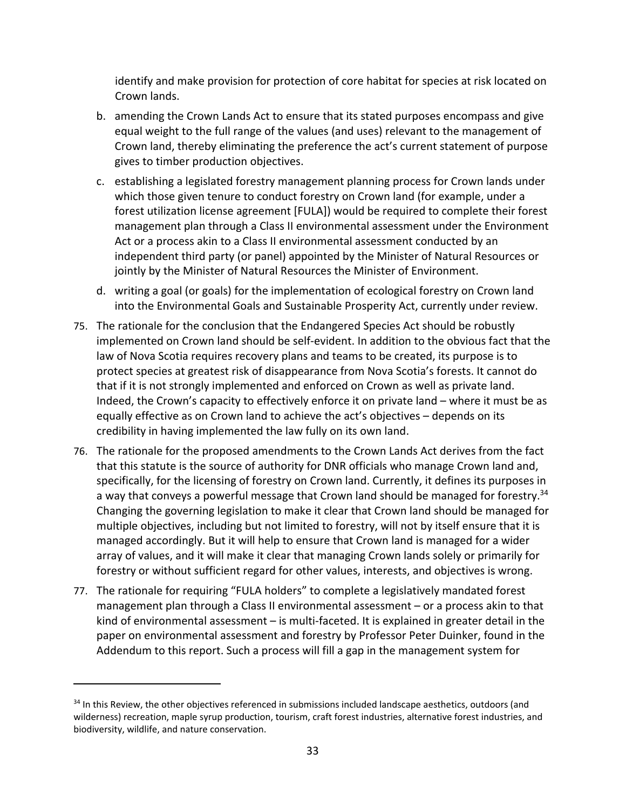identify and make provision for protection of core habitat for species at risk located on Crown lands.

- b. amending the Crown Lands Act to ensure that its stated purposes encompass and give equal weight to the full range of the values (and uses) relevant to the management of Crown land, thereby eliminating the preference the act's current statement of purpose gives to timber production objectives.
- c. establishing a legislated forestry management planning process for Crown lands under which those given tenure to conduct forestry on Crown land (for example, under a forest utilization license agreement [FULA]) would be required to complete their forest management plan through a Class II environmental assessment under the Environment Act or a process akin to a Class II environmental assessment conducted by an independent third party (or panel) appointed by the Minister of Natural Resources or jointly by the Minister of Natural Resources the Minister of Environment.
- d. writing a goal (or goals) for the implementation of ecological forestry on Crown land into the Environmental Goals and Sustainable Prosperity Act, currently under review.
- 75. The rationale for the conclusion that the Endangered Species Act should be robustly implemented on Crown land should be self‐evident. In addition to the obvious fact that the law of Nova Scotia requires recovery plans and teams to be created, its purpose is to protect species at greatest risk of disappearance from Nova Scotia's forests. It cannot do that if it is not strongly implemented and enforced on Crown as well as private land. Indeed, the Crown's capacity to effectively enforce it on private land – where it must be as equally effective as on Crown land to achieve the act's objectives – depends on its credibility in having implemented the law fully on its own land.
- 76. The rationale for the proposed amendments to the Crown Lands Act derives from the fact that this statute is the source of authority for DNR officials who manage Crown land and, specifically, for the licensing of forestry on Crown land. Currently, it defines its purposes in a way that conveys a powerful message that Crown land should be managed for forestry.<sup>34</sup> Changing the governing legislation to make it clear that Crown land should be managed for multiple objectives, including but not limited to forestry, will not by itself ensure that it is managed accordingly. But it will help to ensure that Crown land is managed for a wider array of values, and it will make it clear that managing Crown lands solely or primarily for forestry or without sufficient regard for other values, interests, and objectives is wrong.
- 77. The rationale for requiring "FULA holders" to complete a legislatively mandated forest management plan through a Class II environmental assessment – or a process akin to that kind of environmental assessment – is multi-faceted. It is explained in greater detail in the paper on environmental assessment and forestry by Professor Peter Duinker, found in the Addendum to this report. Such a process will fill a gap in the management system for

<sup>&</sup>lt;sup>34</sup> In this Review, the other objectives referenced in submissions included landscape aesthetics, outdoors (and wilderness) recreation, maple syrup production, tourism, craft forest industries, alternative forest industries, and biodiversity, wildlife, and nature conservation.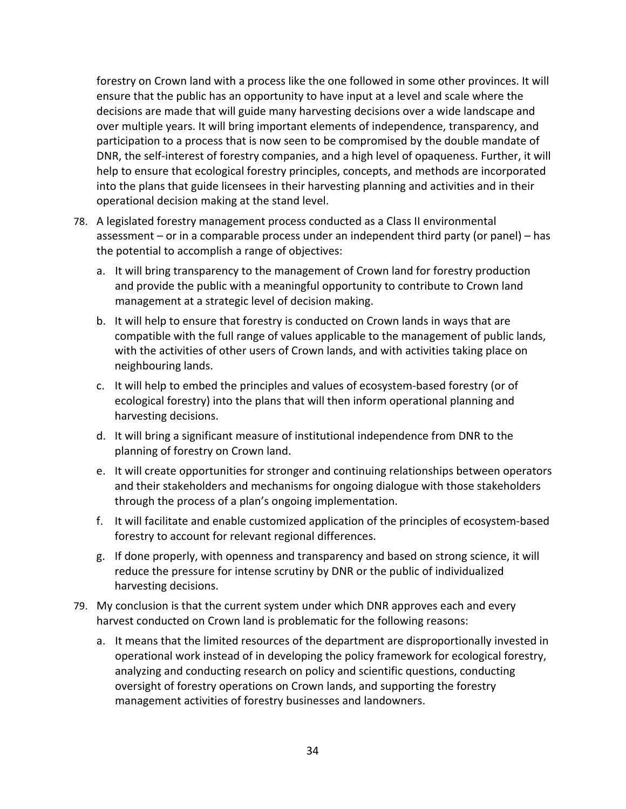forestry on Crown land with a process like the one followed in some other provinces. It will ensure that the public has an opportunity to have input at a level and scale where the decisions are made that will guide many harvesting decisions over a wide landscape and over multiple years. It will bring important elements of independence, transparency, and participation to a process that is now seen to be compromised by the double mandate of DNR, the self-interest of forestry companies, and a high level of opaqueness. Further, it will help to ensure that ecological forestry principles, concepts, and methods are incorporated into the plans that guide licensees in their harvesting planning and activities and in their operational decision making at the stand level.

- 78. A legislated forestry management process conducted as a Class II environmental assessment – or in a comparable process under an independent third party (or panel) – has the potential to accomplish a range of objectives:
	- a. It will bring transparency to the management of Crown land for forestry production and provide the public with a meaningful opportunity to contribute to Crown land management at a strategic level of decision making.
	- b. It will help to ensure that forestry is conducted on Crown lands in ways that are compatible with the full range of values applicable to the management of public lands, with the activities of other users of Crown lands, and with activities taking place on neighbouring lands.
	- c. It will help to embed the principles and values of ecosystem‐based forestry (or of ecological forestry) into the plans that will then inform operational planning and harvesting decisions.
	- d. It will bring a significant measure of institutional independence from DNR to the planning of forestry on Crown land.
	- e. It will create opportunities for stronger and continuing relationships between operators and their stakeholders and mechanisms for ongoing dialogue with those stakeholders through the process of a plan's ongoing implementation.
	- f. It will facilitate and enable customized application of the principles of ecosystem‐based forestry to account for relevant regional differences.
	- g. If done properly, with openness and transparency and based on strong science, it will reduce the pressure for intense scrutiny by DNR or the public of individualized harvesting decisions.
- 79. My conclusion is that the current system under which DNR approves each and every harvest conducted on Crown land is problematic for the following reasons:
	- a. It means that the limited resources of the department are disproportionally invested in operational work instead of in developing the policy framework for ecological forestry, analyzing and conducting research on policy and scientific questions, conducting oversight of forestry operations on Crown lands, and supporting the forestry management activities of forestry businesses and landowners.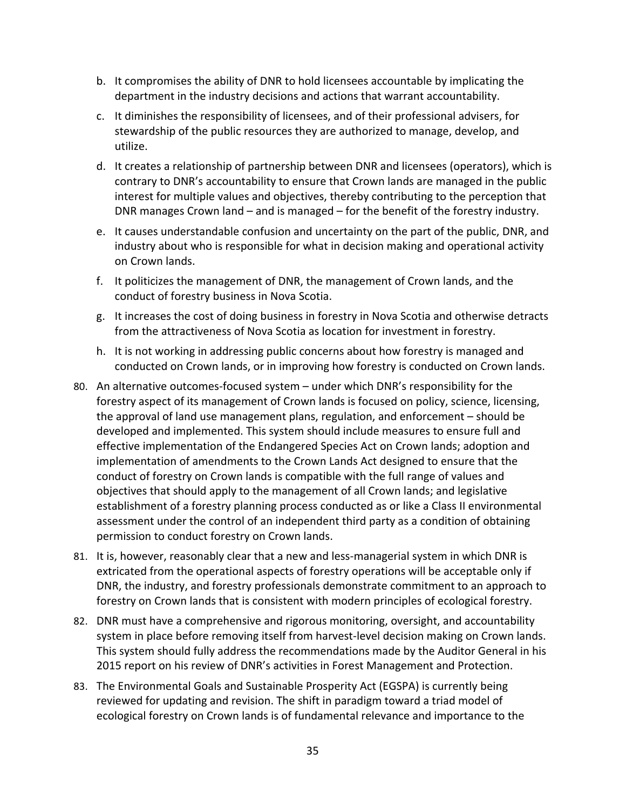- b. It compromises the ability of DNR to hold licensees accountable by implicating the department in the industry decisions and actions that warrant accountability.
- c. It diminishes the responsibility of licensees, and of their professional advisers, for stewardship of the public resources they are authorized to manage, develop, and utilize.
- d. It creates a relationship of partnership between DNR and licensees (operators), which is contrary to DNR's accountability to ensure that Crown lands are managed in the public interest for multiple values and objectives, thereby contributing to the perception that DNR manages Crown land – and is managed – for the benefit of the forestry industry.
- e. It causes understandable confusion and uncertainty on the part of the public, DNR, and industry about who is responsible for what in decision making and operational activity on Crown lands.
- f. It politicizes the management of DNR, the management of Crown lands, and the conduct of forestry business in Nova Scotia.
- g. It increases the cost of doing business in forestry in Nova Scotia and otherwise detracts from the attractiveness of Nova Scotia as location for investment in forestry.
- h. It is not working in addressing public concerns about how forestry is managed and conducted on Crown lands, or in improving how forestry is conducted on Crown lands.
- 80. An alternative outcomes-focused system under which DNR's responsibility for the forestry aspect of its management of Crown lands is focused on policy, science, licensing, the approval of land use management plans, regulation, and enforcement – should be developed and implemented. This system should include measures to ensure full and effective implementation of the Endangered Species Act on Crown lands; adoption and implementation of amendments to the Crown Lands Act designed to ensure that the conduct of forestry on Crown lands is compatible with the full range of values and objectives that should apply to the management of all Crown lands; and legislative establishment of a forestry planning process conducted as or like a Class II environmental assessment under the control of an independent third party as a condition of obtaining permission to conduct forestry on Crown lands.
- 81. It is, however, reasonably clear that a new and less-managerial system in which DNR is extricated from the operational aspects of forestry operations will be acceptable only if DNR, the industry, and forestry professionals demonstrate commitment to an approach to forestry on Crown lands that is consistent with modern principles of ecological forestry.
- 82. DNR must have a comprehensive and rigorous monitoring, oversight, and accountability system in place before removing itself from harvest‐level decision making on Crown lands. This system should fully address the recommendations made by the Auditor General in his 2015 report on his review of DNR's activities in Forest Management and Protection.
- 83. The Environmental Goals and Sustainable Prosperity Act (EGSPA) is currently being reviewed for updating and revision. The shift in paradigm toward a triad model of ecological forestry on Crown lands is of fundamental relevance and importance to the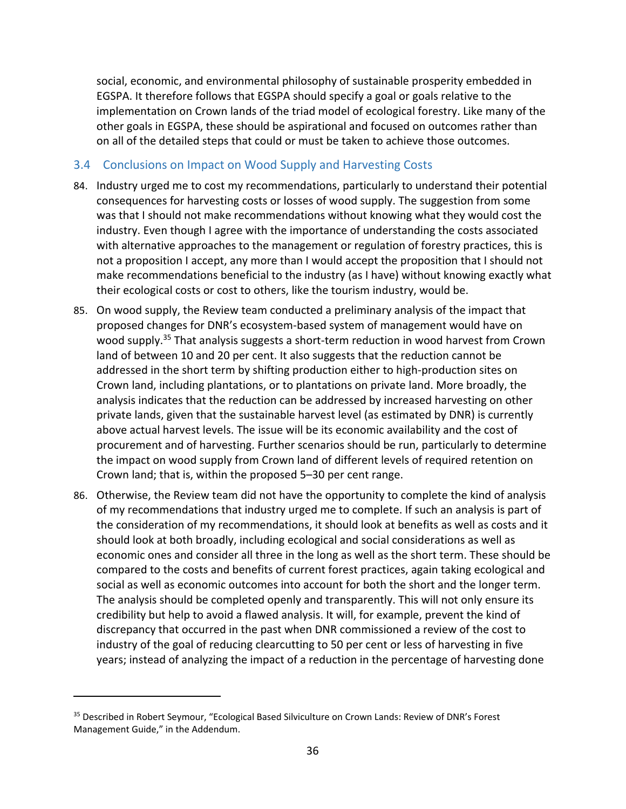social, economic, and environmental philosophy of sustainable prosperity embedded in EGSPA. It therefore follows that EGSPA should specify a goal or goals relative to the implementation on Crown lands of the triad model of ecological forestry. Like many of the other goals in EGSPA, these should be aspirational and focused on outcomes rather than on all of the detailed steps that could or must be taken to achieve those outcomes.

# 3.4 Conclusions on Impact on Wood Supply and Harvesting Costs

- 84. Industry urged me to cost my recommendations, particularly to understand their potential consequences for harvesting costs or losses of wood supply. The suggestion from some was that I should not make recommendations without knowing what they would cost the industry. Even though I agree with the importance of understanding the costs associated with alternative approaches to the management or regulation of forestry practices, this is not a proposition I accept, any more than I would accept the proposition that I should not make recommendations beneficial to the industry (as I have) without knowing exactly what their ecological costs or cost to others, like the tourism industry, would be.
- 85. On wood supply, the Review team conducted a preliminary analysis of the impact that proposed changes for DNR's ecosystem‐based system of management would have on wood supply.<sup>35</sup> That analysis suggests a short-term reduction in wood harvest from Crown land of between 10 and 20 per cent. It also suggests that the reduction cannot be addressed in the short term by shifting production either to high‐production sites on Crown land, including plantations, or to plantations on private land. More broadly, the analysis indicates that the reduction can be addressed by increased harvesting on other private lands, given that the sustainable harvest level (as estimated by DNR) is currently above actual harvest levels. The issue will be its economic availability and the cost of procurement and of harvesting. Further scenarios should be run, particularly to determine the impact on wood supply from Crown land of different levels of required retention on Crown land; that is, within the proposed 5–30 per cent range.
- 86. Otherwise, the Review team did not have the opportunity to complete the kind of analysis of my recommendations that industry urged me to complete. If such an analysis is part of the consideration of my recommendations, it should look at benefits as well as costs and it should look at both broadly, including ecological and social considerations as well as economic ones and consider all three in the long as well as the short term. These should be compared to the costs and benefits of current forest practices, again taking ecological and social as well as economic outcomes into account for both the short and the longer term. The analysis should be completed openly and transparently. This will not only ensure its credibility but help to avoid a flawed analysis. It will, for example, prevent the kind of discrepancy that occurred in the past when DNR commissioned a review of the cost to industry of the goal of reducing clearcutting to 50 per cent or less of harvesting in five years; instead of analyzing the impact of a reduction in the percentage of harvesting done

<sup>&</sup>lt;sup>35</sup> Described in Robert Seymour, "Ecological Based Silviculture on Crown Lands: Review of DNR's Forest Management Guide," in the Addendum.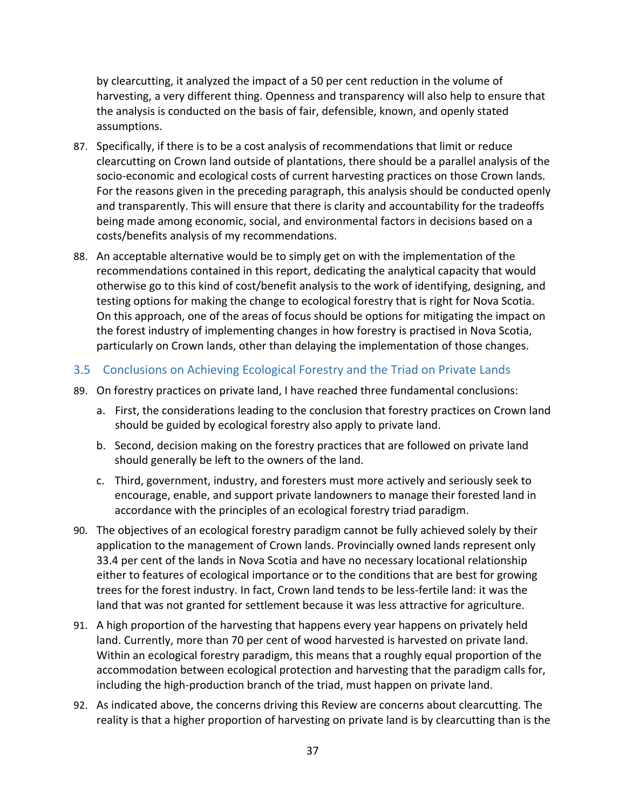by clearcutting, it analyzed the impact of a 50 per cent reduction in the volume of harvesting, a very different thing. Openness and transparency will also help to ensure that the analysis is conducted on the basis of fair, defensible, known, and openly stated assumptions.

- 87. Specifically, if there is to be a cost analysis of recommendations that limit or reduce clearcutting on Crown land outside of plantations, there should be a parallel analysis of the socio-economic and ecological costs of current harvesting practices on those Crown lands. For the reasons given in the preceding paragraph, this analysis should be conducted openly and transparently. This will ensure that there is clarity and accountability for the tradeoffs being made among economic, social, and environmental factors in decisions based on a costs/benefits analysis of my recommendations.
- 88. An acceptable alternative would be to simply get on with the implementation of the recommendations contained in this report, dedicating the analytical capacity that would otherwise go to this kind of cost/benefit analysis to the work of identifying, designing, and testing options for making the change to ecological forestry that is right for Nova Scotia. On this approach, one of the areas of focus should be options for mitigating the impact on the forest industry of implementing changes in how forestry is practised in Nova Scotia, particularly on Crown lands, other than delaying the implementation of those changes.
- 3.5 Conclusions on Achieving Ecological Forestry and the Triad on Private Lands
- 89. On forestry practices on private land, I have reached three fundamental conclusions:
	- a. First, the considerations leading to the conclusion that forestry practices on Crown land should be guided by ecological forestry also apply to private land.
	- b. Second, decision making on the forestry practices that are followed on private land should generally be left to the owners of the land.
	- c. Third, government, industry, and foresters must more actively and seriously seek to encourage, enable, and support private landowners to manage their forested land in accordance with the principles of an ecological forestry triad paradigm.
- 90. The objectives of an ecological forestry paradigm cannot be fully achieved solely by their application to the management of Crown lands. Provincially owned lands represent only 33.4 per cent of the lands in Nova Scotia and have no necessary locational relationship either to features of ecological importance or to the conditions that are best for growing trees for the forest industry. In fact, Crown land tends to be less-fertile land: it was the land that was not granted for settlement because it was less attractive for agriculture.
- 91. A high proportion of the harvesting that happens every year happens on privately held land. Currently, more than 70 per cent of wood harvested is harvested on private land. Within an ecological forestry paradigm, this means that a roughly equal proportion of the accommodation between ecological protection and harvesting that the paradigm calls for, including the high‐production branch of the triad, must happen on private land.
- 92. As indicated above, the concerns driving this Review are concerns about clearcutting. The reality is that a higher proportion of harvesting on private land is by clearcutting than is the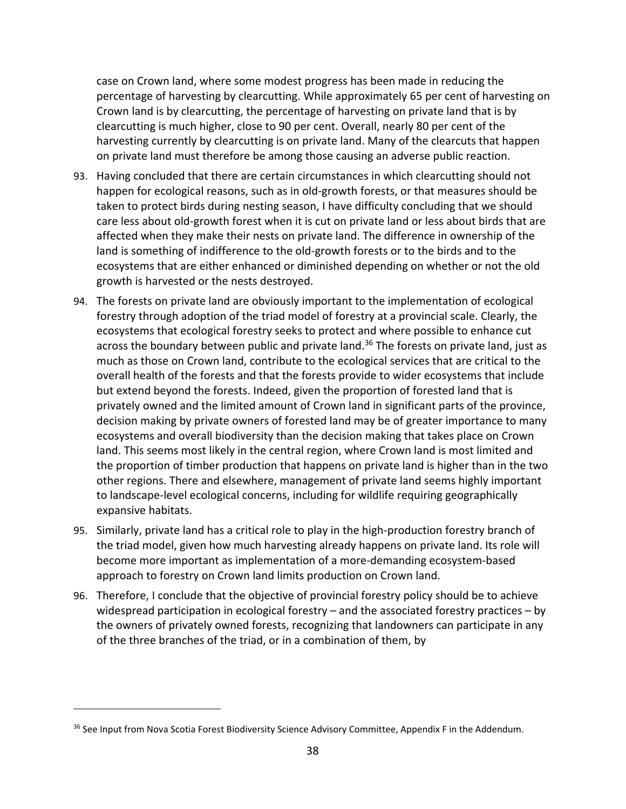case on Crown land, where some modest progress has been made in reducing the percentage of harvesting by clearcutting. While approximately 65 per cent of harvesting on Crown land is by clearcutting, the percentage of harvesting on private land that is by clearcutting is much higher, close to 90 per cent. Overall, nearly 80 per cent of the harvesting currently by clearcutting is on private land. Many of the clearcuts that happen on private land must therefore be among those causing an adverse public reaction.

- 93. Having concluded that there are certain circumstances in which clearcutting should not happen for ecological reasons, such as in old-growth forests, or that measures should be taken to protect birds during nesting season, I have difficulty concluding that we should care less about old‐growth forest when it is cut on private land or less about birds that are affected when they make their nests on private land. The difference in ownership of the land is something of indifference to the old‐growth forests or to the birds and to the ecosystems that are either enhanced or diminished depending on whether or not the old growth is harvested or the nests destroyed.
- 94. The forests on private land are obviously important to the implementation of ecological forestry through adoption of the triad model of forestry at a provincial scale. Clearly, the ecosystems that ecological forestry seeks to protect and where possible to enhance cut across the boundary between public and private land.<sup>36</sup> The forests on private land, just as much as those on Crown land, contribute to the ecological services that are critical to the overall health of the forests and that the forests provide to wider ecosystems that include but extend beyond the forests. Indeed, given the proportion of forested land that is privately owned and the limited amount of Crown land in significant parts of the province, decision making by private owners of forested land may be of greater importance to many ecosystems and overall biodiversity than the decision making that takes place on Crown land. This seems most likely in the central region, where Crown land is most limited and the proportion of timber production that happens on private land is higher than in the two other regions. There and elsewhere, management of private land seems highly important to landscape‐level ecological concerns, including for wildlife requiring geographically expansive habitats.
- 95. Similarly, private land has a critical role to play in the high‐production forestry branch of the triad model, given how much harvesting already happens on private land. Its role will become more important as implementation of a more‐demanding ecosystem‐based approach to forestry on Crown land limits production on Crown land.
- 96. Therefore, I conclude that the objective of provincial forestry policy should be to achieve widespread participation in ecological forestry – and the associated forestry practices – by the owners of privately owned forests, recognizing that landowners can participate in any of the three branches of the triad, or in a combination of them, by

<sup>&</sup>lt;sup>36</sup> See Input from Nova Scotia Forest Biodiversity Science Advisory Committee, Appendix F in the Addendum.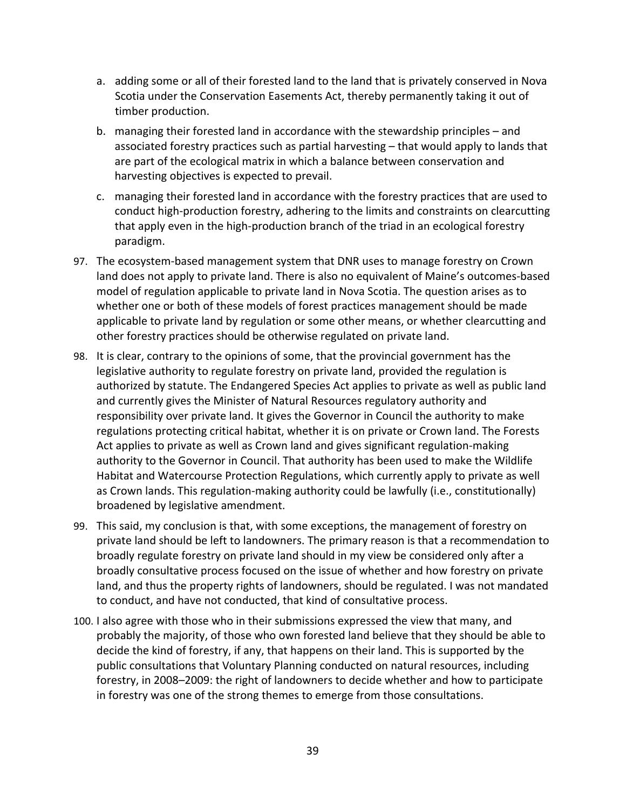- a. adding some or all of their forested land to the land that is privately conserved in Nova Scotia under the Conservation Easements Act, thereby permanently taking it out of timber production.
- b. managing their forested land in accordance with the stewardship principles and associated forestry practices such as partial harvesting – that would apply to lands that are part of the ecological matrix in which a balance between conservation and harvesting objectives is expected to prevail.
- c. managing their forested land in accordance with the forestry practices that are used to conduct high‐production forestry, adhering to the limits and constraints on clearcutting that apply even in the high‐production branch of the triad in an ecological forestry paradigm.
- 97. The ecosystem-based management system that DNR uses to manage forestry on Crown land does not apply to private land. There is also no equivalent of Maine's outcomes‐based model of regulation applicable to private land in Nova Scotia. The question arises as to whether one or both of these models of forest practices management should be made applicable to private land by regulation or some other means, or whether clearcutting and other forestry practices should be otherwise regulated on private land.
- 98. It is clear, contrary to the opinions of some, that the provincial government has the legislative authority to regulate forestry on private land, provided the regulation is authorized by statute. The Endangered Species Act applies to private as well as public land and currently gives the Minister of Natural Resources regulatory authority and responsibility over private land. It gives the Governor in Council the authority to make regulations protecting critical habitat, whether it is on private or Crown land. The Forests Act applies to private as well as Crown land and gives significant regulation‐making authority to the Governor in Council. That authority has been used to make the Wildlife Habitat and Watercourse Protection Regulations, which currently apply to private as well as Crown lands. This regulation-making authority could be lawfully (i.e., constitutionally) broadened by legislative amendment.
- 99. This said, my conclusion is that, with some exceptions, the management of forestry on private land should be left to landowners. The primary reason is that a recommendation to broadly regulate forestry on private land should in my view be considered only after a broadly consultative process focused on the issue of whether and how forestry on private land, and thus the property rights of landowners, should be regulated. I was not mandated to conduct, and have not conducted, that kind of consultative process.
- 100. I also agree with those who in their submissions expressed the view that many, and probably the majority, of those who own forested land believe that they should be able to decide the kind of forestry, if any, that happens on their land. This is supported by the public consultations that Voluntary Planning conducted on natural resources, including forestry, in 2008–2009: the right of landowners to decide whether and how to participate in forestry was one of the strong themes to emerge from those consultations.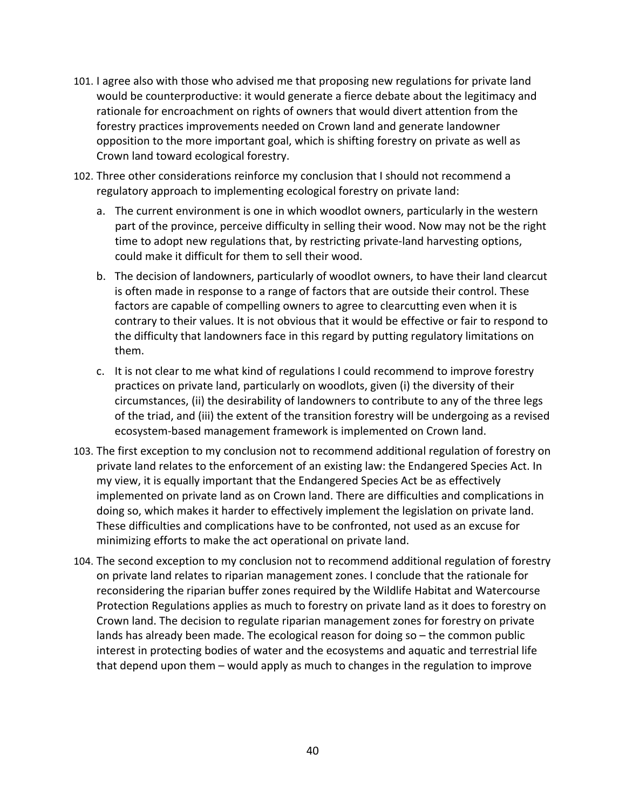- 101. I agree also with those who advised me that proposing new regulations for private land would be counterproductive: it would generate a fierce debate about the legitimacy and rationale for encroachment on rights of owners that would divert attention from the forestry practices improvements needed on Crown land and generate landowner opposition to the more important goal, which is shifting forestry on private as well as Crown land toward ecological forestry.
- 102. Three other considerations reinforce my conclusion that I should not recommend a regulatory approach to implementing ecological forestry on private land:
	- a. The current environment is one in which woodlot owners, particularly in the western part of the province, perceive difficulty in selling their wood. Now may not be the right time to adopt new regulations that, by restricting private‐land harvesting options, could make it difficult for them to sell their wood.
	- b. The decision of landowners, particularly of woodlot owners, to have their land clearcut is often made in response to a range of factors that are outside their control. These factors are capable of compelling owners to agree to clearcutting even when it is contrary to their values. It is not obvious that it would be effective or fair to respond to the difficulty that landowners face in this regard by putting regulatory limitations on them.
	- c. It is not clear to me what kind of regulations I could recommend to improve forestry practices on private land, particularly on woodlots, given (i) the diversity of their circumstances, (ii) the desirability of landowners to contribute to any of the three legs of the triad, and (iii) the extent of the transition forestry will be undergoing as a revised ecosystem‐based management framework is implemented on Crown land.
- 103. The first exception to my conclusion not to recommend additional regulation of forestry on private land relates to the enforcement of an existing law: the Endangered Species Act. In my view, it is equally important that the Endangered Species Act be as effectively implemented on private land as on Crown land. There are difficulties and complications in doing so, which makes it harder to effectively implement the legislation on private land. These difficulties and complications have to be confronted, not used as an excuse for minimizing efforts to make the act operational on private land.
- 104. The second exception to my conclusion not to recommend additional regulation of forestry on private land relates to riparian management zones. I conclude that the rationale for reconsidering the riparian buffer zones required by the Wildlife Habitat and Watercourse Protection Regulations applies as much to forestry on private land as it does to forestry on Crown land. The decision to regulate riparian management zones for forestry on private lands has already been made. The ecological reason for doing so – the common public interest in protecting bodies of water and the ecosystems and aquatic and terrestrial life that depend upon them – would apply as much to changes in the regulation to improve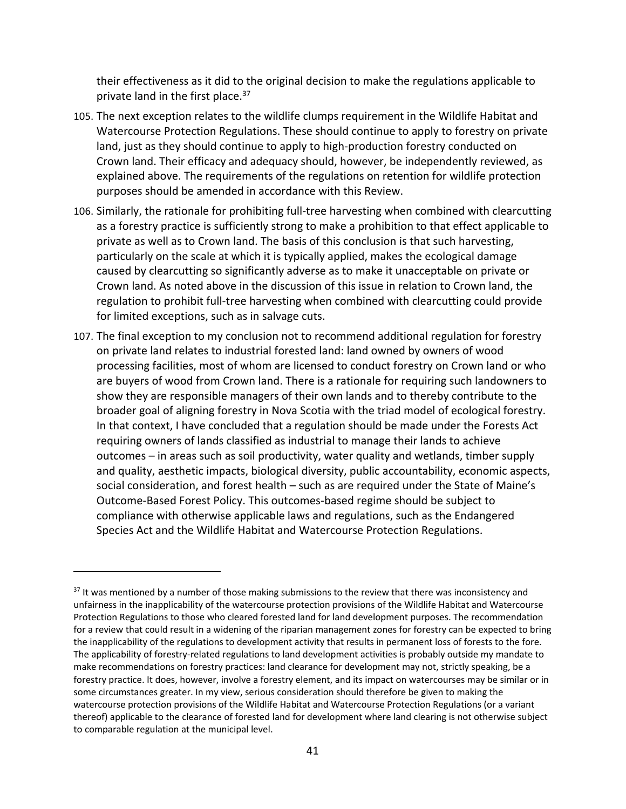their effectiveness as it did to the original decision to make the regulations applicable to private land in the first place.<sup>37</sup>

- 105. The next exception relates to the wildlife clumps requirement in the Wildlife Habitat and Watercourse Protection Regulations. These should continue to apply to forestry on private land, just as they should continue to apply to high‐production forestry conducted on Crown land. Their efficacy and adequacy should, however, be independently reviewed, as explained above. The requirements of the regulations on retention for wildlife protection purposes should be amended in accordance with this Review.
- 106. Similarly, the rationale for prohibiting full‐tree harvesting when combined with clearcutting as a forestry practice is sufficiently strong to make a prohibition to that effect applicable to private as well as to Crown land. The basis of this conclusion is that such harvesting, particularly on the scale at which it is typically applied, makes the ecological damage caused by clearcutting so significantly adverse as to make it unacceptable on private or Crown land. As noted above in the discussion of this issue in relation to Crown land, the regulation to prohibit full-tree harvesting when combined with clearcutting could provide for limited exceptions, such as in salvage cuts.
- 107. The final exception to my conclusion not to recommend additional regulation for forestry on private land relates to industrial forested land: land owned by owners of wood processing facilities, most of whom are licensed to conduct forestry on Crown land or who are buyers of wood from Crown land. There is a rationale for requiring such landowners to show they are responsible managers of their own lands and to thereby contribute to the broader goal of aligning forestry in Nova Scotia with the triad model of ecological forestry. In that context, I have concluded that a regulation should be made under the Forests Act requiring owners of lands classified as industrial to manage their lands to achieve outcomes – in areas such as soil productivity, water quality and wetlands, timber supply and quality, aesthetic impacts, biological diversity, public accountability, economic aspects, social consideration, and forest health – such as are required under the State of Maine's Outcome‐Based Forest Policy. This outcomes‐based regime should be subject to compliance with otherwise applicable laws and regulations, such as the Endangered Species Act and the Wildlife Habitat and Watercourse Protection Regulations.

 $37$  It was mentioned by a number of those making submissions to the review that there was inconsistency and unfairness in the inapplicability of the watercourse protection provisions of the Wildlife Habitat and Watercourse Protection Regulations to those who cleared forested land for land development purposes. The recommendation for a review that could result in a widening of the riparian management zones for forestry can be expected to bring the inapplicability of the regulations to development activity that results in permanent loss of forests to the fore. The applicability of forestry‐related regulations to land development activities is probably outside my mandate to make recommendations on forestry practices: land clearance for development may not, strictly speaking, be a forestry practice. It does, however, involve a forestry element, and its impact on watercourses may be similar or in some circumstances greater. In my view, serious consideration should therefore be given to making the watercourse protection provisions of the Wildlife Habitat and Watercourse Protection Regulations (or a variant thereof) applicable to the clearance of forested land for development where land clearing is not otherwise subject to comparable regulation at the municipal level.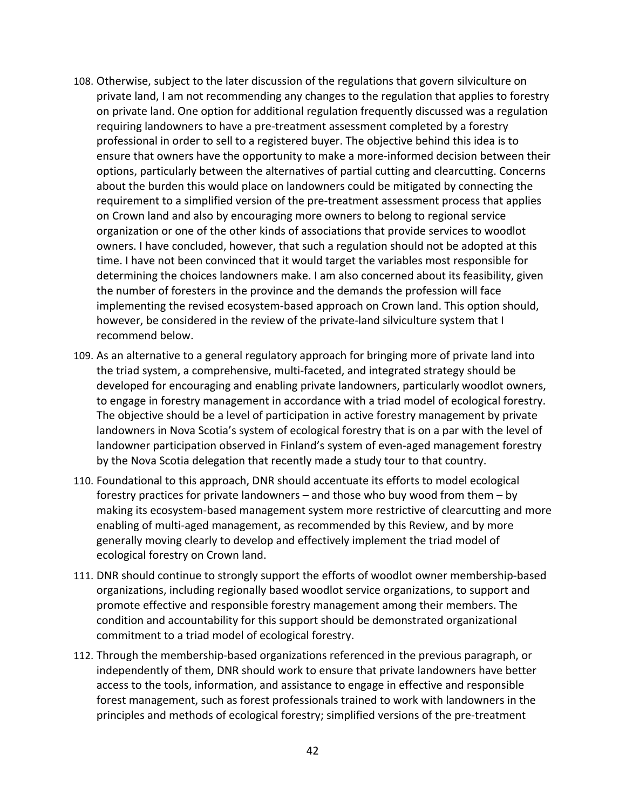- 108. Otherwise, subject to the later discussion of the regulations that govern silviculture on private land, I am not recommending any changes to the regulation that applies to forestry on private land. One option for additional regulation frequently discussed was a regulation requiring landowners to have a pre‐treatment assessment completed by a forestry professional in order to sell to a registered buyer. The objective behind this idea is to ensure that owners have the opportunity to make a more-informed decision between their options, particularly between the alternatives of partial cutting and clearcutting. Concerns about the burden this would place on landowners could be mitigated by connecting the requirement to a simplified version of the pre‐treatment assessment process that applies on Crown land and also by encouraging more owners to belong to regional service organization or one of the other kinds of associations that provide services to woodlot owners. I have concluded, however, that such a regulation should not be adopted at this time. I have not been convinced that it would target the variables most responsible for determining the choices landowners make. I am also concerned about its feasibility, given the number of foresters in the province and the demands the profession will face implementing the revised ecosystem-based approach on Crown land. This option should, however, be considered in the review of the private-land silviculture system that I recommend below.
- 109. As an alternative to a general regulatory approach for bringing more of private land into the triad system, a comprehensive, multi‐faceted, and integrated strategy should be developed for encouraging and enabling private landowners, particularly woodlot owners, to engage in forestry management in accordance with a triad model of ecological forestry. The objective should be a level of participation in active forestry management by private landowners in Nova Scotia's system of ecological forestry that is on a par with the level of landowner participation observed in Finland's system of even‐aged management forestry by the Nova Scotia delegation that recently made a study tour to that country.
- 110. Foundational to this approach, DNR should accentuate its efforts to model ecological forestry practices for private landowners – and those who buy wood from them – by making its ecosystem‐based management system more restrictive of clearcutting and more enabling of multi‐aged management, as recommended by this Review, and by more generally moving clearly to develop and effectively implement the triad model of ecological forestry on Crown land.
- 111. DNR should continue to strongly support the efforts of woodlot owner membership‐based organizations, including regionally based woodlot service organizations, to support and promote effective and responsible forestry management among their members. The condition and accountability for this support should be demonstrated organizational commitment to a triad model of ecological forestry.
- 112. Through the membership‐based organizations referenced in the previous paragraph, or independently of them, DNR should work to ensure that private landowners have better access to the tools, information, and assistance to engage in effective and responsible forest management, such as forest professionals trained to work with landowners in the principles and methods of ecological forestry; simplified versions of the pre‐treatment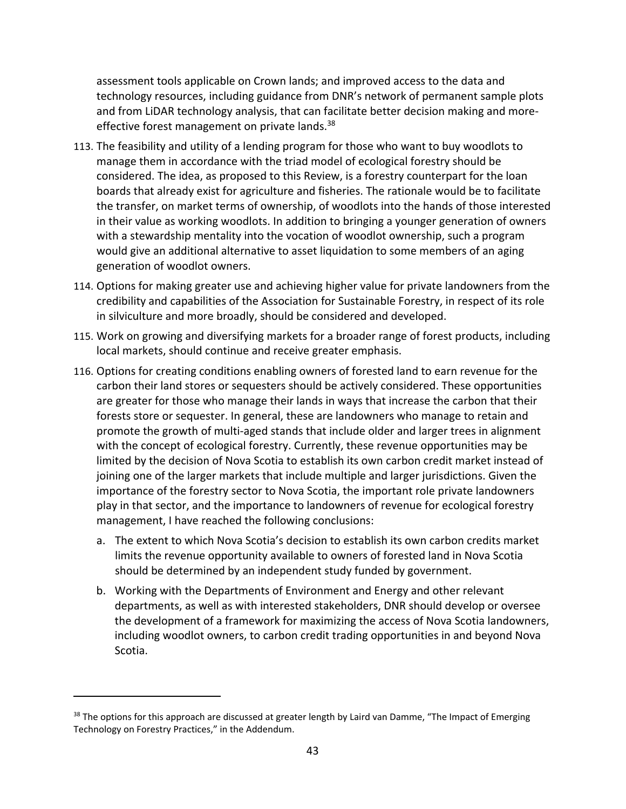assessment tools applicable on Crown lands; and improved access to the data and technology resources, including guidance from DNR's network of permanent sample plots and from LiDAR technology analysis, that can facilitate better decision making and more‐ effective forest management on private lands.<sup>38</sup>

- 113. The feasibility and utility of a lending program for those who want to buy woodlots to manage them in accordance with the triad model of ecological forestry should be considered. The idea, as proposed to this Review, is a forestry counterpart for the loan boards that already exist for agriculture and fisheries. The rationale would be to facilitate the transfer, on market terms of ownership, of woodlots into the hands of those interested in their value as working woodlots. In addition to bringing a younger generation of owners with a stewardship mentality into the vocation of woodlot ownership, such a program would give an additional alternative to asset liquidation to some members of an aging generation of woodlot owners.
- 114. Options for making greater use and achieving higher value for private landowners from the credibility and capabilities of the Association for Sustainable Forestry, in respect of its role in silviculture and more broadly, should be considered and developed.
- 115. Work on growing and diversifying markets for a broader range of forest products, including local markets, should continue and receive greater emphasis.
- 116. Options for creating conditions enabling owners of forested land to earn revenue for the carbon their land stores or sequesters should be actively considered. These opportunities are greater for those who manage their lands in ways that increase the carbon that their forests store or sequester. In general, these are landowners who manage to retain and promote the growth of multi‐aged stands that include older and larger trees in alignment with the concept of ecological forestry. Currently, these revenue opportunities may be limited by the decision of Nova Scotia to establish its own carbon credit market instead of joining one of the larger markets that include multiple and larger jurisdictions. Given the importance of the forestry sector to Nova Scotia, the important role private landowners play in that sector, and the importance to landowners of revenue for ecological forestry management, I have reached the following conclusions:
	- a. The extent to which Nova Scotia's decision to establish its own carbon credits market limits the revenue opportunity available to owners of forested land in Nova Scotia should be determined by an independent study funded by government.
	- b. Working with the Departments of Environment and Energy and other relevant departments, as well as with interested stakeholders, DNR should develop or oversee the development of a framework for maximizing the access of Nova Scotia landowners, including woodlot owners, to carbon credit trading opportunities in and beyond Nova Scotia.

<sup>&</sup>lt;sup>38</sup> The options for this approach are discussed at greater length by Laird van Damme, "The Impact of Emerging Technology on Forestry Practices," in the Addendum.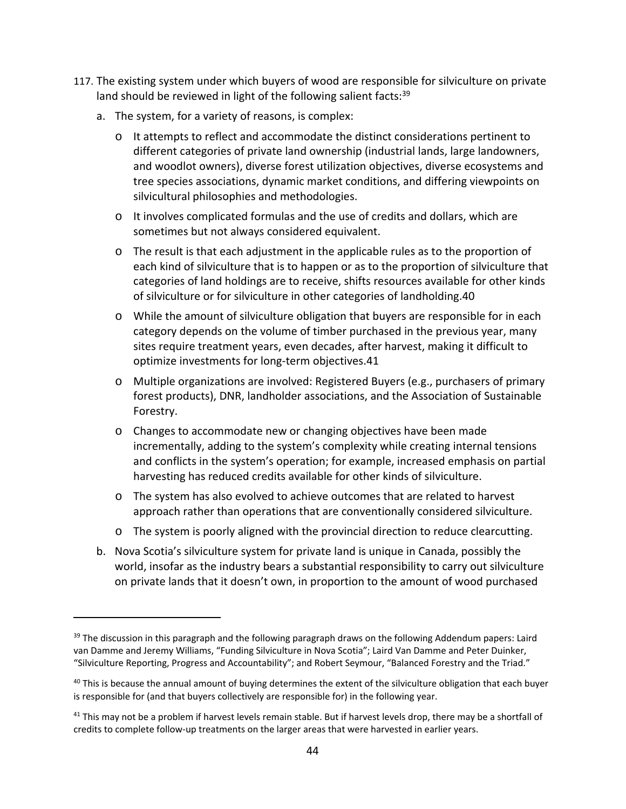- 117. The existing system under which buyers of wood are responsible for silviculture on private land should be reviewed in light of the following salient facts:<sup>39</sup>
	- a. The system, for a variety of reasons, is complex:
		- o It attempts to reflect and accommodate the distinct considerations pertinent to different categories of private land ownership (industrial lands, large landowners, and woodlot owners), diverse forest utilization objectives, diverse ecosystems and tree species associations, dynamic market conditions, and differing viewpoints on silvicultural philosophies and methodologies.
		- o It involves complicated formulas and the use of credits and dollars, which are sometimes but not always considered equivalent.
		- o The result is that each adjustment in the applicable rules as to the proportion of each kind of silviculture that is to happen or as to the proportion of silviculture that categories of land holdings are to receive, shifts resources available for other kinds of silviculture or for silviculture in other categories of landholding.40
		- o While the amount of silviculture obligation that buyers are responsible for in each category depends on the volume of timber purchased in the previous year, many sites require treatment years, even decades, after harvest, making it difficult to optimize investments for long‐term objectives.41
		- o Multiple organizations are involved: Registered Buyers (e.g., purchasers of primary forest products), DNR, landholder associations, and the Association of Sustainable Forestry.
		- o Changes to accommodate new or changing objectives have been made incrementally, adding to the system's complexity while creating internal tensions and conflicts in the system's operation; for example, increased emphasis on partial harvesting has reduced credits available for other kinds of silviculture.
		- o The system has also evolved to achieve outcomes that are related to harvest approach rather than operations that are conventionally considered silviculture.
		- o The system is poorly aligned with the provincial direction to reduce clearcutting.
	- b. Nova Scotia's silviculture system for private land is unique in Canada, possibly the world, insofar as the industry bears a substantial responsibility to carry out silviculture on private lands that it doesn't own, in proportion to the amount of wood purchased

<sup>&</sup>lt;sup>39</sup> The discussion in this paragraph and the following paragraph draws on the following Addendum papers: Laird van Damme and Jeremy Williams, "Funding Silviculture in Nova Scotia"; Laird Van Damme and Peter Duinker, "Silviculture Reporting, Progress and Accountability"; and Robert Seymour, "Balanced Forestry and the Triad."

 $40$  This is because the annual amount of buying determines the extent of the silviculture obligation that each buyer is responsible for (and that buyers collectively are responsible for) in the following year.

 $41$  This may not be a problem if harvest levels remain stable. But if harvest levels drop, there may be a shortfall of credits to complete follow‐up treatments on the larger areas that were harvested in earlier years.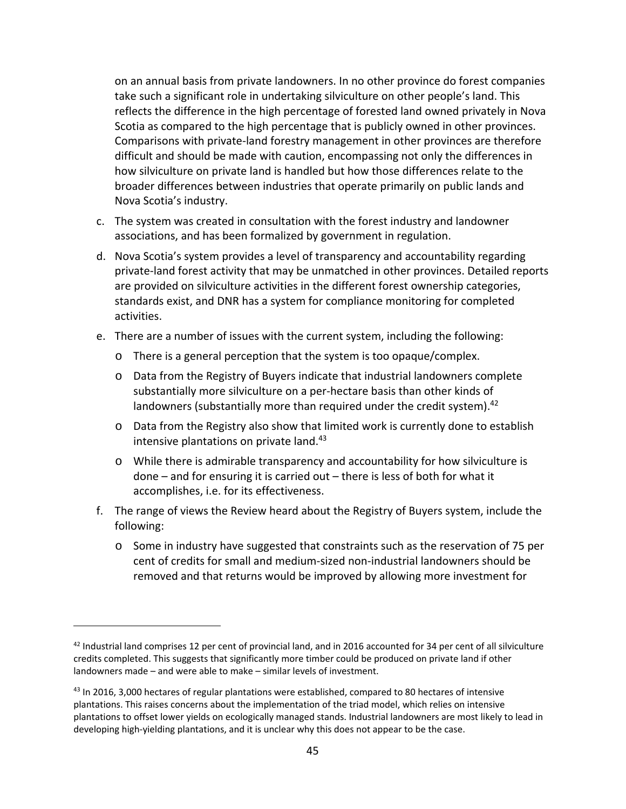on an annual basis from private landowners. In no other province do forest companies take such a significant role in undertaking silviculture on other people's land. This reflects the difference in the high percentage of forested land owned privately in Nova Scotia as compared to the high percentage that is publicly owned in other provinces. Comparisons with private‐land forestry management in other provinces are therefore difficult and should be made with caution, encompassing not only the differences in how silviculture on private land is handled but how those differences relate to the broader differences between industries that operate primarily on public lands and Nova Scotia's industry.

- c. The system was created in consultation with the forest industry and landowner associations, and has been formalized by government in regulation.
- d. Nova Scotia's system provides a level of transparency and accountability regarding private‐land forest activity that may be unmatched in other provinces. Detailed reports are provided on silviculture activities in the different forest ownership categories, standards exist, and DNR has a system for compliance monitoring for completed activities.
- e. There are a number of issues with the current system, including the following:
	- o There is a general perception that the system is too opaque/complex.
	- o Data from the Registry of Buyers indicate that industrial landowners complete substantially more silviculture on a per‐hectare basis than other kinds of landowners (substantially more than required under the credit system). $42$
	- o Data from the Registry also show that limited work is currently done to establish intensive plantations on private land.<sup>43</sup>
	- o While there is admirable transparency and accountability for how silviculture is done – and for ensuring it is carried out – there is less of both for what it accomplishes, i.e. for its effectiveness.
- f. The range of views the Review heard about the Registry of Buyers system, include the following:
	- o Some in industry have suggested that constraints such as the reservation of 75 per cent of credits for small and medium‐sized non‐industrial landowners should be removed and that returns would be improved by allowing more investment for

<sup>42</sup> Industrial land comprises 12 per cent of provincial land, and in 2016 accounted for 34 per cent of all silviculture credits completed. This suggests that significantly more timber could be produced on private land if other landowners made – and were able to make – similar levels of investment.

<sup>&</sup>lt;sup>43</sup> In 2016, 3,000 hectares of regular plantations were established, compared to 80 hectares of intensive plantations. This raises concerns about the implementation of the triad model, which relies on intensive plantations to offset lower yields on ecologically managed stands. Industrial landowners are most likely to lead in developing high‐yielding plantations, and it is unclear why this does not appear to be the case.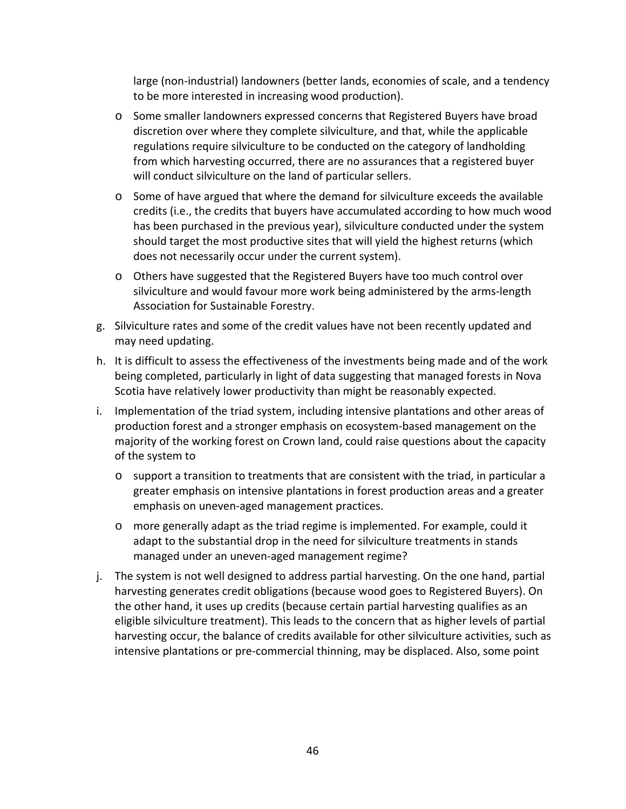large (non‐industrial) landowners (better lands, economies of scale, and a tendency to be more interested in increasing wood production).

- o Some smaller landowners expressed concerns that Registered Buyers have broad discretion over where they complete silviculture, and that, while the applicable regulations require silviculture to be conducted on the category of landholding from which harvesting occurred, there are no assurances that a registered buyer will conduct silviculture on the land of particular sellers.
- o Some of have argued that where the demand for silviculture exceeds the available credits (i.e., the credits that buyers have accumulated according to how much wood has been purchased in the previous year), silviculture conducted under the system should target the most productive sites that will yield the highest returns (which does not necessarily occur under the current system).
- o Others have suggested that the Registered Buyers have too much control over silviculture and would favour more work being administered by the arms‐length Association for Sustainable Forestry.
- g. Silviculture rates and some of the credit values have not been recently updated and may need updating.
- h. It is difficult to assess the effectiveness of the investments being made and of the work being completed, particularly in light of data suggesting that managed forests in Nova Scotia have relatively lower productivity than might be reasonably expected.
- i. Implementation of the triad system, including intensive plantations and other areas of production forest and a stronger emphasis on ecosystem‐based management on the majority of the working forest on Crown land, could raise questions about the capacity of the system to
	- o support a transition to treatments that are consistent with the triad, in particular a greater emphasis on intensive plantations in forest production areas and a greater emphasis on uneven‐aged management practices.
	- o more generally adapt as the triad regime is implemented. For example, could it adapt to the substantial drop in the need for silviculture treatments in stands managed under an uneven‐aged management regime?
- j. The system is not well designed to address partial harvesting. On the one hand, partial harvesting generates credit obligations (because wood goes to Registered Buyers). On the other hand, it uses up credits (because certain partial harvesting qualifies as an eligible silviculture treatment). This leads to the concern that as higher levels of partial harvesting occur, the balance of credits available for other silviculture activities, such as intensive plantations or pre‐commercial thinning, may be displaced. Also, some point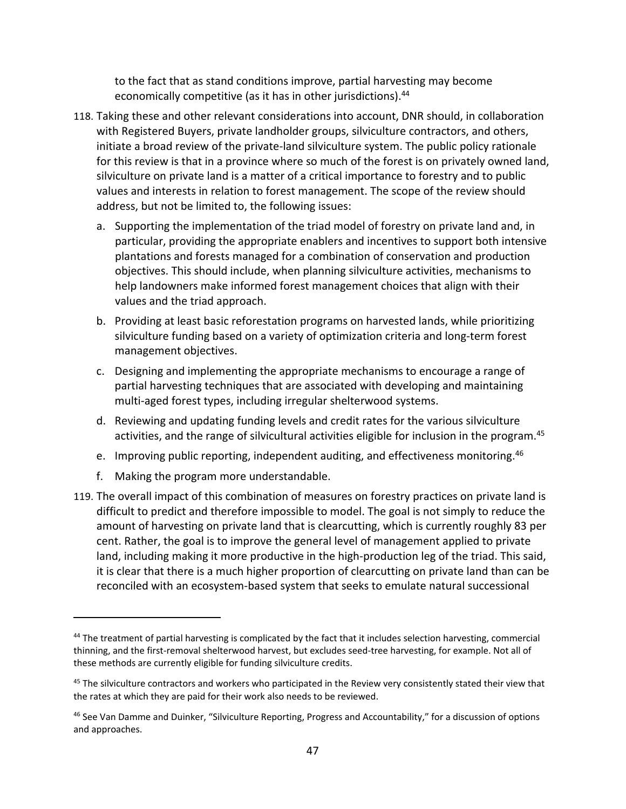to the fact that as stand conditions improve, partial harvesting may become economically competitive (as it has in other jurisdictions).<sup>44</sup>

- 118. Taking these and other relevant considerations into account, DNR should, in collaboration with Registered Buyers, private landholder groups, silviculture contractors, and others, initiate a broad review of the private‐land silviculture system. The public policy rationale for this review is that in a province where so much of the forest is on privately owned land, silviculture on private land is a matter of a critical importance to forestry and to public values and interests in relation to forest management. The scope of the review should address, but not be limited to, the following issues:
	- a. Supporting the implementation of the triad model of forestry on private land and, in particular, providing the appropriate enablers and incentives to support both intensive plantations and forests managed for a combination of conservation and production objectives. This should include, when planning silviculture activities, mechanisms to help landowners make informed forest management choices that align with their values and the triad approach.
	- b. Providing at least basic reforestation programs on harvested lands, while prioritizing silviculture funding based on a variety of optimization criteria and long‐term forest management objectives.
	- c. Designing and implementing the appropriate mechanisms to encourage a range of partial harvesting techniques that are associated with developing and maintaining multi-aged forest types, including irregular shelterwood systems.
	- d. Reviewing and updating funding levels and credit rates for the various silviculture activities, and the range of silvicultural activities eligible for inclusion in the program.45
	- e. Improving public reporting, independent auditing, and effectiveness monitoring.46
	- f. Making the program more understandable.

119. The overall impact of this combination of measures on forestry practices on private land is difficult to predict and therefore impossible to model. The goal is not simply to reduce the amount of harvesting on private land that is clearcutting, which is currently roughly 83 per cent. Rather, the goal is to improve the general level of management applied to private land, including making it more productive in the high-production leg of the triad. This said, it is clear that there is a much higher proportion of clearcutting on private land than can be reconciled with an ecosystem‐based system that seeks to emulate natural successional

<sup>44</sup> The treatment of partial harvesting is complicated by the fact that it includes selection harvesting, commercial thinning, and the first-removal shelterwood harvest, but excludes seed-tree harvesting, for example. Not all of these methods are currently eligible for funding silviculture credits.

<sup>&</sup>lt;sup>45</sup> The silviculture contractors and workers who participated in the Review very consistently stated their view that the rates at which they are paid for their work also needs to be reviewed.

<sup>&</sup>lt;sup>46</sup> See Van Damme and Duinker, "Silviculture Reporting, Progress and Accountability," for a discussion of options and approaches.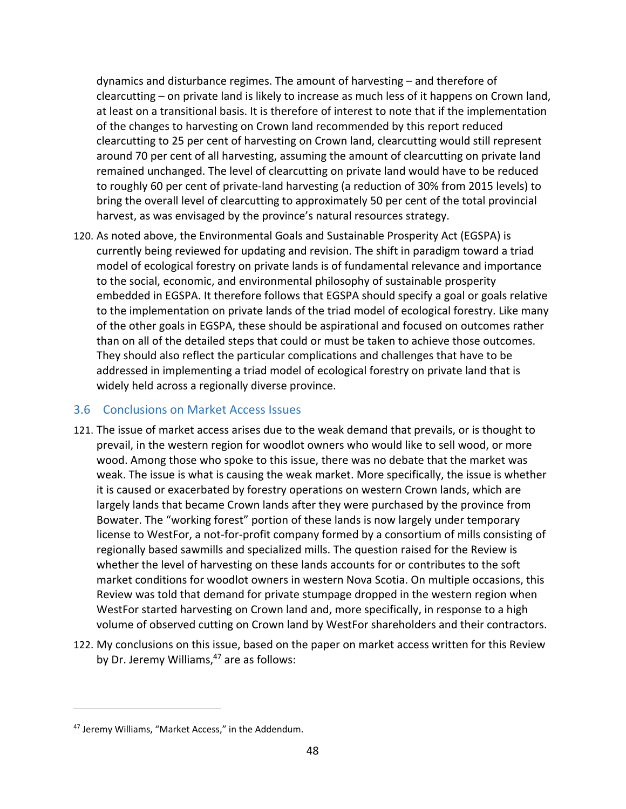dynamics and disturbance regimes. The amount of harvesting – and therefore of clearcutting – on private land is likely to increase as much less of it happens on Crown land, at least on a transitional basis. It is therefore of interest to note that if the implementation of the changes to harvesting on Crown land recommended by this report reduced clearcutting to 25 per cent of harvesting on Crown land, clearcutting would still represent around 70 per cent of all harvesting, assuming the amount of clearcutting on private land remained unchanged. The level of clearcutting on private land would have to be reduced to roughly 60 per cent of private‐land harvesting (a reduction of 30% from 2015 levels) to bring the overall level of clearcutting to approximately 50 per cent of the total provincial harvest, as was envisaged by the province's natural resources strategy.

120. As noted above, the Environmental Goals and Sustainable Prosperity Act (EGSPA) is currently being reviewed for updating and revision. The shift in paradigm toward a triad model of ecological forestry on private lands is of fundamental relevance and importance to the social, economic, and environmental philosophy of sustainable prosperity embedded in EGSPA. It therefore follows that EGSPA should specify a goal or goals relative to the implementation on private lands of the triad model of ecological forestry. Like many of the other goals in EGSPA, these should be aspirational and focused on outcomes rather than on all of the detailed steps that could or must be taken to achieve those outcomes. They should also reflect the particular complications and challenges that have to be addressed in implementing a triad model of ecological forestry on private land that is widely held across a regionally diverse province.

### 3.6 Conclusions on Market Access Issues

- 121. The issue of market access arises due to the weak demand that prevails, or is thought to prevail, in the western region for woodlot owners who would like to sell wood, or more wood. Among those who spoke to this issue, there was no debate that the market was weak. The issue is what is causing the weak market. More specifically, the issue is whether it is caused or exacerbated by forestry operations on western Crown lands, which are largely lands that became Crown lands after they were purchased by the province from Bowater. The "working forest" portion of these lands is now largely under temporary license to WestFor, a not‐for‐profit company formed by a consortium of mills consisting of regionally based sawmills and specialized mills. The question raised for the Review is whether the level of harvesting on these lands accounts for or contributes to the soft market conditions for woodlot owners in western Nova Scotia. On multiple occasions, this Review was told that demand for private stumpage dropped in the western region when WestFor started harvesting on Crown land and, more specifically, in response to a high volume of observed cutting on Crown land by WestFor shareholders and their contractors.
- 122. My conclusions on this issue, based on the paper on market access written for this Review by Dr. Jeremy Williams, $47$  are as follows:

<sup>47</sup> Jeremy Williams, "Market Access," in the Addendum.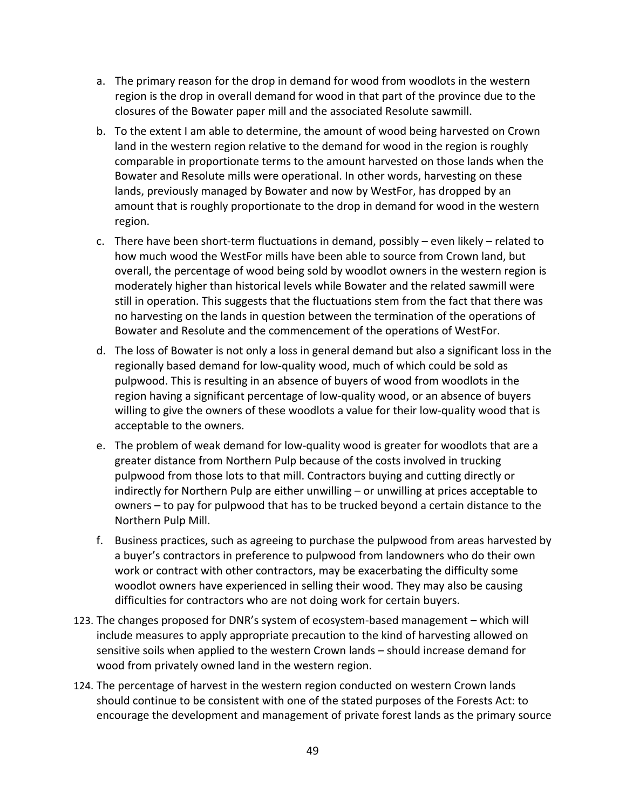- a. The primary reason for the drop in demand for wood from woodlots in the western region is the drop in overall demand for wood in that part of the province due to the closures of the Bowater paper mill and the associated Resolute sawmill.
- b. To the extent I am able to determine, the amount of wood being harvested on Crown land in the western region relative to the demand for wood in the region is roughly comparable in proportionate terms to the amount harvested on those lands when the Bowater and Resolute mills were operational. In other words, harvesting on these lands, previously managed by Bowater and now by WestFor, has dropped by an amount that is roughly proportionate to the drop in demand for wood in the western region.
- c. There have been short‐term fluctuations in demand, possibly even likely related to how much wood the WestFor mills have been able to source from Crown land, but overall, the percentage of wood being sold by woodlot owners in the western region is moderately higher than historical levels while Bowater and the related sawmill were still in operation. This suggests that the fluctuations stem from the fact that there was no harvesting on the lands in question between the termination of the operations of Bowater and Resolute and the commencement of the operations of WestFor.
- d. The loss of Bowater is not only a loss in general demand but also a significant loss in the regionally based demand for low‐quality wood, much of which could be sold as pulpwood. This is resulting in an absence of buyers of wood from woodlots in the region having a significant percentage of low‐quality wood, or an absence of buyers willing to give the owners of these woodlots a value for their low-quality wood that is acceptable to the owners.
- e. The problem of weak demand for low‐quality wood is greater for woodlots that are a greater distance from Northern Pulp because of the costs involved in trucking pulpwood from those lots to that mill. Contractors buying and cutting directly or indirectly for Northern Pulp are either unwilling – or unwilling at prices acceptable to owners – to pay for pulpwood that has to be trucked beyond a certain distance to the Northern Pulp Mill.
- f. Business practices, such as agreeing to purchase the pulpwood from areas harvested by a buyer's contractors in preference to pulpwood from landowners who do their own work or contract with other contractors, may be exacerbating the difficulty some woodlot owners have experienced in selling their wood. They may also be causing difficulties for contractors who are not doing work for certain buyers.
- 123. The changes proposed for DNR's system of ecosystem-based management which will include measures to apply appropriate precaution to the kind of harvesting allowed on sensitive soils when applied to the western Crown lands – should increase demand for wood from privately owned land in the western region.
- 124. The percentage of harvest in the western region conducted on western Crown lands should continue to be consistent with one of the stated purposes of the Forests Act: to encourage the development and management of private forest lands as the primary source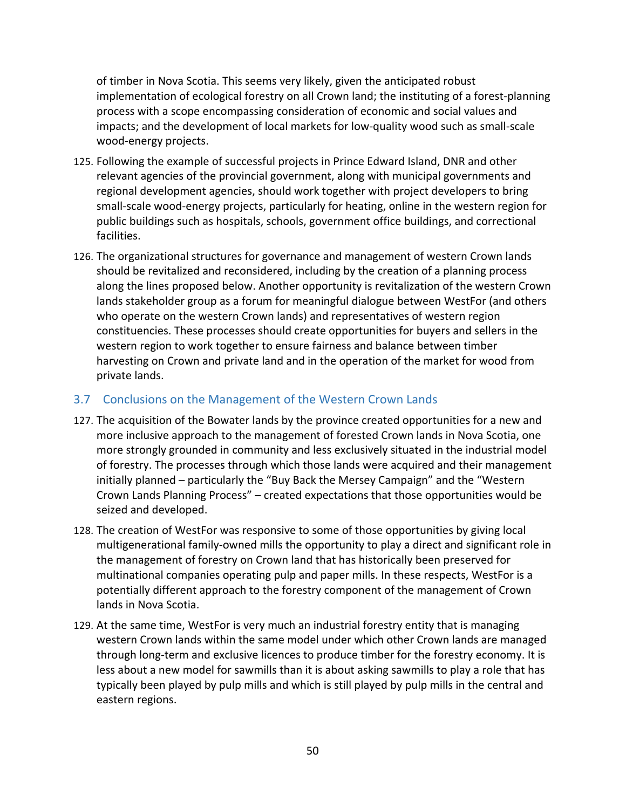of timber in Nova Scotia. This seems very likely, given the anticipated robust implementation of ecological forestry on all Crown land; the instituting of a forest-planning process with a scope encompassing consideration of economic and social values and impacts; and the development of local markets for low‐quality wood such as small‐scale wood‐energy projects.

- 125. Following the example of successful projects in Prince Edward Island, DNR and other relevant agencies of the provincial government, along with municipal governments and regional development agencies, should work together with project developers to bring small‐scale wood‐energy projects, particularly for heating, online in the western region for public buildings such as hospitals, schools, government office buildings, and correctional facilities.
- 126. The organizational structures for governance and management of western Crown lands should be revitalized and reconsidered, including by the creation of a planning process along the lines proposed below. Another opportunity is revitalization of the western Crown lands stakeholder group as a forum for meaningful dialogue between WestFor (and others who operate on the western Crown lands) and representatives of western region constituencies. These processes should create opportunities for buyers and sellers in the western region to work together to ensure fairness and balance between timber harvesting on Crown and private land and in the operation of the market for wood from private lands.

# 3.7 Conclusions on the Management of the Western Crown Lands

- 127. The acquisition of the Bowater lands by the province created opportunities for a new and more inclusive approach to the management of forested Crown lands in Nova Scotia, one more strongly grounded in community and less exclusively situated in the industrial model of forestry. The processes through which those lands were acquired and their management initially planned – particularly the "Buy Back the Mersey Campaign" and the "Western Crown Lands Planning Process" – created expectations that those opportunities would be seized and developed.
- 128. The creation of WestFor was responsive to some of those opportunities by giving local multigenerational family‐owned mills the opportunity to play a direct and significant role in the management of forestry on Crown land that has historically been preserved for multinational companies operating pulp and paper mills. In these respects, WestFor is a potentially different approach to the forestry component of the management of Crown lands in Nova Scotia.
- 129. At the same time, WestFor is very much an industrial forestry entity that is managing western Crown lands within the same model under which other Crown lands are managed through long‐term and exclusive licences to produce timber for the forestry economy. It is less about a new model for sawmills than it is about asking sawmills to play a role that has typically been played by pulp mills and which is still played by pulp mills in the central and eastern regions.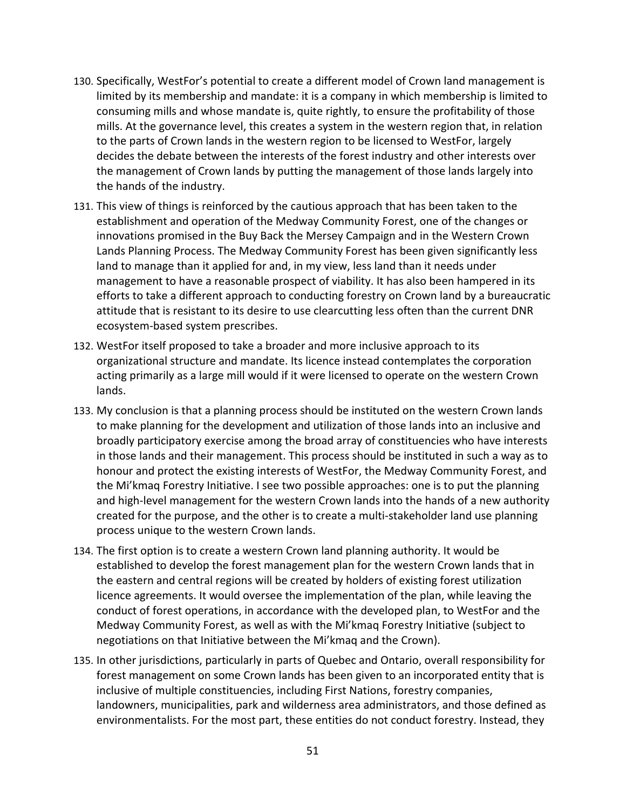- 130. Specifically, WestFor's potential to create a different model of Crown land management is limited by its membership and mandate: it is a company in which membership is limited to consuming mills and whose mandate is, quite rightly, to ensure the profitability of those mills. At the governance level, this creates a system in the western region that, in relation to the parts of Crown lands in the western region to be licensed to WestFor, largely decides the debate between the interests of the forest industry and other interests over the management of Crown lands by putting the management of those lands largely into the hands of the industry.
- 131. This view of things is reinforced by the cautious approach that has been taken to the establishment and operation of the Medway Community Forest, one of the changes or innovations promised in the Buy Back the Mersey Campaign and in the Western Crown Lands Planning Process. The Medway Community Forest has been given significantly less land to manage than it applied for and, in my view, less land than it needs under management to have a reasonable prospect of viability. It has also been hampered in its efforts to take a different approach to conducting forestry on Crown land by a bureaucratic attitude that is resistant to its desire to use clearcutting less often than the current DNR ecosystem‐based system prescribes.
- 132. WestFor itself proposed to take a broader and more inclusive approach to its organizational structure and mandate. Its licence instead contemplates the corporation acting primarily as a large mill would if it were licensed to operate on the western Crown lands.
- 133. My conclusion is that a planning process should be instituted on the western Crown lands to make planning for the development and utilization of those lands into an inclusive and broadly participatory exercise among the broad array of constituencies who have interests in those lands and their management. This process should be instituted in such a way as to honour and protect the existing interests of WestFor, the Medway Community Forest, and the Mi'kmaq Forestry Initiative. I see two possible approaches: one is to put the planning and high-level management for the western Crown lands into the hands of a new authority created for the purpose, and the other is to create a multi‐stakeholder land use planning process unique to the western Crown lands.
- 134. The first option is to create a western Crown land planning authority. It would be established to develop the forest management plan for the western Crown lands that in the eastern and central regions will be created by holders of existing forest utilization licence agreements. It would oversee the implementation of the plan, while leaving the conduct of forest operations, in accordance with the developed plan, to WestFor and the Medway Community Forest, as well as with the Mi'kmaq Forestry Initiative (subject to negotiations on that Initiative between the Mi'kmaq and the Crown).
- 135. In other jurisdictions, particularly in parts of Quebec and Ontario, overall responsibility for forest management on some Crown lands has been given to an incorporated entity that is inclusive of multiple constituencies, including First Nations, forestry companies, landowners, municipalities, park and wilderness area administrators, and those defined as environmentalists. For the most part, these entities do not conduct forestry. Instead, they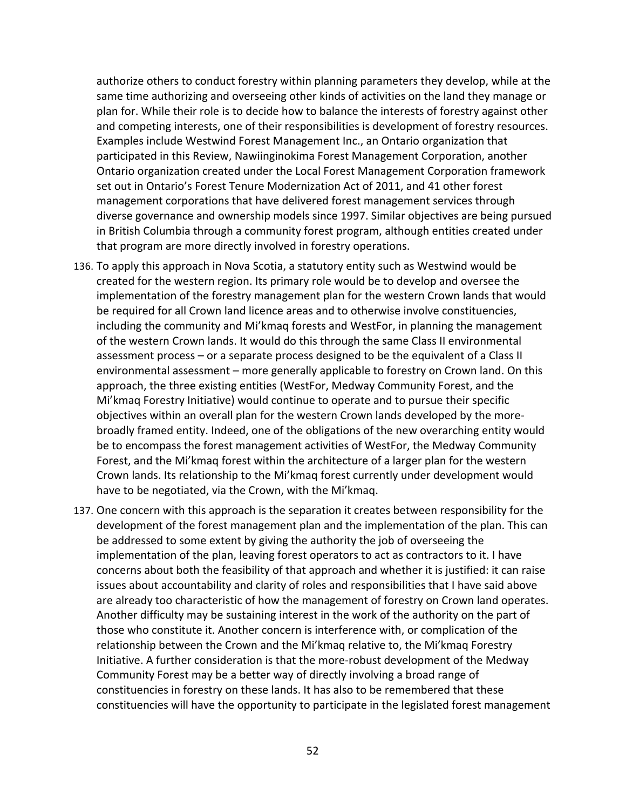authorize others to conduct forestry within planning parameters they develop, while at the same time authorizing and overseeing other kinds of activities on the land they manage or plan for. While their role is to decide how to balance the interests of forestry against other and competing interests, one of their responsibilities is development of forestry resources. Examples include Westwind Forest Management Inc., an Ontario organization that participated in this Review, Nawiinginokima Forest Management Corporation, another Ontario organization created under the Local Forest Management Corporation framework set out in Ontario's Forest Tenure Modernization Act of 2011, and 41 other forest management corporations that have delivered forest management services through diverse governance and ownership models since 1997. Similar objectives are being pursued in British Columbia through a community forest program, although entities created under that program are more directly involved in forestry operations.

- 136. To apply this approach in Nova Scotia, a statutory entity such as Westwind would be created for the western region. Its primary role would be to develop and oversee the implementation of the forestry management plan for the western Crown lands that would be required for all Crown land licence areas and to otherwise involve constituencies, including the community and Mi'kmaq forests and WestFor, in planning the management of the western Crown lands. It would do this through the same Class II environmental assessment process – or a separate process designed to be the equivalent of a Class II environmental assessment – more generally applicable to forestry on Crown land. On this approach, the three existing entities (WestFor, Medway Community Forest, and the Mi'kmaq Forestry Initiative) would continue to operate and to pursue their specific objectives within an overall plan for the western Crown lands developed by the more‐ broadly framed entity. Indeed, one of the obligations of the new overarching entity would be to encompass the forest management activities of WestFor, the Medway Community Forest, and the Mi'kmaq forest within the architecture of a larger plan for the western Crown lands. Its relationship to the Mi'kmaq forest currently under development would have to be negotiated, via the Crown, with the Mi'kmaq.
- 137. One concern with this approach is the separation it creates between responsibility for the development of the forest management plan and the implementation of the plan. This can be addressed to some extent by giving the authority the job of overseeing the implementation of the plan, leaving forest operators to act as contractors to it. I have concerns about both the feasibility of that approach and whether it is justified: it can raise issues about accountability and clarity of roles and responsibilities that I have said above are already too characteristic of how the management of forestry on Crown land operates. Another difficulty may be sustaining interest in the work of the authority on the part of those who constitute it. Another concern is interference with, or complication of the relationship between the Crown and the Mi'kmaq relative to, the Mi'kmaq Forestry Initiative. A further consideration is that the more‐robust development of the Medway Community Forest may be a better way of directly involving a broad range of constituencies in forestry on these lands. It has also to be remembered that these constituencies will have the opportunity to participate in the legislated forest management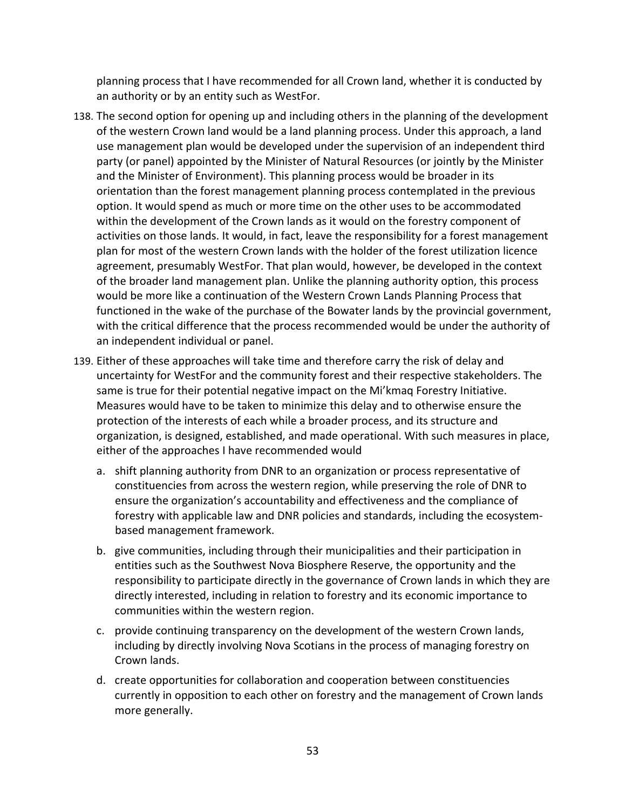planning process that I have recommended for all Crown land, whether it is conducted by an authority or by an entity such as WestFor.

- 138. The second option for opening up and including others in the planning of the development of the western Crown land would be a land planning process. Under this approach, a land use management plan would be developed under the supervision of an independent third party (or panel) appointed by the Minister of Natural Resources (or jointly by the Minister and the Minister of Environment). This planning process would be broader in its orientation than the forest management planning process contemplated in the previous option. It would spend as much or more time on the other uses to be accommodated within the development of the Crown lands as it would on the forestry component of activities on those lands. It would, in fact, leave the responsibility for a forest management plan for most of the western Crown lands with the holder of the forest utilization licence agreement, presumably WestFor. That plan would, however, be developed in the context of the broader land management plan. Unlike the planning authority option, this process would be more like a continuation of the Western Crown Lands Planning Process that functioned in the wake of the purchase of the Bowater lands by the provincial government, with the critical difference that the process recommended would be under the authority of an independent individual or panel.
- 139. Either of these approaches will take time and therefore carry the risk of delay and uncertainty for WestFor and the community forest and their respective stakeholders. The same is true for their potential negative impact on the Mi'kmaq Forestry Initiative. Measures would have to be taken to minimize this delay and to otherwise ensure the protection of the interests of each while a broader process, and its structure and organization, is designed, established, and made operational. With such measures in place, either of the approaches I have recommended would
	- a. shift planning authority from DNR to an organization or process representative of constituencies from across the western region, while preserving the role of DNR to ensure the organization's accountability and effectiveness and the compliance of forestry with applicable law and DNR policies and standards, including the ecosystem‐ based management framework.
	- b. give communities, including through their municipalities and their participation in entities such as the Southwest Nova Biosphere Reserve, the opportunity and the responsibility to participate directly in the governance of Crown lands in which they are directly interested, including in relation to forestry and its economic importance to communities within the western region.
	- c. provide continuing transparency on the development of the western Crown lands, including by directly involving Nova Scotians in the process of managing forestry on Crown lands.
	- d. create opportunities for collaboration and cooperation between constituencies currently in opposition to each other on forestry and the management of Crown lands more generally.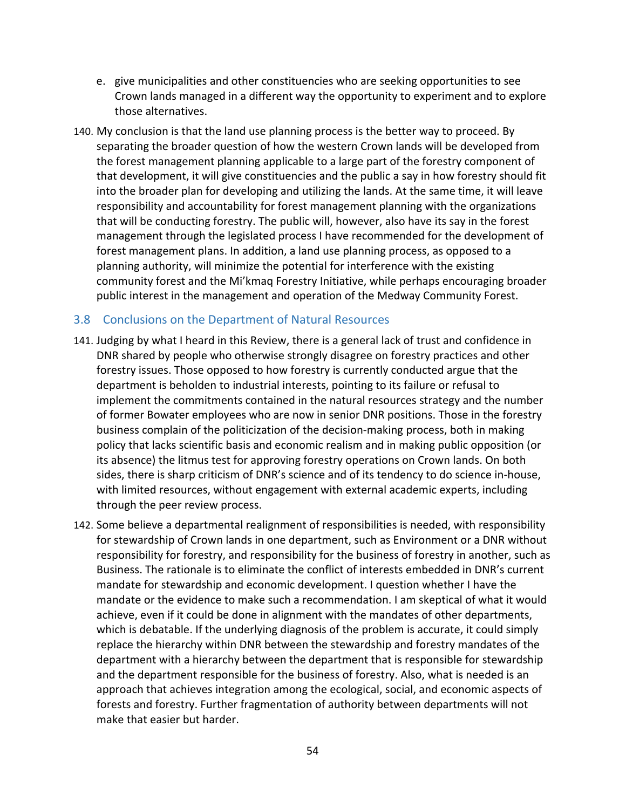- e. give municipalities and other constituencies who are seeking opportunities to see Crown lands managed in a different way the opportunity to experiment and to explore those alternatives.
- 140. My conclusion is that the land use planning process is the better way to proceed. By separating the broader question of how the western Crown lands will be developed from the forest management planning applicable to a large part of the forestry component of that development, it will give constituencies and the public a say in how forestry should fit into the broader plan for developing and utilizing the lands. At the same time, it will leave responsibility and accountability for forest management planning with the organizations that will be conducting forestry. The public will, however, also have its say in the forest management through the legislated process I have recommended for the development of forest management plans. In addition, a land use planning process, as opposed to a planning authority, will minimize the potential for interference with the existing community forest and the Mi'kmaq Forestry Initiative, while perhaps encouraging broader public interest in the management and operation of the Medway Community Forest.

### 3.8 Conclusions on the Department of Natural Resources

- 141. Judging by what I heard in this Review, there is a general lack of trust and confidence in DNR shared by people who otherwise strongly disagree on forestry practices and other forestry issues. Those opposed to how forestry is currently conducted argue that the department is beholden to industrial interests, pointing to its failure or refusal to implement the commitments contained in the natural resources strategy and the number of former Bowater employees who are now in senior DNR positions. Those in the forestry business complain of the politicization of the decision‐making process, both in making policy that lacks scientific basis and economic realism and in making public opposition (or its absence) the litmus test for approving forestry operations on Crown lands. On both sides, there is sharp criticism of DNR's science and of its tendency to do science in‐house, with limited resources, without engagement with external academic experts, including through the peer review process.
- 142. Some believe a departmental realignment of responsibilities is needed, with responsibility for stewardship of Crown lands in one department, such as Environment or a DNR without responsibility for forestry, and responsibility for the business of forestry in another, such as Business. The rationale is to eliminate the conflict of interests embedded in DNR's current mandate for stewardship and economic development. I question whether I have the mandate or the evidence to make such a recommendation. I am skeptical of what it would achieve, even if it could be done in alignment with the mandates of other departments, which is debatable. If the underlying diagnosis of the problem is accurate, it could simply replace the hierarchy within DNR between the stewardship and forestry mandates of the department with a hierarchy between the department that is responsible for stewardship and the department responsible for the business of forestry. Also, what is needed is an approach that achieves integration among the ecological, social, and economic aspects of forests and forestry. Further fragmentation of authority between departments will not make that easier but harder.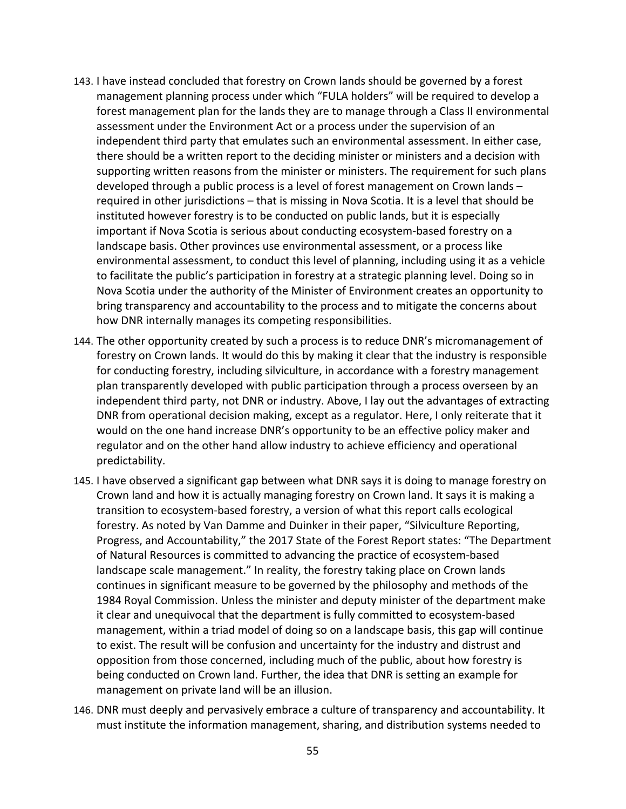- 143. I have instead concluded that forestry on Crown lands should be governed by a forest management planning process under which "FULA holders" will be required to develop a forest management plan for the lands they are to manage through a Class II environmental assessment under the Environment Act or a process under the supervision of an independent third party that emulates such an environmental assessment. In either case, there should be a written report to the deciding minister or ministers and a decision with supporting written reasons from the minister or ministers. The requirement for such plans developed through a public process is a level of forest management on Crown lands – required in other jurisdictions – that is missing in Nova Scotia. It is a level that should be instituted however forestry is to be conducted on public lands, but it is especially important if Nova Scotia is serious about conducting ecosystem‐based forestry on a landscape basis. Other provinces use environmental assessment, or a process like environmental assessment, to conduct this level of planning, including using it as a vehicle to facilitate the public's participation in forestry at a strategic planning level. Doing so in Nova Scotia under the authority of the Minister of Environment creates an opportunity to bring transparency and accountability to the process and to mitigate the concerns about how DNR internally manages its competing responsibilities.
- 144. The other opportunity created by such a process is to reduce DNR's micromanagement of forestry on Crown lands. It would do this by making it clear that the industry is responsible for conducting forestry, including silviculture, in accordance with a forestry management plan transparently developed with public participation through a process overseen by an independent third party, not DNR or industry. Above, I lay out the advantages of extracting DNR from operational decision making, except as a regulator. Here, I only reiterate that it would on the one hand increase DNR's opportunity to be an effective policy maker and regulator and on the other hand allow industry to achieve efficiency and operational predictability.
- 145. I have observed a significant gap between what DNR says it is doing to manage forestry on Crown land and how it is actually managing forestry on Crown land. It says it is making a transition to ecosystem‐based forestry, a version of what this report calls ecological forestry. As noted by Van Damme and Duinker in their paper, "Silviculture Reporting, Progress, and Accountability," the 2017 State of the Forest Report states: "The Department of Natural Resources is committed to advancing the practice of ecosystem‐based landscape scale management." In reality, the forestry taking place on Crown lands continues in significant measure to be governed by the philosophy and methods of the 1984 Royal Commission. Unless the minister and deputy minister of the department make it clear and unequivocal that the department is fully committed to ecosystem‐based management, within a triad model of doing so on a landscape basis, this gap will continue to exist. The result will be confusion and uncertainty for the industry and distrust and opposition from those concerned, including much of the public, about how forestry is being conducted on Crown land. Further, the idea that DNR is setting an example for management on private land will be an illusion.
- 146. DNR must deeply and pervasively embrace a culture of transparency and accountability. It must institute the information management, sharing, and distribution systems needed to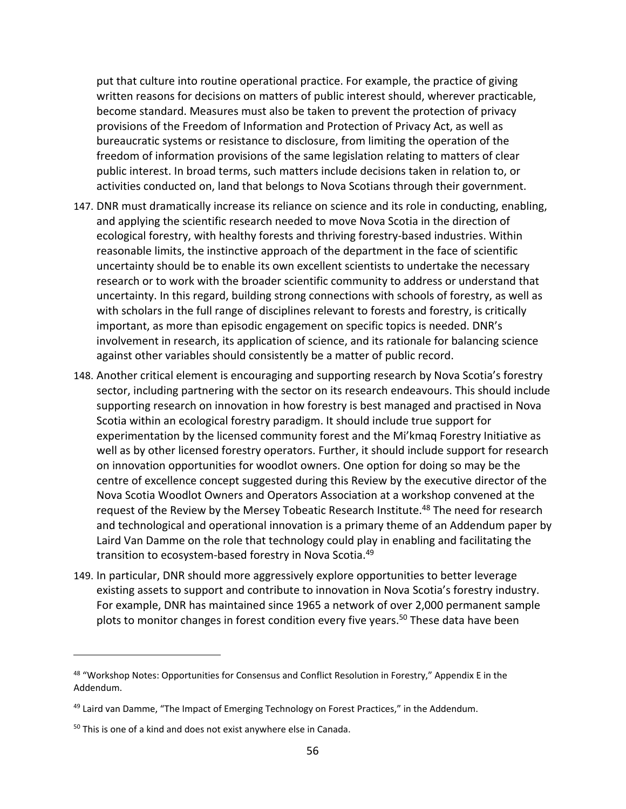put that culture into routine operational practice. For example, the practice of giving written reasons for decisions on matters of public interest should, wherever practicable, become standard. Measures must also be taken to prevent the protection of privacy provisions of the Freedom of Information and Protection of Privacy Act, as well as bureaucratic systems or resistance to disclosure, from limiting the operation of the freedom of information provisions of the same legislation relating to matters of clear public interest. In broad terms, such matters include decisions taken in relation to, or activities conducted on, land that belongs to Nova Scotians through their government.

- 147. DNR must dramatically increase its reliance on science and its role in conducting, enabling, and applying the scientific research needed to move Nova Scotia in the direction of ecological forestry, with healthy forests and thriving forestry-based industries. Within reasonable limits, the instinctive approach of the department in the face of scientific uncertainty should be to enable its own excellent scientists to undertake the necessary research or to work with the broader scientific community to address or understand that uncertainty. In this regard, building strong connections with schools of forestry, as well as with scholars in the full range of disciplines relevant to forests and forestry, is critically important, as more than episodic engagement on specific topics is needed. DNR's involvement in research, its application of science, and its rationale for balancing science against other variables should consistently be a matter of public record.
- 148. Another critical element is encouraging and supporting research by Nova Scotia's forestry sector, including partnering with the sector on its research endeavours. This should include supporting research on innovation in how forestry is best managed and practised in Nova Scotia within an ecological forestry paradigm. It should include true support for experimentation by the licensed community forest and the Mi'kmaq Forestry Initiative as well as by other licensed forestry operators. Further, it should include support for research on innovation opportunities for woodlot owners. One option for doing so may be the centre of excellence concept suggested during this Review by the executive director of the Nova Scotia Woodlot Owners and Operators Association at a workshop convened at the request of the Review by the Mersey Tobeatic Research Institute.<sup>48</sup> The need for research and technological and operational innovation is a primary theme of an Addendum paper by Laird Van Damme on the role that technology could play in enabling and facilitating the transition to ecosystem-based forestry in Nova Scotia.<sup>49</sup>
- 149. In particular, DNR should more aggressively explore opportunities to better leverage existing assets to support and contribute to innovation in Nova Scotia's forestry industry. For example, DNR has maintained since 1965 a network of over 2,000 permanent sample plots to monitor changes in forest condition every five years.<sup>50</sup> These data have been

<sup>48 &</sup>quot;Workshop Notes: Opportunities for Consensus and Conflict Resolution in Forestry," Appendix E in the Addendum.

 $49$  Laird van Damme, "The Impact of Emerging Technology on Forest Practices," in the Addendum.

<sup>50</sup> This is one of a kind and does not exist anywhere else in Canada.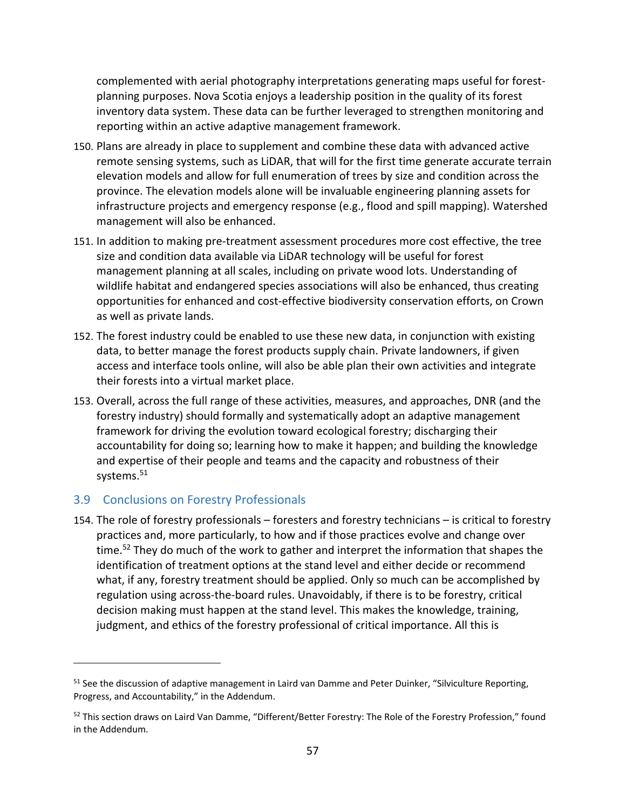complemented with aerial photography interpretations generating maps useful for forest‐ planning purposes. Nova Scotia enjoys a leadership position in the quality of its forest inventory data system. These data can be further leveraged to strengthen monitoring and reporting within an active adaptive management framework.

- 150. Plans are already in place to supplement and combine these data with advanced active remote sensing systems, such as LiDAR, that will for the first time generate accurate terrain elevation models and allow for full enumeration of trees by size and condition across the province. The elevation models alone will be invaluable engineering planning assets for infrastructure projects and emergency response (e.g., flood and spill mapping). Watershed management will also be enhanced.
- 151. In addition to making pre-treatment assessment procedures more cost effective, the tree size and condition data available via LiDAR technology will be useful for forest management planning at all scales, including on private wood lots. Understanding of wildlife habitat and endangered species associations will also be enhanced, thus creating opportunities for enhanced and cost‐effective biodiversity conservation efforts, on Crown as well as private lands.
- 152. The forest industry could be enabled to use these new data, in conjunction with existing data, to better manage the forest products supply chain. Private landowners, if given access and interface tools online, will also be able plan their own activities and integrate their forests into a virtual market place.
- 153. Overall, across the full range of these activities, measures, and approaches, DNR (and the forestry industry) should formally and systematically adopt an adaptive management framework for driving the evolution toward ecological forestry; discharging their accountability for doing so; learning how to make it happen; and building the knowledge and expertise of their people and teams and the capacity and robustness of their systems.<sup>51</sup>

# 3.9 Conclusions on Forestry Professionals

154. The role of forestry professionals – foresters and forestry technicians – is critical to forestry practices and, more particularly, to how and if those practices evolve and change over time.<sup>52</sup> They do much of the work to gather and interpret the information that shapes the identification of treatment options at the stand level and either decide or recommend what, if any, forestry treatment should be applied. Only so much can be accomplished by regulation using across‐the‐board rules. Unavoidably, if there is to be forestry, critical decision making must happen at the stand level. This makes the knowledge, training, judgment, and ethics of the forestry professional of critical importance. All this is

<sup>&</sup>lt;sup>51</sup> See the discussion of adaptive management in Laird van Damme and Peter Duinker, "Silviculture Reporting, Progress, and Accountability," in the Addendum.

<sup>&</sup>lt;sup>52</sup> This section draws on Laird Van Damme, "Different/Better Forestry: The Role of the Forestry Profession," found in the Addendum.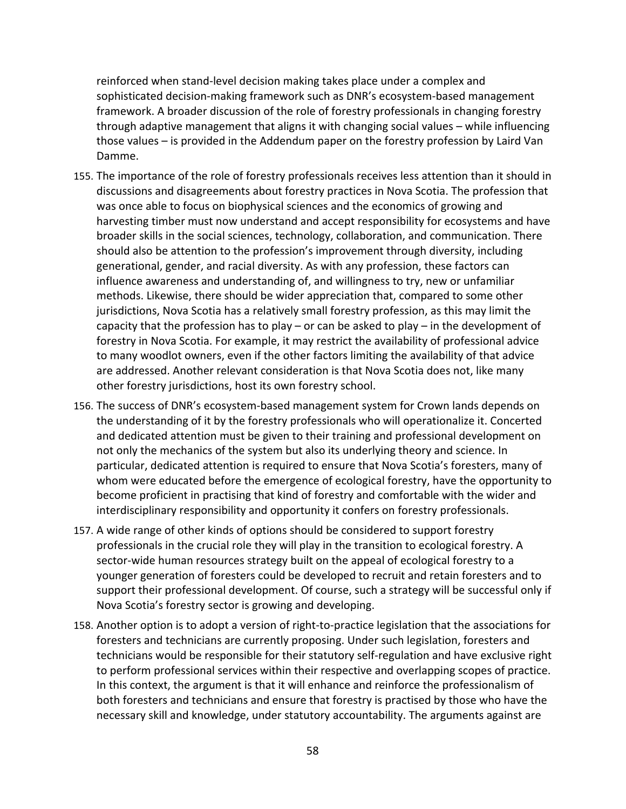reinforced when stand‐level decision making takes place under a complex and sophisticated decision-making framework such as DNR's ecosystem-based management framework. A broader discussion of the role of forestry professionals in changing forestry through adaptive management that aligns it with changing social values – while influencing those values – is provided in the Addendum paper on the forestry profession by Laird Van Damme.

- 155. The importance of the role of forestry professionals receives less attention than it should in discussions and disagreements about forestry practices in Nova Scotia. The profession that was once able to focus on biophysical sciences and the economics of growing and harvesting timber must now understand and accept responsibility for ecosystems and have broader skills in the social sciences, technology, collaboration, and communication. There should also be attention to the profession's improvement through diversity, including generational, gender, and racial diversity. As with any profession, these factors can influence awareness and understanding of, and willingness to try, new or unfamiliar methods. Likewise, there should be wider appreciation that, compared to some other jurisdictions, Nova Scotia has a relatively small forestry profession, as this may limit the capacity that the profession has to play – or can be asked to play – in the development of forestry in Nova Scotia. For example, it may restrict the availability of professional advice to many woodlot owners, even if the other factors limiting the availability of that advice are addressed. Another relevant consideration is that Nova Scotia does not, like many other forestry jurisdictions, host its own forestry school.
- 156. The success of DNR's ecosystem‐based management system for Crown lands depends on the understanding of it by the forestry professionals who will operationalize it. Concerted and dedicated attention must be given to their training and professional development on not only the mechanics of the system but also its underlying theory and science. In particular, dedicated attention is required to ensure that Nova Scotia's foresters, many of whom were educated before the emergence of ecological forestry, have the opportunity to become proficient in practising that kind of forestry and comfortable with the wider and interdisciplinary responsibility and opportunity it confers on forestry professionals.
- 157. A wide range of other kinds of options should be considered to support forestry professionals in the crucial role they will play in the transition to ecological forestry. A sector-wide human resources strategy built on the appeal of ecological forestry to a younger generation of foresters could be developed to recruit and retain foresters and to support their professional development. Of course, such a strategy will be successful only if Nova Scotia's forestry sector is growing and developing.
- 158. Another option is to adopt a version of right‐to‐practice legislation that the associations for foresters and technicians are currently proposing. Under such legislation, foresters and technicians would be responsible for their statutory self‐regulation and have exclusive right to perform professional services within their respective and overlapping scopes of practice. In this context, the argument is that it will enhance and reinforce the professionalism of both foresters and technicians and ensure that forestry is practised by those who have the necessary skill and knowledge, under statutory accountability. The arguments against are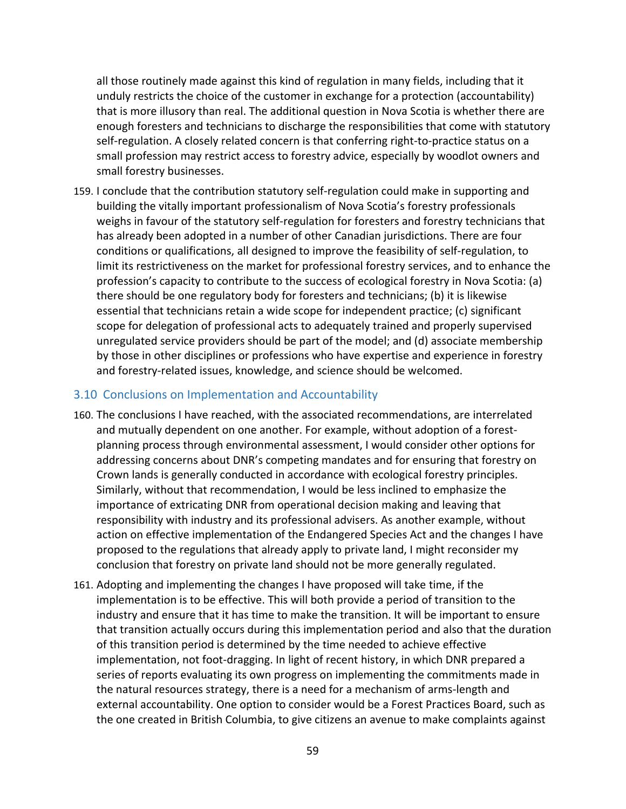all those routinely made against this kind of regulation in many fields, including that it unduly restricts the choice of the customer in exchange for a protection (accountability) that is more illusory than real. The additional question in Nova Scotia is whether there are enough foresters and technicians to discharge the responsibilities that come with statutory self-regulation. A closely related concern is that conferring right-to-practice status on a small profession may restrict access to forestry advice, especially by woodlot owners and small forestry businesses.

159. I conclude that the contribution statutory self‐regulation could make in supporting and building the vitally important professionalism of Nova Scotia's forestry professionals weighs in favour of the statutory self-regulation for foresters and forestry technicians that has already been adopted in a number of other Canadian jurisdictions. There are four conditions or qualifications, all designed to improve the feasibility of self‐regulation, to limit its restrictiveness on the market for professional forestry services, and to enhance the profession's capacity to contribute to the success of ecological forestry in Nova Scotia: (a) there should be one regulatory body for foresters and technicians; (b) it is likewise essential that technicians retain a wide scope for independent practice; (c) significant scope for delegation of professional acts to adequately trained and properly supervised unregulated service providers should be part of the model; and (d) associate membership by those in other disciplines or professions who have expertise and experience in forestry and forestry-related issues, knowledge, and science should be welcomed.

### 3.10 Conclusions on Implementation and Accountability

- 160. The conclusions I have reached, with the associated recommendations, are interrelated and mutually dependent on one another. For example, without adoption of a forestplanning process through environmental assessment, I would consider other options for addressing concerns about DNR's competing mandates and for ensuring that forestry on Crown lands is generally conducted in accordance with ecological forestry principles. Similarly, without that recommendation, I would be less inclined to emphasize the importance of extricating DNR from operational decision making and leaving that responsibility with industry and its professional advisers. As another example, without action on effective implementation of the Endangered Species Act and the changes I have proposed to the regulations that already apply to private land, I might reconsider my conclusion that forestry on private land should not be more generally regulated.
- 161. Adopting and implementing the changes I have proposed will take time, if the implementation is to be effective. This will both provide a period of transition to the industry and ensure that it has time to make the transition. It will be important to ensure that transition actually occurs during this implementation period and also that the duration of this transition period is determined by the time needed to achieve effective implementation, not foot-dragging. In light of recent history, in which DNR prepared a series of reports evaluating its own progress on implementing the commitments made in the natural resources strategy, there is a need for a mechanism of arms‐length and external accountability. One option to consider would be a Forest Practices Board, such as the one created in British Columbia, to give citizens an avenue to make complaints against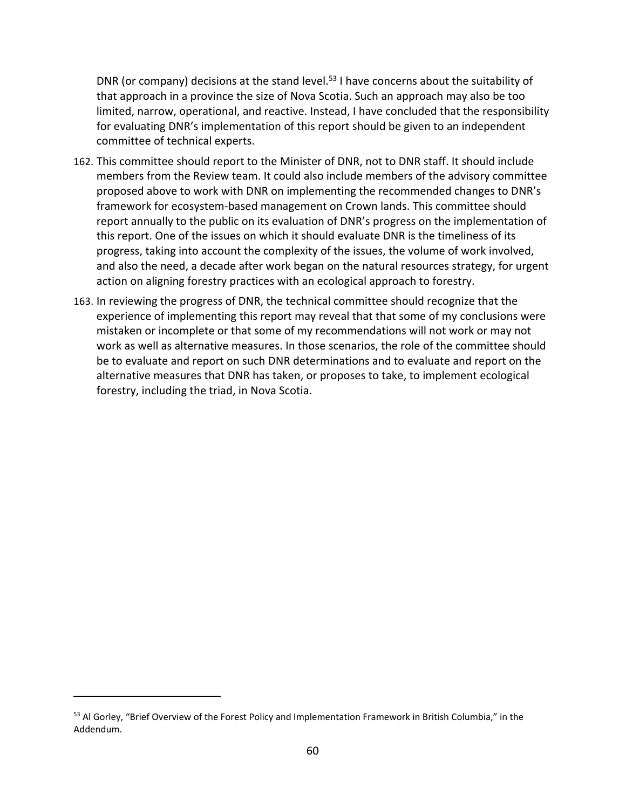DNR (or company) decisions at the stand level.<sup>53</sup> I have concerns about the suitability of that approach in a province the size of Nova Scotia. Such an approach may also be too limited, narrow, operational, and reactive. Instead, I have concluded that the responsibility for evaluating DNR's implementation of this report should be given to an independent committee of technical experts.

- 162. This committee should report to the Minister of DNR, not to DNR staff. It should include members from the Review team. It could also include members of the advisory committee proposed above to work with DNR on implementing the recommended changes to DNR's framework for ecosystem‐based management on Crown lands. This committee should report annually to the public on its evaluation of DNR's progress on the implementation of this report. One of the issues on which it should evaluate DNR is the timeliness of its progress, taking into account the complexity of the issues, the volume of work involved, and also the need, a decade after work began on the natural resources strategy, for urgent action on aligning forestry practices with an ecological approach to forestry.
- 163. In reviewing the progress of DNR, the technical committee should recognize that the experience of implementing this report may reveal that that some of my conclusions were mistaken or incomplete or that some of my recommendations will not work or may not work as well as alternative measures. In those scenarios, the role of the committee should be to evaluate and report on such DNR determinations and to evaluate and report on the alternative measures that DNR has taken, or proposes to take, to implement ecological forestry, including the triad, in Nova Scotia.

<sup>&</sup>lt;sup>53</sup> Al Gorley, "Brief Overview of the Forest Policy and Implementation Framework in British Columbia," in the Addendum.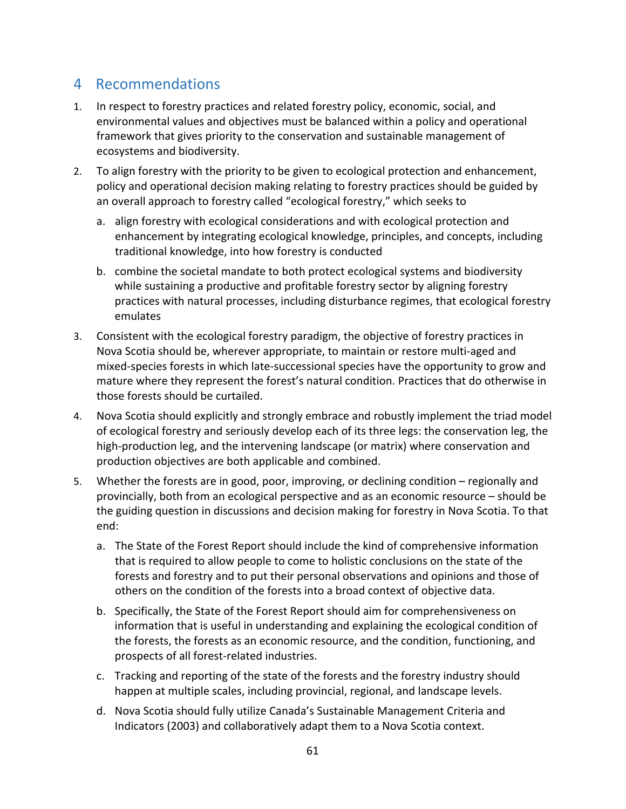## 4 Recommendations

- 1. In respect to forestry practices and related forestry policy, economic, social, and environmental values and objectives must be balanced within a policy and operational framework that gives priority to the conservation and sustainable management of ecosystems and biodiversity.
- 2. To align forestry with the priority to be given to ecological protection and enhancement, policy and operational decision making relating to forestry practices should be guided by an overall approach to forestry called "ecological forestry," which seeks to
	- a. align forestry with ecological considerations and with ecological protection and enhancement by integrating ecological knowledge, principles, and concepts, including traditional knowledge, into how forestry is conducted
	- b. combine the societal mandate to both protect ecological systems and biodiversity while sustaining a productive and profitable forestry sector by aligning forestry practices with natural processes, including disturbance regimes, that ecological forestry emulates
- 3. Consistent with the ecological forestry paradigm, the objective of forestry practices in Nova Scotia should be, wherever appropriate, to maintain or restore multi‐aged and mixed‐species forests in which late‐successional species have the opportunity to grow and mature where they represent the forest's natural condition. Practices that do otherwise in those forests should be curtailed.
- 4. Nova Scotia should explicitly and strongly embrace and robustly implement the triad model of ecological forestry and seriously develop each of its three legs: the conservation leg, the high-production leg, and the intervening landscape (or matrix) where conservation and production objectives are both applicable and combined.
- 5. Whether the forests are in good, poor, improving, or declining condition regionally and provincially, both from an ecological perspective and as an economic resource – should be the guiding question in discussions and decision making for forestry in Nova Scotia. To that end:
	- a. The State of the Forest Report should include the kind of comprehensive information that is required to allow people to come to holistic conclusions on the state of the forests and forestry and to put their personal observations and opinions and those of others on the condition of the forests into a broad context of objective data.
	- b. Specifically, the State of the Forest Report should aim for comprehensiveness on information that is useful in understanding and explaining the ecological condition of the forests, the forests as an economic resource, and the condition, functioning, and prospects of all forest‐related industries.
	- c. Tracking and reporting of the state of the forests and the forestry industry should happen at multiple scales, including provincial, regional, and landscape levels.
	- d. Nova Scotia should fully utilize Canada's Sustainable Management Criteria and Indicators (2003) and collaboratively adapt them to a Nova Scotia context.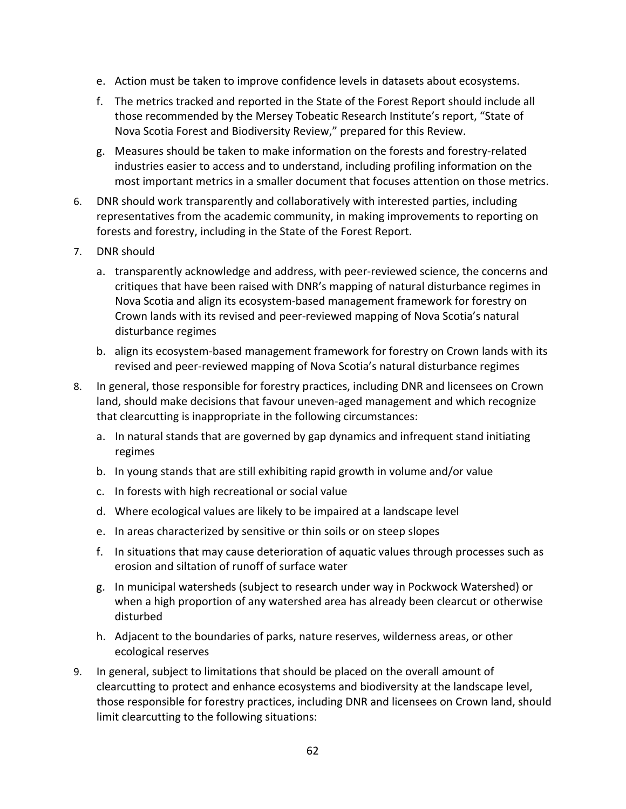- e. Action must be taken to improve confidence levels in datasets about ecosystems.
- f. The metrics tracked and reported in the State of the Forest Report should include all those recommended by the Mersey Tobeatic Research Institute's report, "State of Nova Scotia Forest and Biodiversity Review," prepared for this Review.
- g. Measures should be taken to make information on the forests and forestry‐related industries easier to access and to understand, including profiling information on the most important metrics in a smaller document that focuses attention on those metrics.
- 6. DNR should work transparently and collaboratively with interested parties, including representatives from the academic community, in making improvements to reporting on forests and forestry, including in the State of the Forest Report.
- 7. DNR should
	- a. transparently acknowledge and address, with peer‐reviewed science, the concerns and critiques that have been raised with DNR's mapping of natural disturbance regimes in Nova Scotia and align its ecosystem‐based management framework for forestry on Crown lands with its revised and peer‐reviewed mapping of Nova Scotia's natural disturbance regimes
	- b. align its ecosystem‐based management framework for forestry on Crown lands with its revised and peer‐reviewed mapping of Nova Scotia's natural disturbance regimes
- 8. In general, those responsible for forestry practices, including DNR and licensees on Crown land, should make decisions that favour uneven‐aged management and which recognize that clearcutting is inappropriate in the following circumstances:
	- a. In natural stands that are governed by gap dynamics and infrequent stand initiating regimes
	- b. In young stands that are still exhibiting rapid growth in volume and/or value
	- c. In forests with high recreational or social value
	- d. Where ecological values are likely to be impaired at a landscape level
	- e. In areas characterized by sensitive or thin soils or on steep slopes
	- f. In situations that may cause deterioration of aquatic values through processes such as erosion and siltation of runoff of surface water
	- g. In municipal watersheds (subject to research under way in Pockwock Watershed) or when a high proportion of any watershed area has already been clearcut or otherwise disturbed
	- h. Adjacent to the boundaries of parks, nature reserves, wilderness areas, or other ecological reserves
- 9. In general, subject to limitations that should be placed on the overall amount of clearcutting to protect and enhance ecosystems and biodiversity at the landscape level, those responsible for forestry practices, including DNR and licensees on Crown land, should limit clearcutting to the following situations: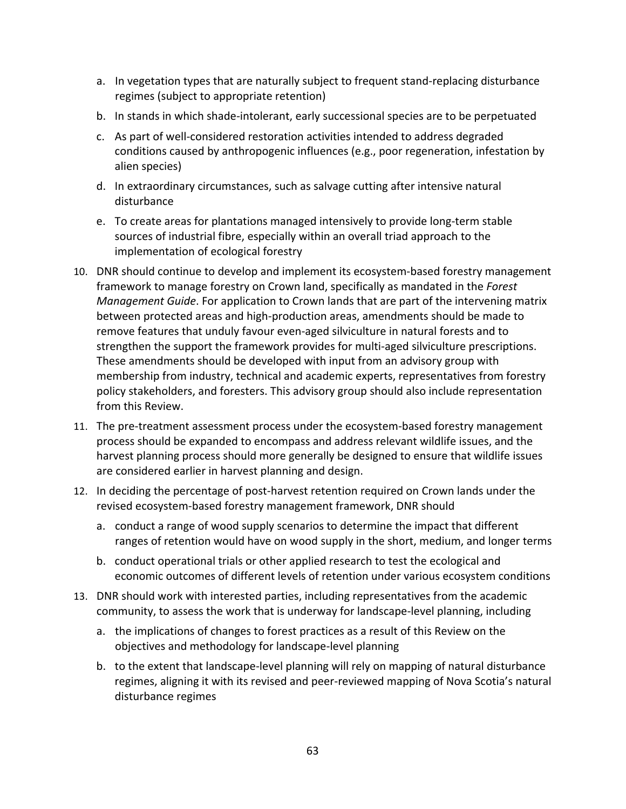- a. In vegetation types that are naturally subject to frequent stand‐replacing disturbance regimes (subject to appropriate retention)
- b. In stands in which shade‐intolerant, early successional species are to be perpetuated
- c. As part of well‐considered restoration activities intended to address degraded conditions caused by anthropogenic influences (e.g., poor regeneration, infestation by alien species)
- d. In extraordinary circumstances, such as salvage cutting after intensive natural disturbance
- e. To create areas for plantations managed intensively to provide long‐term stable sources of industrial fibre, especially within an overall triad approach to the implementation of ecological forestry
- 10. DNR should continue to develop and implement its ecosystem-based forestry management framework to manage forestry on Crown land, specifically as mandated in the *Forest Management Guide*. For application to Crown lands that are part of the intervening matrix between protected areas and high‐production areas, amendments should be made to remove features that unduly favour even‐aged silviculture in natural forests and to strengthen the support the framework provides for multi-aged silviculture prescriptions. These amendments should be developed with input from an advisory group with membership from industry, technical and academic experts, representatives from forestry policy stakeholders, and foresters. This advisory group should also include representation from this Review.
- 11. The pre-treatment assessment process under the ecosystem-based forestry management process should be expanded to encompass and address relevant wildlife issues, and the harvest planning process should more generally be designed to ensure that wildlife issues are considered earlier in harvest planning and design.
- 12. In deciding the percentage of post-harvest retention required on Crown lands under the revised ecosystem‐based forestry management framework, DNR should
	- a. conduct a range of wood supply scenarios to determine the impact that different ranges of retention would have on wood supply in the short, medium, and longer terms
	- b. conduct operational trials or other applied research to test the ecological and economic outcomes of different levels of retention under various ecosystem conditions
- 13. DNR should work with interested parties, including representatives from the academic community, to assess the work that is underway for landscape‐level planning, including
	- a. the implications of changes to forest practices as a result of this Review on the objectives and methodology for landscape‐level planning
	- b. to the extent that landscape‐level planning will rely on mapping of natural disturbance regimes, aligning it with its revised and peer‐reviewed mapping of Nova Scotia's natural disturbance regimes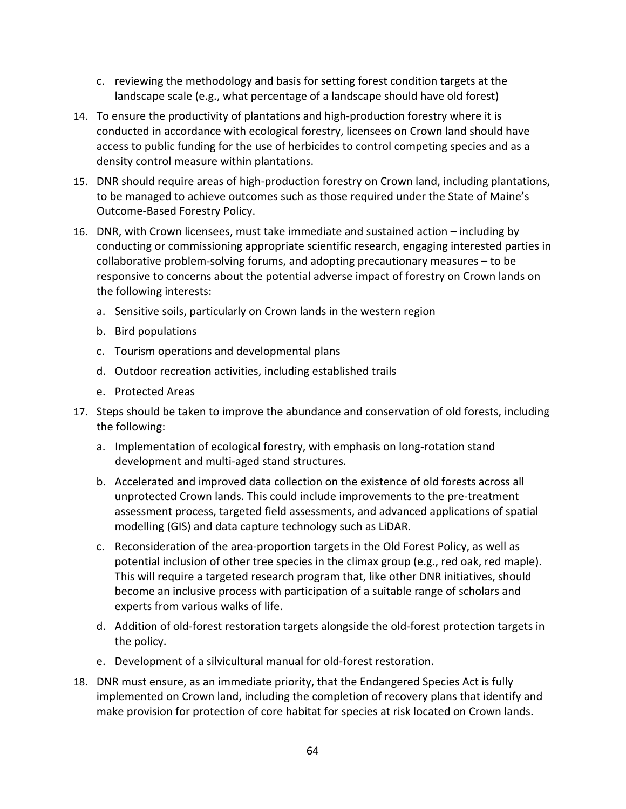- c. reviewing the methodology and basis for setting forest condition targets at the landscape scale (e.g., what percentage of a landscape should have old forest)
- 14. To ensure the productivity of plantations and high-production forestry where it is conducted in accordance with ecological forestry, licensees on Crown land should have access to public funding for the use of herbicides to control competing species and as a density control measure within plantations.
- 15. DNR should require areas of high‐production forestry on Crown land, including plantations, to be managed to achieve outcomes such as those required under the State of Maine's Outcome‐Based Forestry Policy.
- 16. DNR, with Crown licensees, must take immediate and sustained action including by conducting or commissioning appropriate scientific research, engaging interested parties in collaborative problem‐solving forums, and adopting precautionary measures – to be responsive to concerns about the potential adverse impact of forestry on Crown lands on the following interests:
	- a. Sensitive soils, particularly on Crown lands in the western region
	- b. Bird populations
	- c. Tourism operations and developmental plans
	- d. Outdoor recreation activities, including established trails
	- e. Protected Areas
- 17. Steps should be taken to improve the abundance and conservation of old forests, including the following:
	- a. Implementation of ecological forestry, with emphasis on long‐rotation stand development and multi‐aged stand structures.
	- b. Accelerated and improved data collection on the existence of old forests across all unprotected Crown lands. This could include improvements to the pre‐treatment assessment process, targeted field assessments, and advanced applications of spatial modelling (GIS) and data capture technology such as LiDAR.
	- c. Reconsideration of the area‐proportion targets in the Old Forest Policy, as well as potential inclusion of other tree species in the climax group (e.g., red oak, red maple). This will require a targeted research program that, like other DNR initiatives, should become an inclusive process with participation of a suitable range of scholars and experts from various walks of life.
	- d. Addition of old‐forest restoration targets alongside the old‐forest protection targets in the policy.
	- e. Development of a silvicultural manual for old‐forest restoration.
- 18. DNR must ensure, as an immediate priority, that the Endangered Species Act is fully implemented on Crown land, including the completion of recovery plans that identify and make provision for protection of core habitat for species at risk located on Crown lands.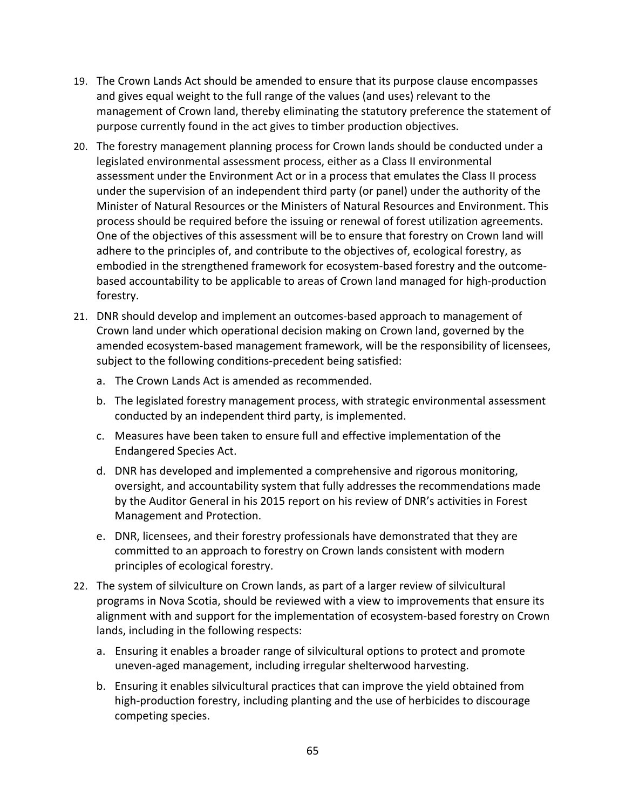- 19. The Crown Lands Act should be amended to ensure that its purpose clause encompasses and gives equal weight to the full range of the values (and uses) relevant to the management of Crown land, thereby eliminating the statutory preference the statement of purpose currently found in the act gives to timber production objectives.
- 20. The forestry management planning process for Crown lands should be conducted under a legislated environmental assessment process, either as a Class II environmental assessment under the Environment Act or in a process that emulates the Class II process under the supervision of an independent third party (or panel) under the authority of the Minister of Natural Resources or the Ministers of Natural Resources and Environment. This process should be required before the issuing or renewal of forest utilization agreements. One of the objectives of this assessment will be to ensure that forestry on Crown land will adhere to the principles of, and contribute to the objectives of, ecological forestry, as embodied in the strengthened framework for ecosystem‐based forestry and the outcome‐ based accountability to be applicable to areas of Crown land managed for high‐production forestry.
- 21. DNR should develop and implement an outcomes‐based approach to management of Crown land under which operational decision making on Crown land, governed by the amended ecosystem‐based management framework, will be the responsibility of licensees, subject to the following conditions‐precedent being satisfied:
	- a. The Crown Lands Act is amended as recommended.
	- b. The legislated forestry management process, with strategic environmental assessment conducted by an independent third party, is implemented.
	- c. Measures have been taken to ensure full and effective implementation of the Endangered Species Act.
	- d. DNR has developed and implemented a comprehensive and rigorous monitoring, oversight, and accountability system that fully addresses the recommendations made by the Auditor General in his 2015 report on his review of DNR's activities in Forest Management and Protection.
	- e. DNR, licensees, and their forestry professionals have demonstrated that they are committed to an approach to forestry on Crown lands consistent with modern principles of ecological forestry.
- 22. The system of silviculture on Crown lands, as part of a larger review of silvicultural programs in Nova Scotia, should be reviewed with a view to improvements that ensure its alignment with and support for the implementation of ecosystem‐based forestry on Crown lands, including in the following respects:
	- a. Ensuring it enables a broader range of silvicultural options to protect and promote uneven‐aged management, including irregular shelterwood harvesting.
	- b. Ensuring it enables silvicultural practices that can improve the yield obtained from high-production forestry, including planting and the use of herbicides to discourage competing species.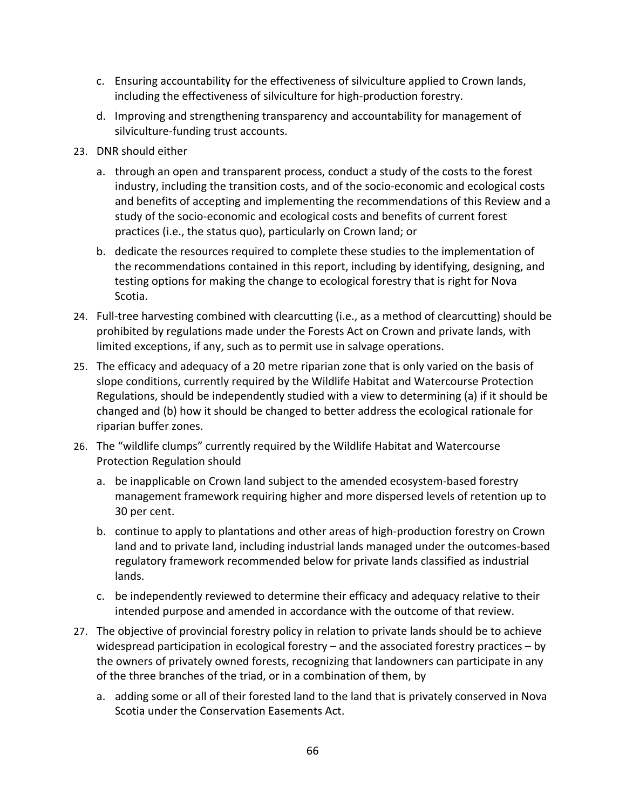- c. Ensuring accountability for the effectiveness of silviculture applied to Crown lands, including the effectiveness of silviculture for high‐production forestry.
- d. Improving and strengthening transparency and accountability for management of silviculture‐funding trust accounts.
- 23. DNR should either
	- a. through an open and transparent process, conduct a study of the costs to the forest industry, including the transition costs, and of the socio‐economic and ecological costs and benefits of accepting and implementing the recommendations of this Review and a study of the socio‐economic and ecological costs and benefits of current forest practices (i.e., the status quo), particularly on Crown land; or
	- b. dedicate the resources required to complete these studies to the implementation of the recommendations contained in this report, including by identifying, designing, and testing options for making the change to ecological forestry that is right for Nova Scotia.
- 24. Full-tree harvesting combined with clearcutting (i.e., as a method of clearcutting) should be prohibited by regulations made under the Forests Act on Crown and private lands, with limited exceptions, if any, such as to permit use in salvage operations.
- 25. The efficacy and adequacy of a 20 metre riparian zone that is only varied on the basis of slope conditions, currently required by the Wildlife Habitat and Watercourse Protection Regulations, should be independently studied with a view to determining (a) if it should be changed and (b) how it should be changed to better address the ecological rationale for riparian buffer zones.
- 26. The "wildlife clumps" currently required by the Wildlife Habitat and Watercourse Protection Regulation should
	- a. be inapplicable on Crown land subject to the amended ecosystem‐based forestry management framework requiring higher and more dispersed levels of retention up to 30 per cent.
	- b. continue to apply to plantations and other areas of high‐production forestry on Crown land and to private land, including industrial lands managed under the outcomes‐based regulatory framework recommended below for private lands classified as industrial lands.
	- c. be independently reviewed to determine their efficacy and adequacy relative to their intended purpose and amended in accordance with the outcome of that review.
- 27. The objective of provincial forestry policy in relation to private lands should be to achieve widespread participation in ecological forestry – and the associated forestry practices – by the owners of privately owned forests, recognizing that landowners can participate in any of the three branches of the triad, or in a combination of them, by
	- a. adding some or all of their forested land to the land that is privately conserved in Nova Scotia under the Conservation Easements Act.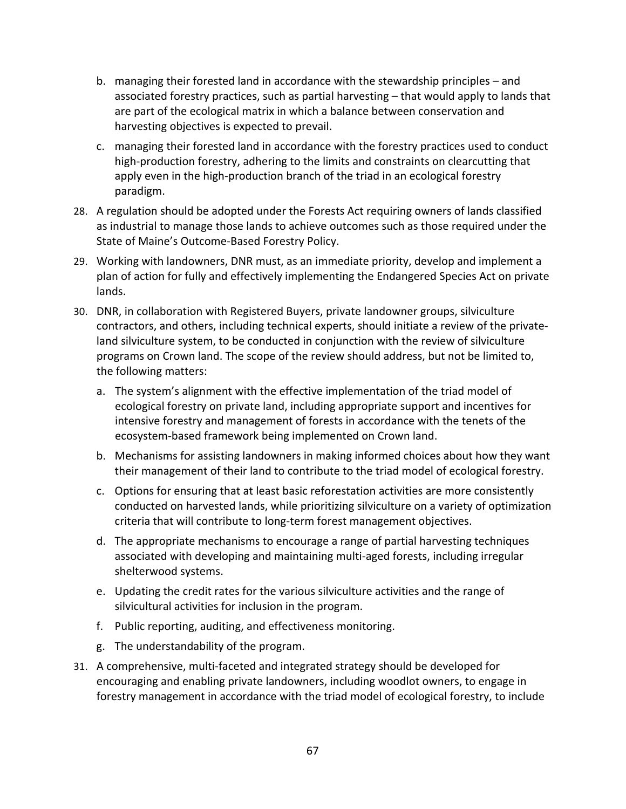- b. managing their forested land in accordance with the stewardship principles and associated forestry practices, such as partial harvesting – that would apply to lands that are part of the ecological matrix in which a balance between conservation and harvesting objectives is expected to prevail.
- c. managing their forested land in accordance with the forestry practices used to conduct high-production forestry, adhering to the limits and constraints on clearcutting that apply even in the high-production branch of the triad in an ecological forestry paradigm.
- 28. A regulation should be adopted under the Forests Act requiring owners of lands classified as industrial to manage those lands to achieve outcomes such as those required under the State of Maine's Outcome‐Based Forestry Policy.
- 29. Working with landowners, DNR must, as an immediate priority, develop and implement a plan of action for fully and effectively implementing the Endangered Species Act on private lands.
- 30. DNR, in collaboration with Registered Buyers, private landowner groups, silviculture contractors, and others, including technical experts, should initiate a review of the private‐ land silviculture system, to be conducted in conjunction with the review of silviculture programs on Crown land. The scope of the review should address, but not be limited to, the following matters:
	- a. The system's alignment with the effective implementation of the triad model of ecological forestry on private land, including appropriate support and incentives for intensive forestry and management of forests in accordance with the tenets of the ecosystem‐based framework being implemented on Crown land.
	- b. Mechanisms for assisting landowners in making informed choices about how they want their management of their land to contribute to the triad model of ecological forestry.
	- c. Options for ensuring that at least basic reforestation activities are more consistently conducted on harvested lands, while prioritizing silviculture on a variety of optimization criteria that will contribute to long‐term forest management objectives.
	- d. The appropriate mechanisms to encourage a range of partial harvesting techniques associated with developing and maintaining multi‐aged forests, including irregular shelterwood systems.
	- e. Updating the credit rates for the various silviculture activities and the range of silvicultural activities for inclusion in the program.
	- f. Public reporting, auditing, and effectiveness monitoring.
	- g. The understandability of the program.
- 31. A comprehensive, multi‐faceted and integrated strategy should be developed for encouraging and enabling private landowners, including woodlot owners, to engage in forestry management in accordance with the triad model of ecological forestry, to include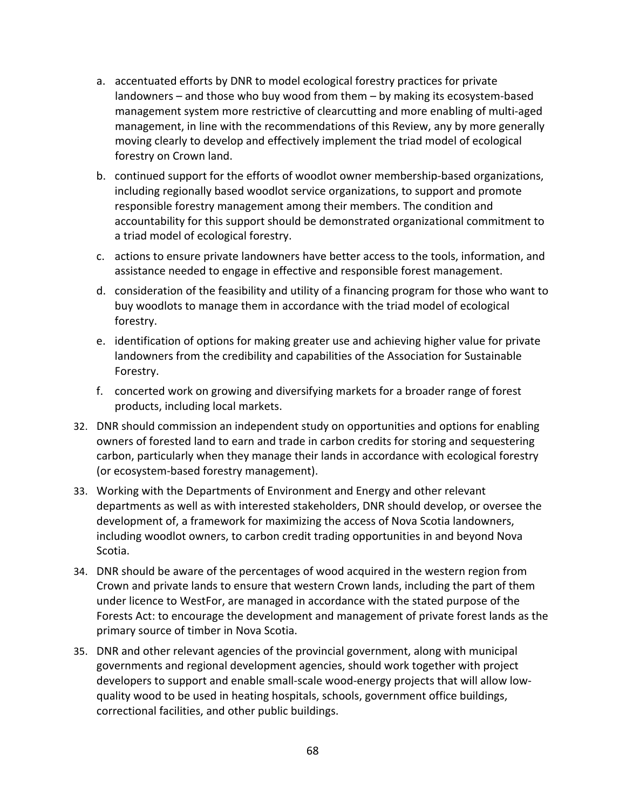- a. accentuated efforts by DNR to model ecological forestry practices for private landowners – and those who buy wood from them – by making its ecosystem‐based management system more restrictive of clearcutting and more enabling of multi‐aged management, in line with the recommendations of this Review, any by more generally moving clearly to develop and effectively implement the triad model of ecological forestry on Crown land.
- b. continued support for the efforts of woodlot owner membership‐based organizations, including regionally based woodlot service organizations, to support and promote responsible forestry management among their members. The condition and accountability for this support should be demonstrated organizational commitment to a triad model of ecological forestry.
- c. actions to ensure private landowners have better access to the tools, information, and assistance needed to engage in effective and responsible forest management.
- d. consideration of the feasibility and utility of a financing program for those who want to buy woodlots to manage them in accordance with the triad model of ecological forestry.
- e. identification of options for making greater use and achieving higher value for private landowners from the credibility and capabilities of the Association for Sustainable Forestry.
- f. concerted work on growing and diversifying markets for a broader range of forest products, including local markets.
- 32. DNR should commission an independent study on opportunities and options for enabling owners of forested land to earn and trade in carbon credits for storing and sequestering carbon, particularly when they manage their lands in accordance with ecological forestry (or ecosystem‐based forestry management).
- 33. Working with the Departments of Environment and Energy and other relevant departments as well as with interested stakeholders, DNR should develop, or oversee the development of, a framework for maximizing the access of Nova Scotia landowners, including woodlot owners, to carbon credit trading opportunities in and beyond Nova Scotia.
- 34. DNR should be aware of the percentages of wood acquired in the western region from Crown and private lands to ensure that western Crown lands, including the part of them under licence to WestFor, are managed in accordance with the stated purpose of the Forests Act: to encourage the development and management of private forest lands as the primary source of timber in Nova Scotia.
- 35. DNR and other relevant agencies of the provincial government, along with municipal governments and regional development agencies, should work together with project developers to support and enable small-scale wood-energy projects that will allow lowquality wood to be used in heating hospitals, schools, government office buildings, correctional facilities, and other public buildings.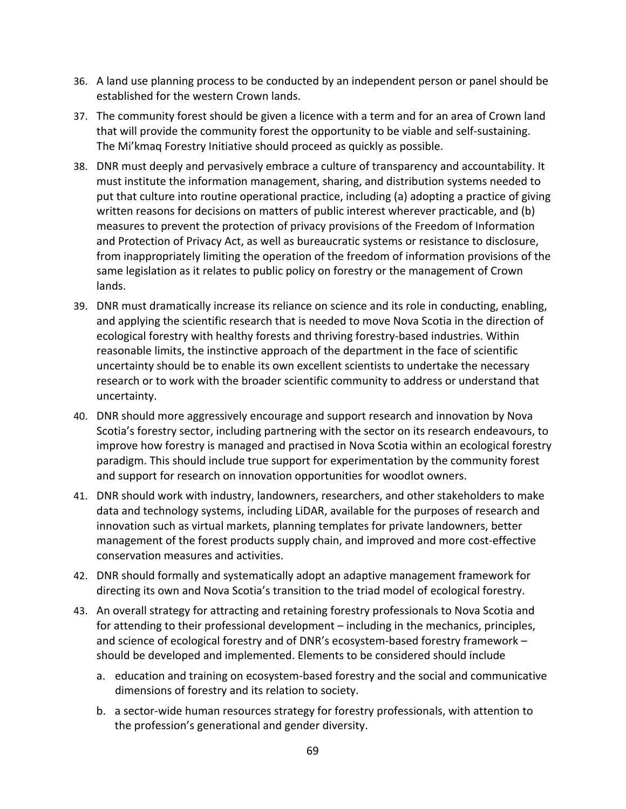- 36. A land use planning process to be conducted by an independent person or panel should be established for the western Crown lands.
- 37. The community forest should be given a licence with a term and for an area of Crown land that will provide the community forest the opportunity to be viable and self‐sustaining. The Mi'kmaq Forestry Initiative should proceed as quickly as possible.
- 38. DNR must deeply and pervasively embrace a culture of transparency and accountability. It must institute the information management, sharing, and distribution systems needed to put that culture into routine operational practice, including (a) adopting a practice of giving written reasons for decisions on matters of public interest wherever practicable, and (b) measures to prevent the protection of privacy provisions of the Freedom of Information and Protection of Privacy Act, as well as bureaucratic systems or resistance to disclosure, from inappropriately limiting the operation of the freedom of information provisions of the same legislation as it relates to public policy on forestry or the management of Crown lands.
- 39. DNR must dramatically increase its reliance on science and its role in conducting, enabling, and applying the scientific research that is needed to move Nova Scotia in the direction of ecological forestry with healthy forests and thriving forestry-based industries. Within reasonable limits, the instinctive approach of the department in the face of scientific uncertainty should be to enable its own excellent scientists to undertake the necessary research or to work with the broader scientific community to address or understand that uncertainty.
- 40. DNR should more aggressively encourage and support research and innovation by Nova Scotia's forestry sector, including partnering with the sector on its research endeavours, to improve how forestry is managed and practised in Nova Scotia within an ecological forestry paradigm. This should include true support for experimentation by the community forest and support for research on innovation opportunities for woodlot owners.
- 41. DNR should work with industry, landowners, researchers, and other stakeholders to make data and technology systems, including LiDAR, available for the purposes of research and innovation such as virtual markets, planning templates for private landowners, better management of the forest products supply chain, and improved and more cost‐effective conservation measures and activities.
- 42. DNR should formally and systematically adopt an adaptive management framework for directing its own and Nova Scotia's transition to the triad model of ecological forestry.
- 43. An overall strategy for attracting and retaining forestry professionals to Nova Scotia and for attending to their professional development – including in the mechanics, principles, and science of ecological forestry and of DNR's ecosystem-based forestry framework – should be developed and implemented. Elements to be considered should include
	- a. education and training on ecosystem‐based forestry and the social and communicative dimensions of forestry and its relation to society.
	- b. a sector‐wide human resources strategy for forestry professionals, with attention to the profession's generational and gender diversity.